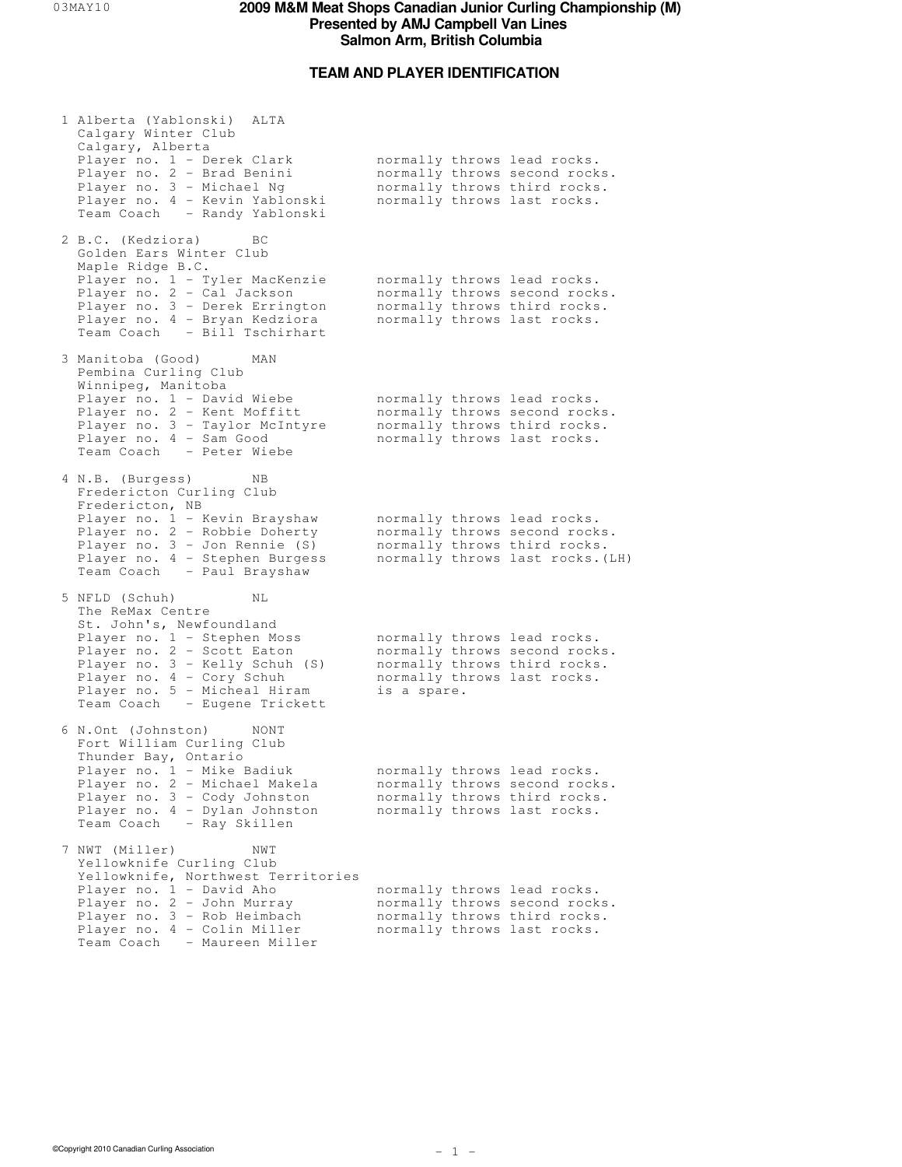# **TEAM AND PLAYER IDENTIFICATION**

| 1 Alberta (Yablonski) ALTA<br>Calgary Winter Club<br>Calgary, Alberta<br>Player no. 1 - Derek Clark<br>Player no. 2 - Brad Benini<br>Player no. 3 - Michael Ng<br>Player no. 4 - Kevin Yablonski<br>Team Coach - Randy Yablonski                                 |             | normally throws lead rocks.<br>normally throws second rocks.<br>normally throws third rocks.<br>normally throws last rocks.      |
|------------------------------------------------------------------------------------------------------------------------------------------------------------------------------------------------------------------------------------------------------------------|-------------|----------------------------------------------------------------------------------------------------------------------------------|
| 2 B.C. (Kedziora)<br>ВC<br>Golden Ears Winter Club<br>Maple Ridge B.C.<br>Player no. 1 - Tyler MacKenzie<br>Player no. 2 - Cal Jackson<br>Player no. 3 - Derek Errington<br>Player no. 4 - Bryan Kedziora<br>Team Coach - Bill Tschirhart                        |             | normally throws lead rocks.<br>normally throws second rocks.<br>normally throws third rocks.<br>normally throws last rocks.      |
| 3 Manitoba (Good)<br>MAN<br>Pembina Curling Club<br>Winnipeg, Manitoba<br>Player no. 1 - David Wiebe<br>Player no. 2 - Kent Moffitt<br>Player no. 3 - Taylor McIntyre<br>Player no. 4 - Sam Good<br>Team Coach - Peter Wiebe                                     |             | normally throws lead rocks.<br>normally throws second rocks.<br>normally throws third rocks.<br>normally throws last rocks.      |
| 4 N.B. (Burgess)<br>ΝB<br>Fredericton Curling Club<br>Fredericton, NB<br>Player no. 1 - Kevin Brayshaw<br>Player no. 2 - Robbie Doherty<br>Player no. 3 - Jon Rennie (S)<br>Player no. 4 - Stephen Burgess<br>Team Coach - Paul Brayshaw                         |             | normally throws lead rocks.<br>normally throws second rocks.<br>normally throws third rocks.<br>normally throws last rocks. (LH) |
| 5 NFLD (Schuh)<br>NL<br>The ReMax Centre<br>St. John's, Newfoundland<br>Player no. 1 - Stephen Moss<br>Player no. 2 - Scott Eaton<br>Player no. 3 - Kelly Schuh (S)<br>Player no. 4 - Cory Schuh<br>Player no. 5 - Micheal Hiram<br>Team Coach - Eugene Trickett | is a spare. | normally throws lead rocks.<br>normally throws second rocks.<br>normally throws third rocks.<br>normally throws last rocks.      |
| 6 N.Ont (Johnston)<br>NONT<br>Fort William Curling Club<br>Thunder Bay, Ontario<br>Player no. 1 - Mike Badiuk<br>Player no. 2 - Michael Makela<br>Player no. 3 - Cody Johnston<br>Player no. 4 - Dylan Johnston<br>Team Coach - Ray Skillen                      |             | normally throws lead rocks.<br>normally throws second rocks.<br>normally throws third rocks.<br>normally throws last rocks.      |
| 7 NWT (Miller)<br>NWT<br>Yellowknife Curling Club<br>Yellowknife, Northwest Territories<br>Player no. 1 - David Aho<br>Player no. 2 - John Murray<br>Player no. 3 - Rob Heimbach<br>Player no. 4 - Colin Miller                                                  |             | normally throws lead rocks.<br>normally throws second rocks.<br>normally throws third rocks.<br>normally throws last rocks.      |

Team Coach - Maureen Miller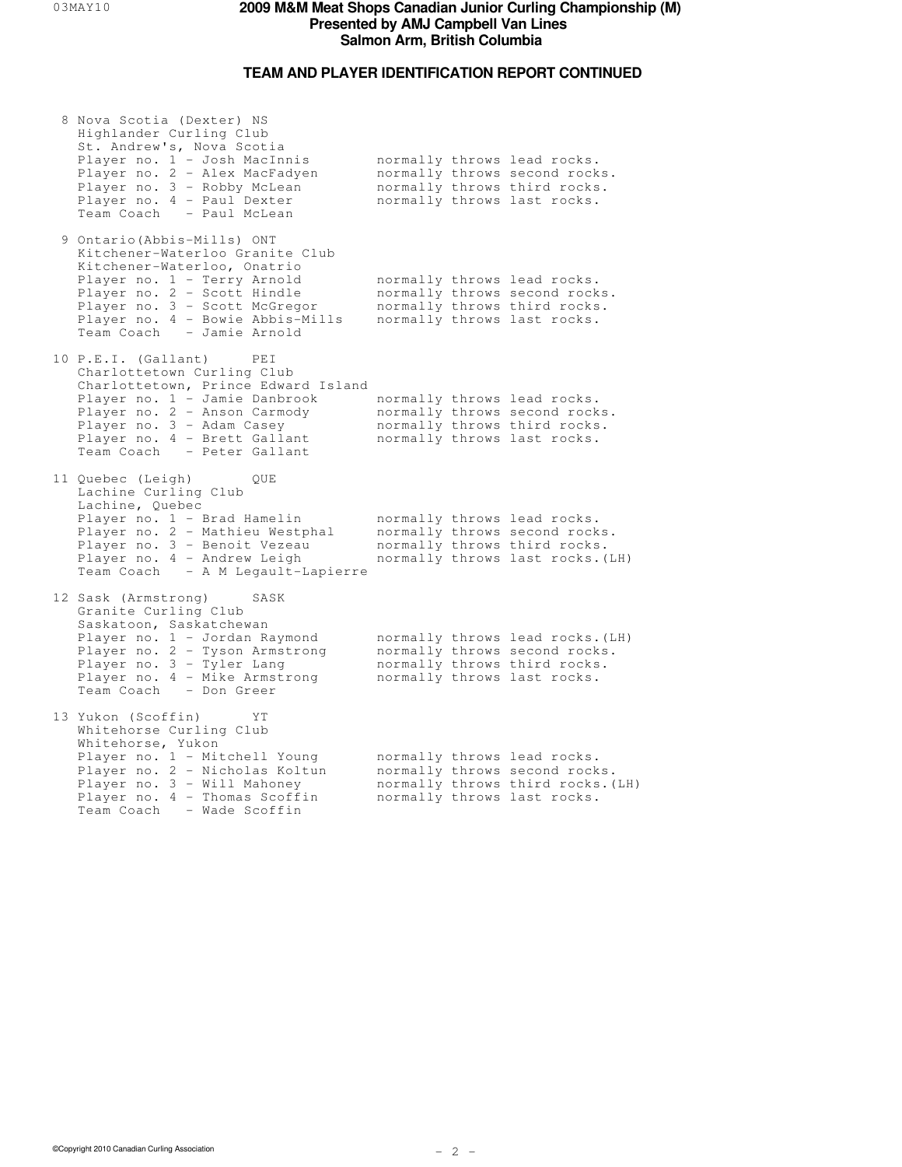# **TEAM AND PLAYER IDENTIFICATION REPORT CONTINUED**

| 8 Nova Scotia (Dexter) NS<br>Highlander Curling Club<br>St. Andrew's, Nova Scotia<br>Player no. 1 - Josh MacInnis<br>Player no. 2 - Alex MacFadyen<br>Player no. 3 - Robby McLean<br>Player no. 4 - Paul Dexter<br>Team Coach - Paul McLean                   |  | normally throws lead rocks.<br>normally throws second rocks.<br>normally throws third rocks.<br>normally throws last rocks.      |
|---------------------------------------------------------------------------------------------------------------------------------------------------------------------------------------------------------------------------------------------------------------|--|----------------------------------------------------------------------------------------------------------------------------------|
| 9 Ontario (Abbis-Mills) ONT<br>Kitchener-Waterloo Granite Club<br>Kitchener-Waterloo, Onatrio<br>Player no. 1 - Terry Arnold<br>Player no. 2 - Scott Hindle<br>Player no. 3 - Scott McGregor<br>Player no. 4 - Bowie Abbis-Mills<br>Team Coach - Jamie Arnold |  | normally throws lead rocks.<br>normally throws second rocks.<br>normally throws third rocks.<br>normally throws last rocks.      |
| 10 P.E.I. (Gallant)<br>PEI<br>Charlottetown Curling Club<br>Charlottetown, Prince Edward Island<br>Player no. 1 - Jamie Danbrook<br>Player no. 2 - Anson Carmody<br>Player no. 3 - Adam Casey<br>Player no. 4 - Brett Gallant<br>Team Coach - Peter Gallant   |  | normally throws lead rocks.<br>normally throws second rocks.<br>normally throws third rocks.<br>normally throws last rocks.      |
| 11 Quebec (Leigh)<br>QUE<br>Lachine Curling Club<br>Lachine, Quebec<br>Player no. 1 - Brad Hamelin<br>Player no. 2 - Mathieu Westphal<br>Player no. 3 - Benoit Vezeau<br>Player no. 4 - Andrew Leigh<br>Team Coach - A M Legault-Lapierre                     |  | normally throws lead rocks.<br>normally throws second rocks.<br>normally throws third rocks.<br>normally throws last rocks. (LH) |
| 12 Sask (Armstrong)<br>SASK<br>Granite Curling Club<br>Saskatoon, Saskatchewan<br>Player no. 1 - Jordan Raymond<br>Player no. 2 - Tyson Armstrong<br>Player no. 3 - Tyler Lang<br>Player no. 4 - Mike Armstrong<br>Team Coach - Don Greer                     |  | normally throws lead rocks. (LH)<br>normally throws second rocks.<br>normally throws third rocks.<br>normally throws last rocks. |
| 13 Yukon (Scoffin)<br>ΥT<br>Whitehorse Curling Club<br>Whitehorse, Yukon<br>Player no. 1 - Mitchell Young<br>Player no. 2 - Nicholas Koltun<br>Player no. 3 - Will Mahoney<br>Player no. 4 - Thomas Scoffin<br>Team Coach<br>- Wade Scoffin                   |  | normally throws lead rocks.<br>normally throws second rocks.<br>normally throws third rocks. (LH)<br>normally throws last rocks. |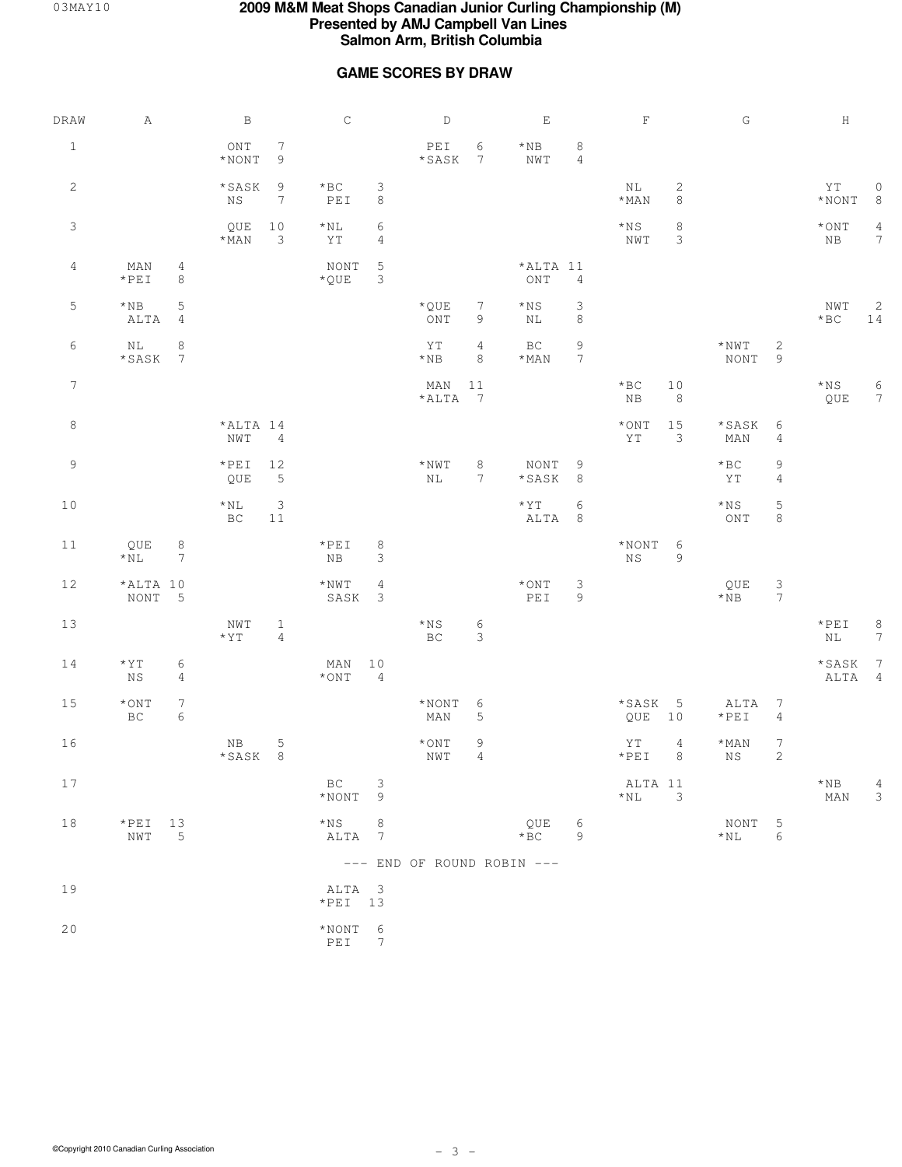### **GAME SCORES BY DRAW**

| DRAW            | Α                                                  |                               | $\, {\bf B}$                            |                                   | $\mathsf C$                                                                               |                                 | $\mathbb D$                                                          |                      | $\mathbf E$                        |                               | $\mathbf F$               |                                | G                        |                                   | $\rm H$                |                                   |
|-----------------|----------------------------------------------------|-------------------------------|-----------------------------------------|-----------------------------------|-------------------------------------------------------------------------------------------|---------------------------------|----------------------------------------------------------------------|----------------------|------------------------------------|-------------------------------|---------------------------|--------------------------------|--------------------------|-----------------------------------|------------------------|-----------------------------------|
| $\mathbf{1}$    |                                                    |                               | $\mathop{\rm ONT}\nolimits$<br>$*$ NONT | 7<br>$\overline{9}$               |                                                                                           |                                 | $\ensuremath{\mathop{\rm PE}}\ensuremath{\mathbbm{1}}$<br>$*$ SASK 7 | 6                    | $\star$ NB<br>NWT                  | 8<br>$\overline{4}$           |                           |                                |                          |                                   |                        |                                   |
| $\mathbf{2}$    |                                                    |                               | *SASK<br>NS                             | $\overline{9}$<br>$7\phantom{.0}$ | $\star$ BC<br>$\ensuremath{\mathop{\rm P}\mathbb{E}}\ensuremath{\mathop{\rm I}\nolimits}$ | 3<br>8                          |                                                                      |                      |                                    |                               | NL<br>$\star$ MAN         | $\mathbf{2}$<br>$\,8\,$        |                          |                                   | YT<br>$\star$ NONT     | $\circ$<br>8                      |
| 3               |                                                    |                               | QUE 10<br>$*$ MAN                       | $\overline{\phantom{a}}$          | ${}^\star \rm NL$<br>ΥT                                                                   | 6<br>4                          |                                                                      |                      |                                    |                               | $\star{}_{\rm NS}$<br>NWT | 8<br>$\ensuremath{\mathsf{3}}$ |                          |                                   | $^\star$ ONT<br>NB     | $\overline{4}$<br>$7\phantom{.0}$ |
| $\overline{4}$  | MAN<br>$*PEI$                                      | 4<br>$\,8\,$                  |                                         |                                   | NONT<br>$\star$ QUE                                                                       | $\mathsf 5$<br>3                |                                                                      |                      | *ALTA 11<br>ONT                    | $\overline{4}$                |                           |                                |                          |                                   |                        |                                   |
| 5               | $^\star\!\!\!\!\!\!\!\mathbb{N}\mathbb{B}$<br>ALTA | $\mathsf S$<br>$\overline{4}$ |                                         |                                   |                                                                                           |                                 | $\star$ QUE<br>ONT                                                   | 7<br>$\mathcal{G}$   | $*_{\rm NS}$<br>ΝL                 | 3<br>$\,8\,$                  |                           |                                |                          |                                   | NWT<br>$*$ BC          | 2<br>14                           |
| 6               | NL<br>*SASK 7                                      | $\,8\,$                       |                                         |                                   |                                                                                           |                                 | YT<br>$\star$ NB                                                     | $\overline{4}$<br>8  | $\operatorname{BC}$<br>$\star$ MAN | $\mathsf 9$<br>$7\phantom{.}$ |                           |                                | $^{\star}$ NWT<br>NONT 9 | $\sqrt{2}$                        |                        |                                   |
| $7\phantom{.0}$ |                                                    |                               |                                         |                                   |                                                                                           |                                 | MAN 11<br>$*ALTA$ 7                                                  |                      |                                    |                               | $*$ BC<br>$_{\rm NB}$     | 10<br>$\,8\,$                  |                          |                                   | $*_{\rm NS}$<br>QUE    | 6<br>$7\phantom{.0}$              |
| 8               |                                                    |                               | *ALTA 14<br>NWT <sub>4</sub>            |                                   |                                                                                           |                                 |                                                                      |                      |                                    |                               | $\star$ ONT<br>YT         | 15<br>3                        | *SASK<br>MAN             | 6<br>$\overline{4}$               |                        |                                   |
| 9               |                                                    |                               | $*PEI$<br>QUE                           | 12<br>$\overline{5}$              |                                                                                           |                                 | $^{\star}$ NWT<br>$\rm NL$                                           | 8<br>$7\phantom{.0}$ | NONT<br>*SASK                      | 9<br>$\,8\,$                  |                           |                                | $*$ BC<br>ΥT             | $\mathsf 9$<br>$\sqrt{4}$         |                        |                                   |
| 10              |                                                    |                               | $*_{\rm NL}$<br>BC                      | $\ensuremath{\mathsf{3}}$<br>11   |                                                                                           |                                 |                                                                      |                      | $*$ Y T<br>ALTA 8                  | $\sqrt{6}$                    |                           |                                | $*_{\rm NS}$<br>ONT      | $\mathsf S$<br>8                  |                        |                                   |
| 11              | QUE<br>$*_{\rm NL}$                                | 8<br>$7\phantom{.0}$          |                                         |                                   | $*PEI$<br>NB                                                                              | 8<br>3                          |                                                                      |                      |                                    |                               | $*NONT$ 6<br>NS           | $\mathsf 9$                    |                          |                                   |                        |                                   |
| 12              | *ALTA 10<br>NONT 5                                 |                               |                                         |                                   | $^{\star}$ NWT<br>SASK                                                                    | $\overline{4}$<br>$\mathcal{E}$ |                                                                      |                      | $^\star$ ON T<br>PEI               | $\mathsf 3$<br>$\overline{9}$ |                           |                                | QUE<br>$*$ NB            | $\frac{3}{7}$                     |                        |                                   |
| 13              |                                                    |                               | NWT<br>$*_{\Upsilon\Upsilon}$           | $\mathbf{1}$<br>$\sqrt{4}$        |                                                                                           |                                 | $\star{}$ NS<br>BC                                                   | 6<br>$\mathfrak{Z}$  |                                    |                               |                           |                                |                          |                                   | $\star$ PEI<br>NL      | 8<br>$7\phantom{.0}$              |
| 14              | $\star$ Y T<br>ΝS                                  | 6<br>$\overline{4}$           |                                         |                                   | MAN<br>$*$ ONT                                                                            | 10<br>$\overline{4}$            |                                                                      |                      |                                    |                               |                           |                                |                          |                                   | $\star$ SASK<br>ALTA 4 | $\overline{7}$                    |
| 15              | $^\star$ ONT<br>BC                                 | $\boldsymbol{7}$<br>6         |                                         |                                   |                                                                                           |                                 | $^\star$ NONT<br>MAN                                                 | 6<br>$\mathsf S$     |                                    |                               | *SASK 5<br>QUE 10         |                                | ALTA<br>$*PEI$           | $7\phantom{.0}$<br>$\overline{4}$ |                        |                                   |
| 16              |                                                    |                               | $_{\rm NB}$<br>*SASK 8                  | $\mathsf S$                       |                                                                                           |                                 | $*$ ONT<br>NWT                                                       | 9<br>$\overline{4}$  |                                    |                               | ΥT<br>$*PEI$              | $\overline{4}$<br>8            | $*$ MAN<br>NS            | $\boldsymbol{7}$<br>$\sqrt{2}$    |                        |                                   |
| 17              |                                                    |                               |                                         |                                   | BC<br>$*NONT$ 9                                                                           | 3                               |                                                                      |                      |                                    |                               | ALTA 11<br>$*_{\rm NL}$   | $\overline{\phantom{a}}$ 3     |                          |                                   | $*_{\rm NB}$<br>MAN    | 4<br>3                            |
| 18              | $*PEI$ 13<br>NWT                                   | $5^{\circ}$                   |                                         |                                   | $*_{\rm NS}$<br>ALTA 7                                                                    | $\,8\,$                         |                                                                      |                      | QUE 6<br>$*$ BC                    | 9                             |                           |                                | NONT 5<br>$*_{\rm NL}$   | 6                                 |                        |                                   |
|                 |                                                    |                               |                                         |                                   |                                                                                           |                                 |                                                                      |                      | --- END OF ROUND ROBIN ---         |                               |                           |                                |                          |                                   |                        |                                   |
| 19              |                                                    |                               |                                         |                                   | ALTA 3<br>$*PEI$ 13                                                                       |                                 |                                                                      |                      |                                    |                               |                           |                                |                          |                                   |                        |                                   |
| 20              |                                                    |                               |                                         |                                   | $*NONT$ 6<br>$PEI$ 7                                                                      |                                 |                                                                      |                      |                                    |                               |                           |                                |                          |                                   |                        |                                   |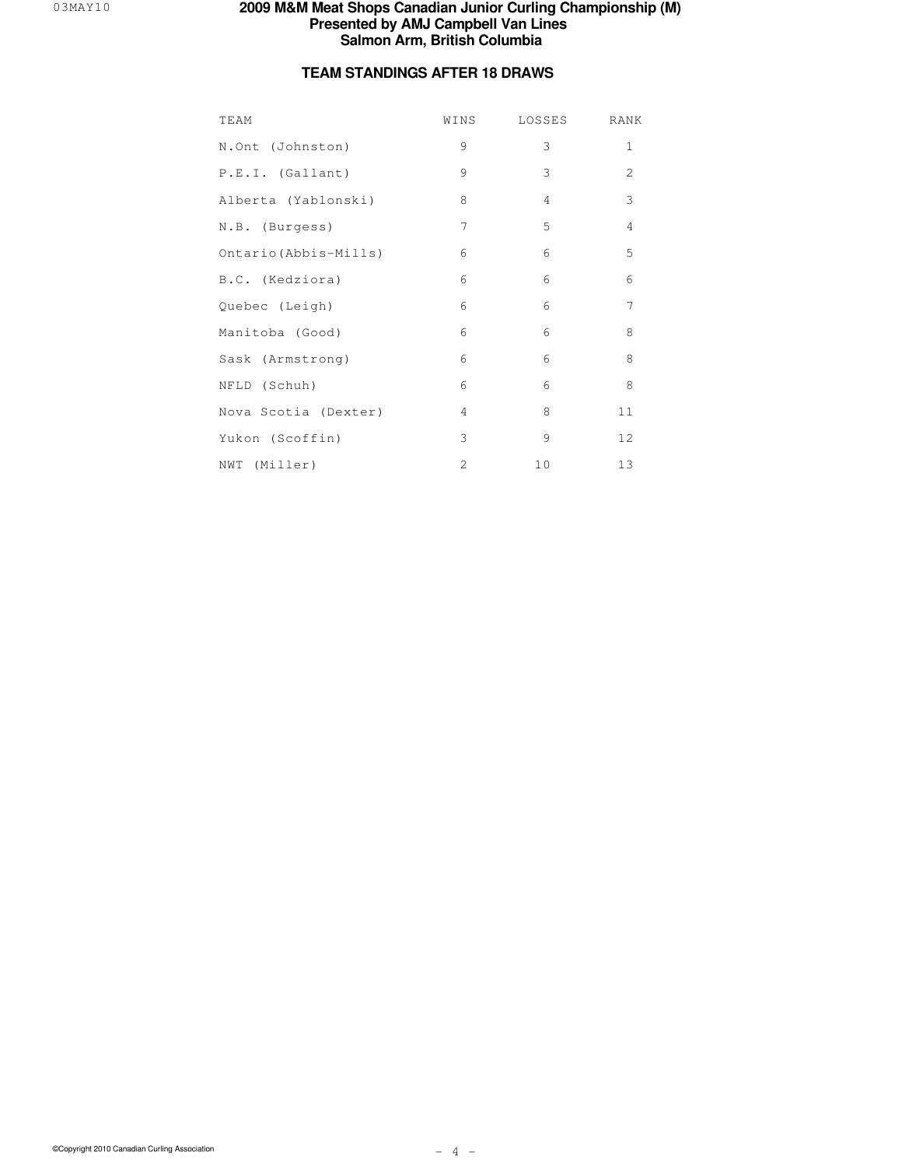# **TEAM STANDINGS AFTER 18 DRAWS**

| TEAM                  | WINS           | LOSSES         | RANK           |
|-----------------------|----------------|----------------|----------------|
| N.Ont (Johnston)      | 9              | 3              | 1              |
| P.E.I. (Gallant)      | 9              | 3              | $\overline{2}$ |
| Alberta (Yablonski)   | 8              | $\overline{4}$ | 3              |
| N.B. (Burgess)        | $\overline{7}$ | 5              | $\overline{4}$ |
| Ontario (Abbis-Mills) | 6              | 6              | 5              |
| B.C. (Kedziora)       | 6              | 6              | 6              |
| Quebec (Leigh)        | 6              | 6              | 7              |
| Manitoba (Good)       | 6              | 6              | 8              |
| Sask (Armstrong)      | 6              | 6              | 8              |
| NFLD (Schuh)          | 6              | 6              | 8              |
| Nova Scotia (Dexter)  | $\overline{4}$ | 8              | 11             |
| Yukon (Scoffin)       | 3              | 9              | 12             |
| NWT (Miller)          | $\overline{2}$ | 10             | 13             |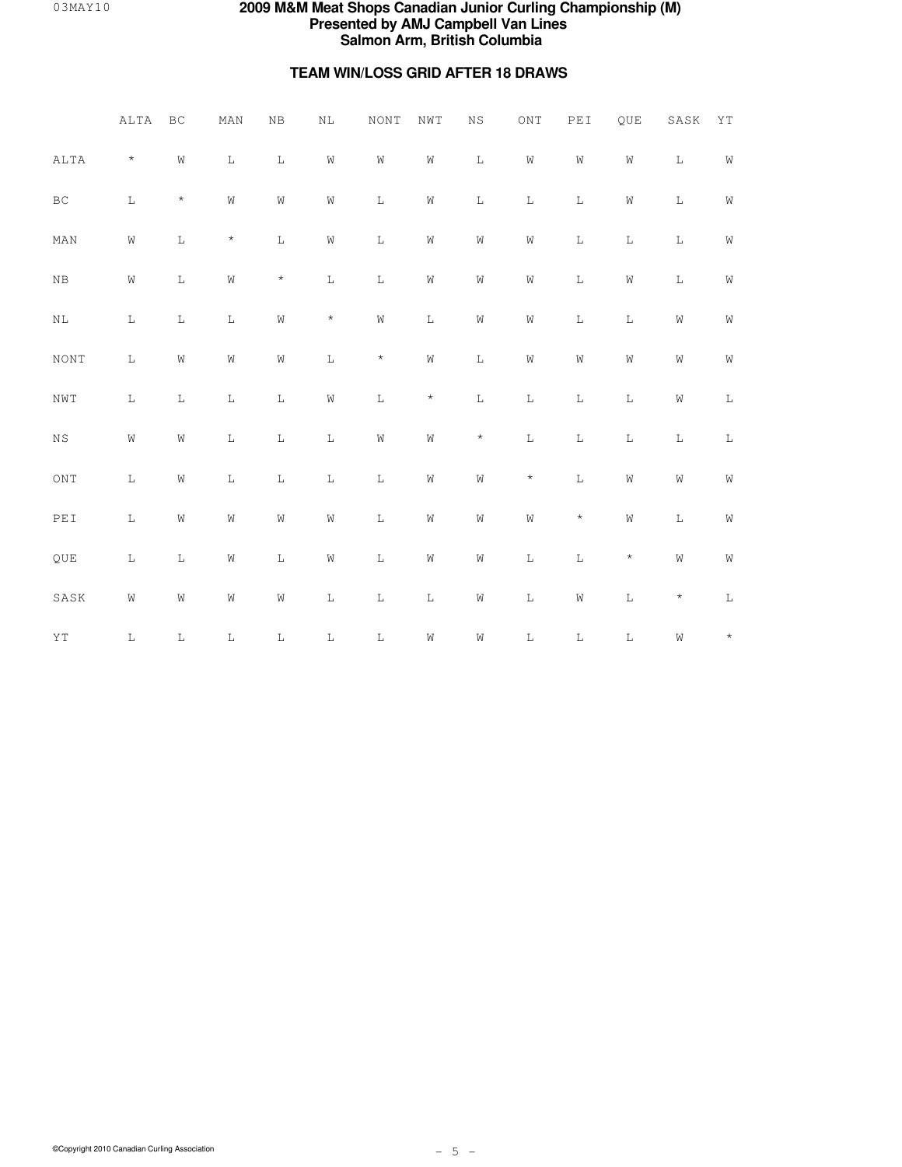# **TEAM WIN/LOSS GRID AFTER 18 DRAWS**

|                             | ALTA        | $\operatorname{BC}$ | MAN            | NB             | $\rm NL$       | <b>NONT</b> | NWT            | $_{\rm NS}$    | $\overline{\text{ONT}}$ | PEI         | QUE            | $_{\rm SASK}$  | ΥT          |
|-----------------------------|-------------|---------------------|----------------|----------------|----------------|-------------|----------------|----------------|-------------------------|-------------|----------------|----------------|-------------|
| ALTA                        | $\star$     | $\rm W$             | $\mathbb L$    | $\mathbf L$    | $\hbox{W}$     | W           | $\mathbb W$    | $\mathbf L$    | ${\rm W}$               | W           | $\mbox{W}$     | $\mathbf L$    | $\mathbf W$ |
| $\operatorname{BC}$         | $\mathbb L$ | $^{\star}$          | $\hbox{\it W}$ | $\hbox{W}$     | $\hbox{\it W}$ | $\mathbb L$ | ${\rm W}$      | $\mathbf L$    | $\mathbb L$             | $\mathbb L$ | $\mbox{W}$     | $\mathbf L$    | $\mathbf W$ |
| MAN                         | W           | $\mathbf L$         | $\star$        | $\mathbb L$    | $\hbox{\it W}$ | $\mathbb L$ | ${\tt W}$      | $\hbox{\it W}$ | $\hbox{\it W}$          | $\mathbb L$ | $\mathbf L$    | $\mathbb L$    | W           |
| ${\rm NB}$                  | W           | $\mathbb L$         | ${\tt W}$      | $\star$        | $\mathbb L$    | $\mathbb L$ | ${\tt W}$      | $\hbox{\it W}$ | $\hbox{\it W}$          | $\mathbb L$ | ${\rm W}$      | $\mathbb L$    | $\hbox{W}$  |
| $\rm NL$                    | $\mathbb L$ | $\mathbf L$         | $\mathbf L$    | W              | $\star$        | W           | $\mathbb L$    | W              | $\hbox{W}$              | $\mathbf L$ | $\mathbf L$    | $\hbox{\it W}$ | ${\tt W}$   |
| <b>NONT</b>                 | $\mathbb L$ | $\rm W$             | $\hbox{\it W}$ | $\hbox{\it W}$ | $\mathbb L$    | $\star$     | $\hbox{\it W}$ | $\mathbf L$    | $\rm W$                 | $\rm W$     | $\hbox{\it W}$ | $\hbox{\it W}$ | $\mathbb W$ |
| NWT                         | $\mathbb L$ | $\mathbf L$         | $\mathbb L$    | $\mathbf L$    | $\hbox{W}$     | $\mathbf L$ | $\star$        | $\mathbf L$    | $\mathbf L$             | $\mathbf L$ | $\mathbf L$    | ${\rm W}$      | $\mathbb L$ |
| $_{\rm NS}$                 | $\mbox{W}$  | $\rm W$             | $\mathbb L$    | $\mathbb L$    | $\mathbf L$    | W           | W              | $\star$        | $\mathbb L$             | $\mathbb L$ | $\mathbb L$    | $\mathbf L$    | $\mathbf L$ |
| $\mathop{\rm ONT}\nolimits$ | $\mathbb L$ | W                   | $\mathbb L$    | $\mathbf L$    | $\mathbb L$    | $\mathbb L$ | ${\tt W}$      | $\hbox{\it W}$ | $\star$                 | $\mathbb L$ | ${\rm W}$      | $\hbox{\it W}$ | $\mathbb W$ |
| PEI                         | $\mathbb L$ | W                   | ${\tt W}$      | $\hbox{\it W}$ | $\hbox{\it W}$ | $\mathbb L$ | ${\tt W}$      | $\hbox{\it W}$ | $\hbox{\it W}$          | $\star$     | $\hbox{\it W}$ | $\mathbb L$    | $\hbox{W}$  |
| QUE                         | $\mathbb L$ | $\mathbf L$         | $\hbox{W}$     | $\mathbb L$    | ${\tt W}$      | $\mathbb L$ | ${\tt W}$      | $\hbox{\it W}$ | $\mathbb L$             | $\mathbf L$ | $\star$        | W              | $\mathbb W$ |
| SASK                        | W           | W                   | $\hbox{W}$     | $\hbox{\it W}$ | $\mathbb L$    | $\mathbf L$ | $\mathbb L$    | $\hbox{\it W}$ | $\mathbb L$             | $\rm W$     | $\mathbf L$    | $\star$        | $\mathbb L$ |
| $\Upsilon\,\Upsilon$        | L           | $\mathbf L$         | $\mathbb L$    | $\mathbf L$    | $\mathbf L$    | $\mathbb L$ | W              | W              | $\mathbb L$             | $\mathbf L$ | $\mathbf L$    | W              | $\star$     |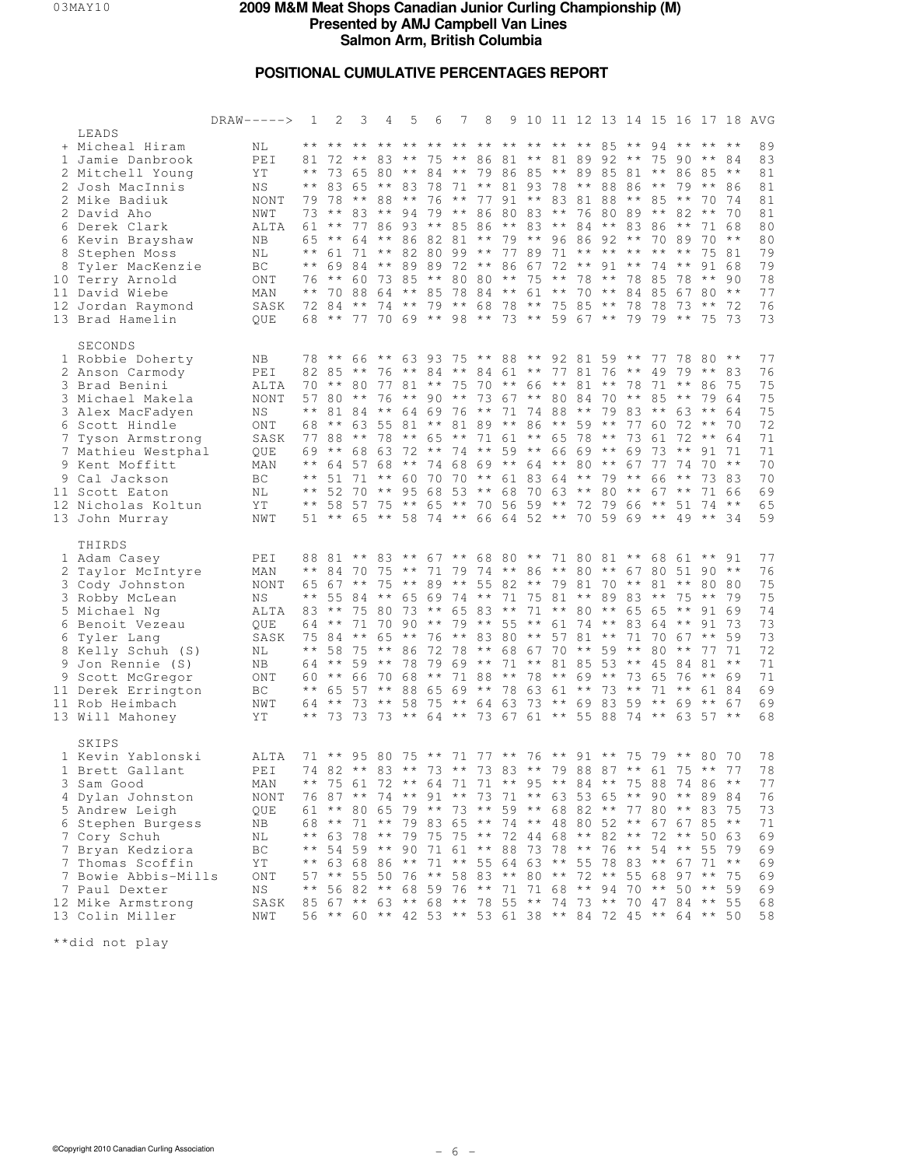# **POSITIONAL CUMULATIVE PERCENTAGES REPORT**

|              |                                                                                                                                                                                                                                                                            | $DRAW-----$                                                                                        | 1                                                                                            | 2                                                                             | 3                                                                                                                                                                                                                                                                                                                                                                                                                                                                                                                                                                                                                       | 4                          | 5                                                                                                                                                                                                                                                                                                                                   | 6  | 7                      | 8                                                                                                                                                                                     |    |             |                               |                                                    |                             |                                                                 |                                                                                 |                                                                     | 9 10 11 12 13 14 15 16 17 18 AVG                                                 |
|--------------|----------------------------------------------------------------------------------------------------------------------------------------------------------------------------------------------------------------------------------------------------------------------------|----------------------------------------------------------------------------------------------------|----------------------------------------------------------------------------------------------|-------------------------------------------------------------------------------|-------------------------------------------------------------------------------------------------------------------------------------------------------------------------------------------------------------------------------------------------------------------------------------------------------------------------------------------------------------------------------------------------------------------------------------------------------------------------------------------------------------------------------------------------------------------------------------------------------------------------|----------------------------|-------------------------------------------------------------------------------------------------------------------------------------------------------------------------------------------------------------------------------------------------------------------------------------------------------------------------------------|----|------------------------|---------------------------------------------------------------------------------------------------------------------------------------------------------------------------------------|----|-------------|-------------------------------|----------------------------------------------------|-----------------------------|-----------------------------------------------------------------|---------------------------------------------------------------------------------|---------------------------------------------------------------------|----------------------------------------------------------------------------------|
| $\mathbf{1}$ | LEADS<br>+ Micheal Hiram<br>Jamie Danbrook<br>2 Mitchell Young<br>2 Josh MacInnis<br>2 Mike Badiuk<br>2 David Aho<br>6 Derek Clark<br>6 Kevin Brayshaw<br>8 Stephen Moss<br>8 Tyler MacKenzie<br>10 Terry Arnold<br>11 David Wiebe<br>12 Jordan Raymond<br>13 Brad Hamelin | ΝL<br>PEI<br>ΥT<br>ΝS<br>NONT<br>NWT<br>ALTA<br>NΒ<br>ΝL<br>ВC<br>ONT<br>MAN<br>SASK<br><b>OUE</b> | $\star\star$<br>$\star\,\star$<br>$\star\,\star$<br>$\star\,\star$<br>$\star\star$           | * * * *<br>81 72<br>83<br>79 78<br>$73***$<br>61 **<br>65 **<br>69<br>$76***$ | 73 65 80 ** 84 ** 79 86 85 ** 89 85 81 **<br>64<br>61 71 ** 82 80 99 ** 77 89 71 ** ** ** **<br>70 88 64 **<br>72 84 ** 74 ** 79 ** 68 78 ** 75 85 ** 78 78<br>68 ** 77 70 69 ** 98 ** 73 ** 59 67 ** 79 79 **                                                                                                                                                                                                                                                                                                                                                                                                          |                            | ** ** ** ** ** ** ** ** ** ** ** 85 ** 94 ** **<br>** 83 ** 75 ** 86 81 ** 81 89 92 ** 75 90 ** 84<br>65 ** 83 78 71 ** 81 93 78 ** 88 86<br>$***$ 88 **<br>83 ** 94 79 ** 86 80 83 ** 76 80 89 ** 82<br>77 86 93 ** 85 86 **<br>** 86 82 81<br>84 ** 89 89 72 ** 86 67 72 ** 91 ** 74 **<br>60 73 85 ** 80 80 ** 75 ** 78 ** 78 85 | 76 | $\star \star$<br>85 78 | 77 91 ** 83 81 88 ** 85 **<br>$84***$                                                                                                                                                 |    |             | 61 ** 70 **                   | 83 ** 84 ** 83 86 **<br>** 79 ** 96 86 92 ** 70 89 | $\star \star$<br>84 85      | 79<br>$\star\star$<br>78 ** 90<br>67<br>$73***$                 | 86 85 **<br>$\star \star$<br>70 74<br>$\star\star$<br>71 68<br>$70***$<br>75 73 | * *<br>86<br>70<br>75 81<br>91 68<br>$80**$<br>72                   | 89<br>83<br>81<br>81<br>81<br>81<br>80<br>80<br>79<br>79<br>78<br>77<br>76<br>73 |
|              | SECONDS<br>1 Robbie Doherty<br>2 Anson Carmody<br>3 Brad Benini<br>3 Michael Makela<br>3 Alex MacFadyen<br>6 Scott Hindle<br>7 Tyson Armstrong<br>7 Mathieu Westphal<br>9 Kent Moffitt<br>9 Cal Jackson<br>11 Scott Eaton<br>12 Nicholas Koltun<br>13 John Murray          | ΝB<br>PEI<br>ALTA<br><b>NONT</b><br>N S<br>ONT<br>SASK<br>QUE<br>MAN<br>ВC<br>ΝL<br>ΥT<br>NWT      | $\star\star$<br>69<br>$\star \star$<br>$\star\,\star$<br>$\star \star$<br>* *                | $8285**$<br>57 80 **<br>68 **<br>$\star \star$<br>$51***$                     | 78 ** 66 ** 63 93 75 ** 88 ** 92 81 59 ** 77 78 80 **<br>70 ** 80 77 81 ** 75 70 ** 66 ** 81 ** 78 71 **<br>81 84 **<br>77 88 ** 78 ** 65 **<br>68 63<br>64 57 68<br>51 71 ** 60 70 70 ** 61 83 64 ** 79 **<br>52 70 ** 95 68 53 ** 68 70 63 ** 80 ** 67 **<br>58 57 75 **                                                                                                                                                                                                                                                                                                                                              | 76                         | 76 ** 84 ** 84 61 ** 77 81 76 ** 49<br>$\star \star$<br>63 55 81 ** 81 89 ** 86 ** 59 ** 77 60<br>72<br>** 74 68 69 ** 64 ** 80 **<br>65 ** 58 74 ** 66 64 52 ** 70 59 69 **                                                                                                                                                        |    |                        | 90 ** 73 67 ** 80 84 70 ** 85 **<br>64 69 76 ** 71 74 88 ** 79 83 ** 63 **<br>71 61 ** 65 78 ** 73 61<br>** 74 ** 59 ** 66 69 **<br>65 ** 70 56 59 ** 72 79 66 ** 51                  |    |             |                               | 69<br>67                                           | 73<br>77<br>66              | $79***$<br>$72**$<br>$\star \star$<br>74<br>$\star\star$        | 86<br>$72***64$<br>$70**$<br>49 ** 34                                           | 83<br>75<br>79 64<br>64<br>70<br>91 71<br>73 83<br>71 66<br>$74***$ | 77<br>76<br>75<br>75<br>75<br>72<br>71<br>71<br>70<br>70<br>69<br>65<br>59       |
|              | THIRDS<br>1 Adam Casey<br>2 Taylor McIntyre<br>3 Cody Johnston<br>3 Robby McLean<br>5 Michael Ng<br>6 Benoit Vezeau<br>6 Tyler Lang<br>8 Kelly Schuh (S)<br>9 Jon Rennie (S)<br>9 Scott McGregor<br>11 Derek Errington<br>11 Rob Heimbach<br>13 Will Mahoney               | PEI<br>MAN<br>NONT<br>ΝS<br>ALTA<br>OUE<br>SASK<br>ΝL<br>ΝB<br>ONT<br>ВC<br>NWT<br>ΥT              | $\star\star$<br>$\star\star$<br>83<br>$\star\,\star$<br>64<br>$\star\star$<br>$\star\,\star$ | 88 81<br>$\star\star$<br>64 **<br>$\star \star$<br>60 **<br>64 **             | 84 70 75 ** 71 79 74 ** 86 ** 80 **<br>65 67 ** 75 **<br>55 84 ** 65 69 74 ** 71 75 81 ** 89 83 **<br>71<br>75 84 ** 65<br>58 75 ** 86<br>$59***$<br>66<br>65 57 ** 88 65 69 ** 78 63 61 ** 73 ** 71 **<br>73 ** 58 75 ** 64 63<br>73 73 73 ** 64 ** 73 67 61 ** 55 88 74 **                                                                                                                                                                                                                                                                                                                                            | ** 83<br>75 80<br>70<br>70 | $73***$<br>** 76 ** 83 80 ** 57 81 ** 71<br>78<br>68                                                                                                                                                                                                                                                                                | 79 |                        | ** 67 ** 68 80 ** 71 80 81 ** 68 61 **<br>89 ** 55 82 ** 79 81 70 ** 81 **<br>65 83 **<br>90 ** 79 ** 55 ** 61 74 ** 83 64 **<br>72 78 ** 68 67 70 ** 59 **<br>$69$ **<br>** 71 88 ** | 71 | 78 ** 69 ** | $71***80**$<br>** 81 85 53 ** | 73 65<br>73 ** 69 83 59 **                         | $67805190**$<br>65 65<br>45 | $75***$<br>$\star \star$<br>$7067**$<br>80 ** 77 71<br>84<br>76 | 91<br>$81***$<br>** 69<br>$69$ ** $67$<br>$63\ 57**$                            | 91<br>80 80<br>79<br>91 69<br>73<br>59<br>61 84                     | 77<br>76<br>75<br>75<br>74<br>73<br>73<br>72<br>71<br>71<br>69<br>69<br>68       |
|              | SKIPS<br>1 Kevin Yablonski<br>1 Brett Gallant<br>3 Sam Good<br>4 Dylan Johnston<br>5 Andrew Leigh<br>6 Stephen Burgess<br>7 Cory Schuh<br>7 Bryan Kedziora<br>7 Thomas Scoffin<br>7 Bowie Abbis-Mills<br>7 Paul Dexter<br>12 Mike Armstrong<br>13 Colin Miller             | ALTA<br>PEI<br>MAN<br>NONT<br>QUE<br>ΝB<br>ΝL<br>BC<br>ΥT<br>ONT<br>ΝS<br>SASK<br>NWT              | * *                                                                                          | 68 **                                                                         | 71 ** 95 80 75 ** 71 77 ** 76 ** 91 ** 75 79 ** 80 70<br>74 82 ** 83<br>** 75 61 72 ** 64 71 71 ** 95 ** 84 ** 75 88 74 86 **<br>76 87 ** 74 ** 91 ** 73 71 ** 63 53 65 ** 90 ** 89 84<br>61 ** 80 65 79 ** 73 ** 59 ** 68 82 ** 77 80 ** 83 75<br>71 ** 79 83 65 ** 74 ** 48 80 52 ** 67 67 85 **<br>** 63 78 **<br>54 59 **<br>** 63 68 86 ** 71 ** 55 64 63 ** 55 78 83 ** 67 71 **<br>57 ** 55 50 76 ** 58 83 ** 80 ** 72 ** 55 68 97 **<br>** 56 82 ** 68 59 76 ** 71 71 68 ** 94 70 ** 50 ** 59<br>85 67 ** 63 ** 68 ** 78 55 ** 74 73 ** 70 47 84 ** 55<br>56 ** 60 ** 42 53 ** 53 61 38 ** 84 72 45 ** 64 ** 50 |                            | 79 75 75 ** 72 44 68 ** 82 ** 72 ** 50 63                                                                                                                                                                                                                                                                                           |    |                        | ** 73 ** 73 83 ** 79 88 87 ** 61 75 **<br>90 71 61 ** 88 73 78 ** 76 ** 54 ** 55 79                                                                                                   |    |             |                               |                                                    |                             |                                                                 |                                                                                 | 77<br>75                                                            | 78<br>78<br>77<br>76<br>73<br>71<br>69<br>69<br>69<br>69<br>69<br>68<br>58       |

\*\*did not play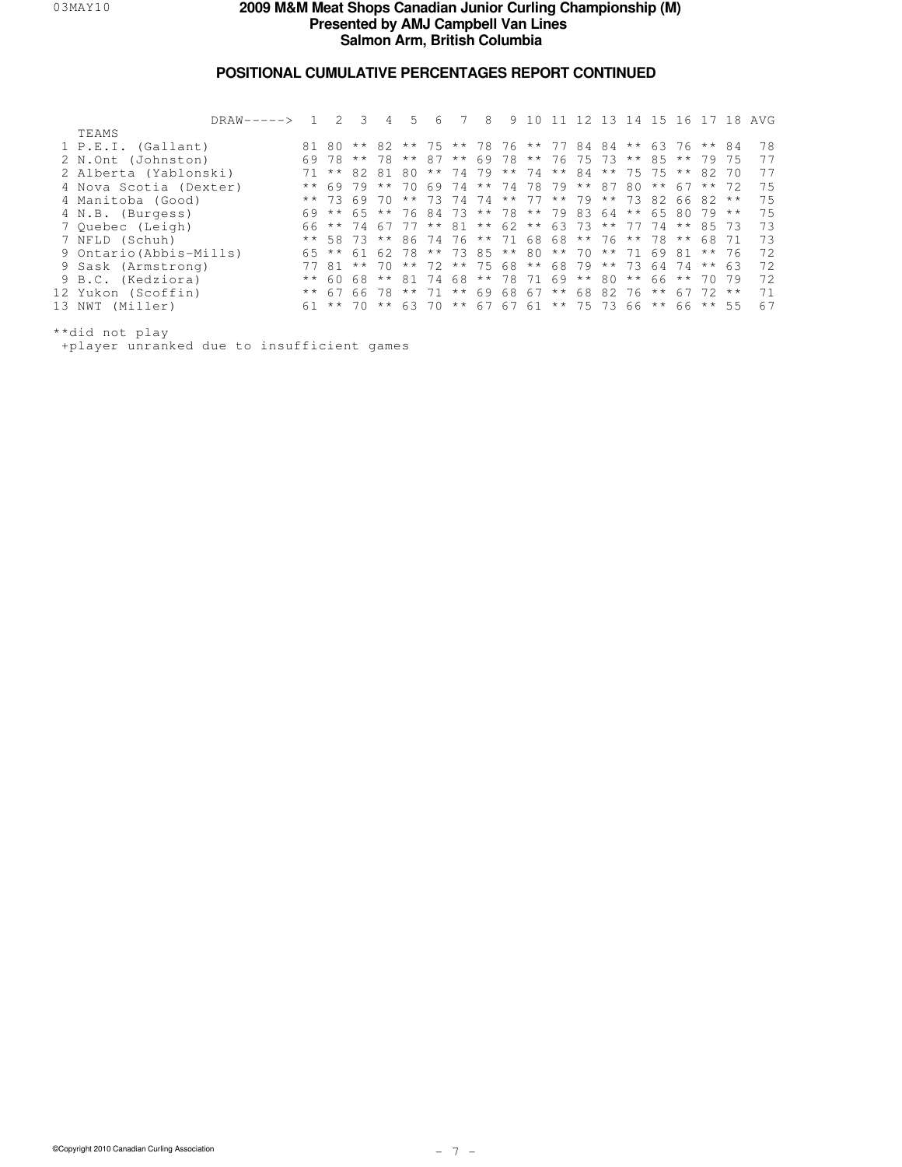### **POSITIONAL CUMULATIVE PERCENTAGES REPORT CONTINUED**

| DRAW-----> 1            |               | $\mathcal{L}$                                      | - 3       | 4            | 5     | 6 | 8                                         | 9 |  | 10 11 12 13 14 15 16 17 18 |           |          |               |          |              | AVG |
|-------------------------|---------------|----------------------------------------------------|-----------|--------------|-------|---|-------------------------------------------|---|--|----------------------------|-----------|----------|---------------|----------|--------------|-----|
| TEAMS                   |               |                                                    |           |              |       |   |                                           |   |  |                            |           |          |               |          |              |     |
| 1 P.E.I. (Gallant)      |               | 80 ** 82 ** 75 ** 78 76 ** 77 84 84 ** 63 76 ** 84 |           |              |       |   |                                           |   |  |                            |           |          |               |          |              | 78  |
| 2 N.Ont (Johnston)      | 69            | 78                                                 |           | $***$ 78     |       |   | ** 87 ** 69 78 ** 76 75 73 ** 85 ** 79    |   |  |                            |           |          |               |          | 75           | 77  |
| 2 Alberta (Yablonski)   | 71            |                                                    | $**82.81$ |              | 80    |   | ** 74 79 ** 74 ** 84 ** 75 75             |   |  |                            |           |          | $\star \star$ | 82 70    |              | 77  |
| 4 Nova Scotia (Dexter)  | $\star\star$  | 6979                                               |           | $\star\star$ |       |   | 70 69 74 ** 74 78 79 ** 87                |   |  |                            | 80        | $***$ 67 |               | $***$ 72 |              | 75  |
| 4 Manitoba (Good)       |               | $***$ 73                                           | 6970      |              |       |   | ** 73 74 74 ** 77 ** 79 ** 73 82 66       |   |  |                            |           |          |               | $82**$   |              | 75  |
| 4 N.B. (Burgess)        |               | 69 ** 65 ** 76 84 73 ** 78 ** 79 83 64             |           |              |       |   |                                           |   |  |                            | $*$ 65 80 |          |               | 79       | $\star\star$ | 75  |
| 7 Ouebec (Leigh)        |               | 66 ** 74                                           |           | 67           |       |   | 77 ** 81 ** 62 ** 63 73 ** 77 74          |   |  |                            |           |          |               | ** 85 73 |              | 73  |
| 7 NFLD (Schuh)          |               | ** 58 73 ** 86 74 76 ** 71 68 68 ** 76 ** 78       |           |              |       |   |                                           |   |  |                            |           |          | $\star\star$  | 68 71    |              | 73  |
| 9 Ontario (Abbis-Mills) |               | 65 ** 61 62 78 ** 73 85 ** 80 ** 70 ** 71 69 81    |           |              |       |   |                                           |   |  |                            |           |          |               | $***$ 76 |              | 72  |
| 9 Sask (Armstrong)      |               | 7781                                               | $***$ 70  |              |       |   | ** 72 ** 75 68 ** 68 79 ** 73 64 74 ** 63 |   |  |                            |           |          |               |          |              | 72  |
| 9 B.C. (Kedziora)       | $\star \star$ | 60                                                 | 68        | $\star\star$ | 81 74 |   | 68 ** 78 71 69 ** 80                      |   |  |                            | $***$ 66  |          | $\star\star$  | 70.79    |              | 72  |
| 12 Yukon (Scoffin)      |               | $**$ 67 66 78                                      |           |              |       |   | ** 71 ** 69 68 67 ** 68 82 76             |   |  |                            |           | * *      |               | 67 72 ** |              | 71  |
| 13 NWT (Miller)         |               | 61 ** 70 ** 63 70 ** 67 67 61 ** 75 73 66 **       |           |              |       |   |                                           |   |  |                            |           |          |               | 66 ** 55 |              | 67  |
|                         |               |                                                    |           |              |       |   |                                           |   |  |                            |           |          |               |          |              |     |

\*\*did not play

+player unranked due to insufficient games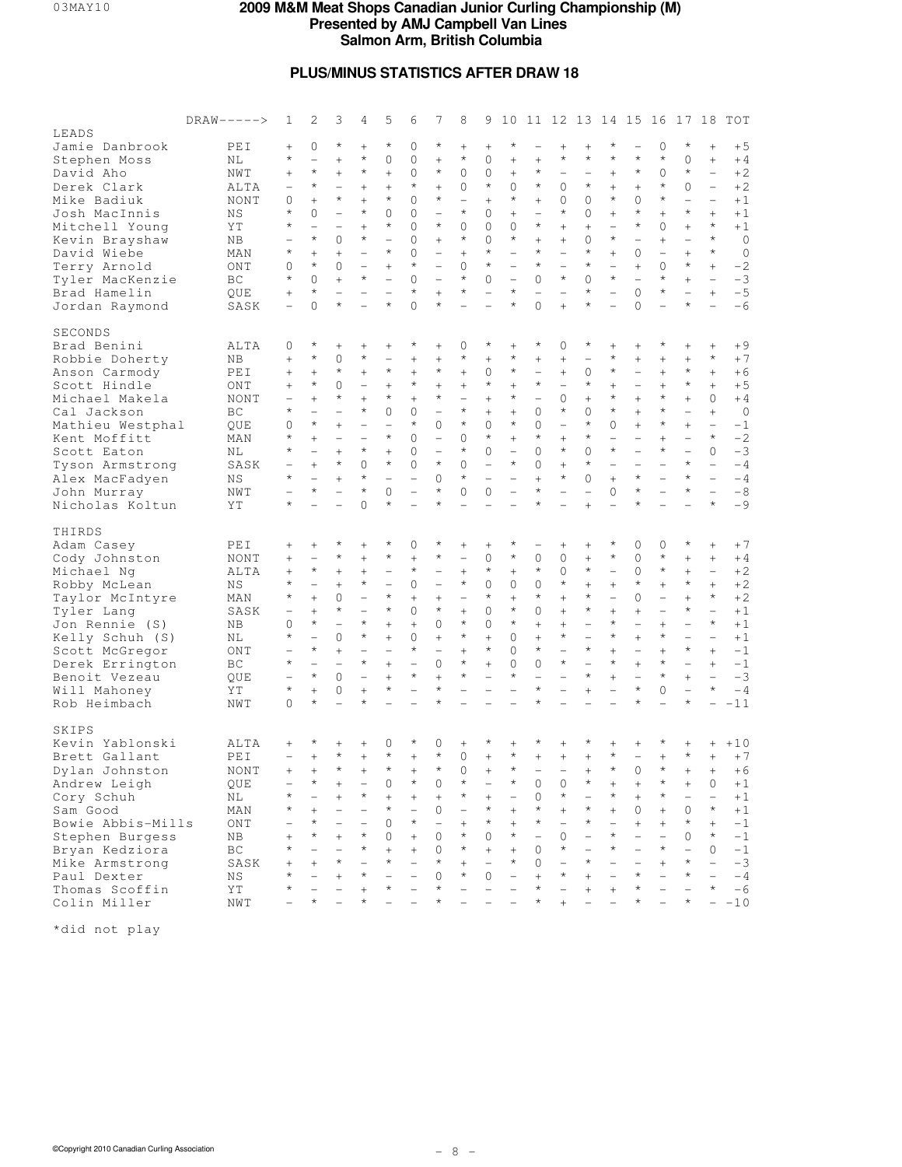## **PLUS/MINUS STATISTICS AFTER DRAW 18**

|                                  | $DRAW-----$ | 1                        | 2                        | 3                        | 4                        | 5                        | 6                        | 7                        | 8                        | 9                        | 10                       |                          |                          | 11 12 13 14 15           |                          |                          | 16                       | 17                       | 18                       | TOT         |
|----------------------------------|-------------|--------------------------|--------------------------|--------------------------|--------------------------|--------------------------|--------------------------|--------------------------|--------------------------|--------------------------|--------------------------|--------------------------|--------------------------|--------------------------|--------------------------|--------------------------|--------------------------|--------------------------|--------------------------|-------------|
| LEADS                            |             |                          |                          |                          |                          |                          |                          |                          |                          |                          |                          |                          |                          |                          |                          |                          |                          |                          |                          |             |
| Jamie Danbrook                   | PEI         | $^{+}$                   | 0                        | $^{\star}$               | $+$                      | $\star$                  | 0                        | $\star$                  | $^{+}$                   | $^{+}$                   | $\star$                  |                          | $^{+}$                   | $^{+}$                   | $^\star$                 | $\qquad \qquad -$        | 0                        | $\star$                  | $^{+}$                   | $+5$        |
| Stephen Moss                     | ΝL          | $^\star$                 | $\overline{\phantom{0}}$ | $^{+}$                   | $\star$                  | $\Omega$                 | $\Omega$                 | $^{+}$                   | $^{\star}$               | $\mathbf{0}$             | $^{+}$                   | $^{+}$                   | $\star$                  | $\star$                  | $\star$                  | $\star$                  | $\star$                  | $\Omega$                 | $+$                      | $+4$        |
| David Aho                        | NWT         | $^{+}$                   | $\star$                  | $^{+}$                   | $\star$                  | $^{+}$                   | $\Omega$                 | $\star$                  | $\Omega$                 | $\mathbf{0}$             | $^{+}$                   | $^{\star}$               | $\qquad \qquad -$        |                          | $^{+}$                   | $\star$                  | $\Omega$                 | $\star$                  | $\overline{\phantom{0}}$ | $+2$        |
| Derek Clark                      | ALTA        | $\overline{\phantom{0}}$ | $\star$                  | $\overline{\phantom{0}}$ | $+$                      | $^{+}$                   | $\star$                  | $^{+}$                   | $\mathbf{0}$             | $\star$                  | $\Omega$                 | $\star$                  | 0                        | $\star$                  | $^{+}$                   | $^{+}$                   | $\star$                  | 0                        | $\overline{\phantom{a}}$ | $+2$        |
| Mike Badiuk                      | NONT        | 0                        | $^{+}$                   | $\star$                  | $+$                      | $\star$                  | $\Omega$                 | $\star$                  | $\overline{\phantom{0}}$ | $^{+}$                   | $\star$                  | $^{+}$                   | 0                        | 0                        | $\star$                  | 0                        | $\star$                  | $\overline{\phantom{0}}$ | $\overline{\phantom{0}}$ | $+1$        |
| Josh MacInnis                    | ΝS          | $\star$                  | $\Omega$                 | $\overline{\phantom{0}}$ | $\star$                  | $\Omega$                 | 0                        |                          | $^{\star}$               | $\mathbf{0}$             | $^{+}$                   | $\overline{\phantom{0}}$ | $\star$                  | $\Omega$                 | $^{+}$                   | $\star$                  | $^{+}$                   | $\star$                  | $^{+}$                   | $+1$        |
| Mitchell Young                   | ΥT          | $\star$                  | $\equiv$                 |                          | $+$                      | $\star$                  | $\Omega$                 | $\star$                  | $\Omega$                 | 0                        | $\Omega$                 | $\star$                  | $^{+}$                   | $^{+}$                   |                          | $\star$                  | $\Omega$                 | $^{+}$                   | $\star$                  | $+1$        |
| Kevin Brayshaw                   | ΝB          |                          | $\star$                  | $\Omega$                 | $\star$                  | $\overline{\phantom{0}}$ | $\Omega$                 | $^{+}$                   | $^{\star}$               | $\Omega$                 | $\star$                  | $^{+}$                   | $+$                      | 0                        | $\star$                  | $\overline{\phantom{0}}$ | $^{+}$                   | $\overline{\phantom{0}}$ | $\star$                  | $\circ$     |
| David Wiebe                      | MAN         | $^\star$                 | $^{+}$                   | $^{+}$                   |                          | $\star$                  | $\Omega$                 | $\overline{\phantom{0}}$ | $^{+}$                   | $\star$                  |                          | $\star$                  | $\overline{\phantom{0}}$ | $\star$                  | $^{+}$                   | $\mathbf{0}$             |                          | $^{+}$                   | $\star$                  | $\circ$     |
| Terry Arnold                     | ONT         | 0                        | $\star$                  | $\mathbf{0}$             | $\qquad \qquad -$        | $+$                      | $\star$                  | $\overline{\phantom{0}}$ | $\Omega$                 | $\star$                  | $\overline{\phantom{0}}$ | $^{\star}$               | $\overline{\phantom{0}}$ | $\star$                  | $\overline{\phantom{0}}$ | $^{+}$                   | $\Omega$                 | $\star$                  | $^{+}$                   | $-2$        |
| Tyler MacKenzie                  | BC          | $^\star$                 | $\Omega$                 | $^{+}$                   | $\star$                  | $\overline{a}$           | $\Omega$                 |                          | $\star$                  | $\Omega$                 |                          | 0                        | $\star$                  | $\Omega$                 | $^{\star}$               |                          | $\star$                  | $^{+}$                   | $\overline{\phantom{a}}$ | $-3$        |
| Brad Hamelin                     | QUE         | $^{+}$                   | $\star$                  | $\overline{\phantom{0}}$ | $\overline{\phantom{a}}$ | $\overline{\phantom{0}}$ | $\star$                  | $+$                      | $^{\star}$               | $\overline{\phantom{0}}$ | $\star$                  | $\overline{\phantom{0}}$ |                          | $^{\star}$               | $\overline{\phantom{0}}$ | $\Omega$                 | $\star$                  | $\overline{\phantom{0}}$ | $+$                      | $-5$        |
| Jordan Raymond                   | SASK        |                          | $\overline{O}$           | $\star$                  |                          | $\star$                  | $\Omega$                 | $\star$                  |                          |                          | $\star$                  | $\Omega$                 | $^{+}$                   | $\star$                  | $\overline{\phantom{0}}$ | 0                        |                          | $\star$                  |                          | $-6$        |
| SECONDS                          |             |                          |                          |                          |                          |                          |                          |                          |                          |                          |                          |                          |                          |                          |                          |                          |                          |                          |                          |             |
| Brad Benini                      | ALTA        | 0                        | $^\star$                 | $^{+}$                   | $^{+}$                   | $\! + \!\!\!\!$          | $^{\star}$               | $^{+}$                   | $\mathbf{0}$             | $^\star$                 | $\! +$                   | $^\star$                 | 0                        | $^{\star}$               | $^{+}$                   | $\! + \!\!\!\!$          | $^\star$                 | $^{+}$                   |                          | $+9$        |
| Robbie Doherty                   | ΝB          | $^{+}$                   | $\star$                  | 0                        | $\star$                  | $\overline{\phantom{0}}$ | $^{+}$                   | $^{+}$                   | $^\star$                 | $^{+}$                   | $\star$                  | $^{+}$                   | $^{+}$                   |                          | $\star$                  |                          | $^{+}$                   | $^{+}$                   | $\star$                  | $+7$        |
| Anson Carmody                    | PEI         | $^{+}$                   | $^{+}$                   | $\star$                  | $+$                      | $\star$                  | $^{+}$                   | $\star$                  | $^{+}$                   | 0                        | $\star$                  | $\overline{\phantom{0}}$ | $^{+}$                   | 0                        | $\star$                  | $\overline{\phantom{0}}$ | $^{+}$                   | $\star$                  | $^{+}$                   | $+6$        |
| Scott Hindle                     | ONT         | $^{+}$                   | $\star$                  | $\mathbf{0}$             | $\qquad \qquad -$        | $+$                      | $\star$                  | $^{+}$                   |                          | $\star$                  | $^{+}$                   | $\star$                  | $\overline{\phantom{0}}$ | $\star$                  | $^{+}$                   | $\overline{\phantom{0}}$ | $^{+}$                   | $\star$                  | $^{+}$                   | $+5$        |
| Michael Makela                   | NONT        |                          | $^{+}$                   | $^{\star}$               | $+$                      | $\star$                  | $^{+}$                   | $\star$                  | $\overline{\phantom{0}}$ | $^{+}$                   | $\star$                  | $\overline{\phantom{0}}$ | 0                        | $+$                      | $\star$                  | $^{+}$                   | $\star$                  | $^{+}$                   | $\circ$                  | $+4$        |
| Cal Jackson                      | BC          | $^\star$                 |                          |                          | $\star$                  | $\mathbf 0$              | 0                        | $\equiv$                 | $^{\star}$               | $^{+}$                   | $^{+}$                   | 0                        | $\star$                  | $\Omega$                 | $\star$                  | $^{+}$                   | $\star$                  | $\overline{\phantom{0}}$ | $^{+}$                   | $\circ$     |
| Mathieu Westphal                 | QUE         | 0                        | $\star$                  | $+$                      | $\qquad \qquad -$        | $\overline{\phantom{0}}$ | $\star$                  | $\Omega$                 | $^{\star}$               | $\mathbf 0$              | $\star$                  | $\Omega$                 | $\overline{\phantom{0}}$ | $\star$                  | $\Omega$                 | $^{+}$                   | $\star$                  | $^{+}$                   | $\overline{\phantom{a}}$ | $-1$        |
| Kent Moffitt                     | MAN         | $^\star$                 | $^{+}$                   | $\overline{\phantom{0}}$ |                          | $\star$                  | $\Omega$                 | $\overline{\phantom{0}}$ | $\Omega$                 | $\star$                  | $^{+}$                   | $\star$                  | $+$                      | $\star$                  | $\overline{\phantom{0}}$ | $\overline{\phantom{0}}$ | $^{+}$                   |                          | $\star$                  | $-2$        |
| Scott Eaton                      | ΝL          | $^\star$                 | $\overline{\phantom{0}}$ | $^{+}$                   | $\star$                  | $+$                      | 0                        |                          | $^{\star}$               | 0                        | $\overline{\phantom{0}}$ | $\Omega$                 | $\star$                  | $\Omega$                 | $\star$                  | $\overline{\phantom{0}}$ | $\star$                  | $\overline{a}$           | $\Omega$                 | $-3$        |
| Tyson Armstrong                  | SASK        |                          | $^{+}$                   | $\star$                  | $\Omega$                 | $\star$                  | 0                        | $\star$                  | $\Omega$                 | $\overline{\phantom{0}}$ | $\star$                  | 0                        | $+$                      | $\star$                  |                          |                          |                          | $\star$                  | $\equiv$                 | $-4$        |
| Alex MacFadyen                   | ΝS          | $^\star$                 |                          | $^{+}$                   | $^{\star}$               |                          | $\overline{\phantom{0}}$ | $\Omega$                 | $^{\star}$               | $\overline{\phantom{0}}$ |                          | $^{+}$                   | $\star$                  | $\Omega$                 | $^{+}$                   | $\star$                  | $\overline{\phantom{0}}$ | $\star$                  | $\equiv$                 | $-4$        |
| John Murray                      | NWT         |                          | $\star$                  |                          | $\star$                  | $\Omega$                 |                          | $\star$                  | $\Omega$                 | $\circ$                  |                          | $\star$                  | $\overline{\phantom{0}}$ |                          | $\circ$                  | $\star$                  |                          | $\star$                  | $\overline{\phantom{a}}$ | $-8$        |
| Nicholas Koltun                  | ΥT          | $^{\star}$               |                          |                          | $\Omega$                 | $\star$                  | $\overline{\phantom{0}}$ | $\star$                  |                          |                          |                          | $\star$                  |                          | $+$                      |                          | $^{\star}$               |                          |                          | $\star$                  | $-9$        |
| THIRDS                           |             |                          |                          |                          |                          |                          |                          |                          |                          |                          |                          |                          |                          |                          |                          |                          |                          |                          |                          |             |
| Adam Casey                       | PEI         | $^{+}$                   | $^{+}$                   | $^\star$                 | $^{+}$                   | $^\star$                 | 0                        | $\star$                  | $^{+}$                   | $\! + \!\!\!\!$          | $^\star$                 |                          | $\! + \!\!\!\!$          | $\! + \!\!\!\!$          | $^\star$                 | $\mathbf{0}$             | 0                        | $^\star$                 |                          | $+7$        |
| Cody Johnston                    | NONT        | $^{+}$                   | $\overline{\phantom{0}}$ | $^{\star}$               | $\! + \!\!\!\!$          | $\star$                  | $^{+}$                   | $\star$                  | $\overline{\phantom{0}}$ | 0                        | $\star$                  | 0                        | 0                        | $^{+}$                   | $\star$                  | 0                        | $\star$                  | $^{+}$                   | $^{+}$                   | $+4$        |
| Michael Ng                       | ALTA        | $^{+}$                   | $\star$                  | $+$                      | $+$                      | $\overline{\phantom{0}}$ | $\star$                  | $\qquad \qquad -$        | $^{+}$                   | $\star$                  | $^{+}$                   | $^{\star}$               | 0                        | $\star$                  | $\overline{\phantom{0}}$ | $\circ$                  | $\star$                  | $^{+}$                   | $\overline{\phantom{a}}$ | $+2$        |
|                                  | ΝS          | $^\star$                 | $\overline{\phantom{0}}$ | $^{+}$                   | $\star$                  | $\overline{\phantom{0}}$ | $\circ$                  | $\overline{\phantom{0}}$ | $^{\star}$               | $\mathbf 0$              | $\mathbf{0}$             | 0                        | $\star$                  | $^{+}$                   | $^{+}$                   | $\star$                  | $^{+}$                   | $\star$                  | $^{+}$                   | $+2$        |
| Robby McLean<br>Taylor McIntyre  | MAN         | $^\star$                 | $^{+}$                   | 0                        | $\qquad \qquad -$        | $\star$                  | $\! + \!$                | $^{+}$                   | $\overline{\phantom{0}}$ | $\star$                  | $^{+}$                   | $\star$                  | $^{+}$                   | $\star$                  | $\overline{\phantom{0}}$ | $\mathbf{0}$             | $\overline{\phantom{0}}$ | $\ddot{}$                | $\star$                  | $+2$        |
|                                  |             |                          | $^{+}$                   | $\star$                  |                          | $\star$                  | $\Omega$                 | $\star$                  | $^{+}$                   | $\Omega$                 | $\star$                  | $\Omega$                 | $^{+}$                   | $\star$                  | $^{+}$                   | $^{+}$                   | $\equiv$                 | $\star$                  | $\overline{\phantom{0}}$ | $+1$        |
| Tyler Lang                       | SASK        | 0                        | $\star$                  |                          | $\star$                  | $+$                      |                          | $\Omega$                 | $^{\star}$               | $\mathbf{0}$             | $\star$                  | $^{+}$                   | $+$                      | $\qquad \qquad -$        | $\star$                  | $\qquad \qquad -$        | $^{+}$                   |                          | $\star$                  | $+1$        |
| Jon Rennie (S)                   | ΝB          | $^\star$                 | $\equiv$                 | $\Omega$                 | $\star$                  | $\ddot{}$                | $^{+}$<br>0              | $^{+}$                   | $^{\star}$               | $^{+}$                   | $\Omega$                 | $^{+}$                   | $\star$                  | $\overline{\phantom{0}}$ | $\star$                  | $^{+}$                   | $\star$                  | $\equiv$                 | $\overline{\phantom{0}}$ | $+1$        |
| Kelly Schuh (S)                  | ΝL          |                          | $\star$                  | $^{+}$                   |                          |                          | $\star$                  |                          | $^{+}$                   | $\star$                  | $\Omega$                 | $\star$                  |                          | $\star$                  | $^{+}$                   | $\overline{\phantom{a}}$ | $^{+}$                   | $\star$                  | $^{+}$                   | $-1$        |
| Scott McGregor                   | ONT         | $^{\star}$               | $\overline{\phantom{0}}$ |                          | $\star$                  | $+$                      | $\overline{\phantom{0}}$ | $\Omega$                 | $^{\star}$               | $^{+}$                   | $\Omega$                 | $\Omega$                 | $\star$                  | $\overline{\phantom{0}}$ | $\star$                  | $+$                      | $\star$                  | $\equiv$                 | $+$                      | $-1$        |
| Derek Errington<br>Benoit Vezeau | ВC          |                          | $\star$                  | 0                        |                          | $+$                      | $\star$                  | $^{+}$                   | $\star$                  |                          | $\star$                  |                          |                          | $\star$                  | $^{+}$                   |                          | $\star$                  | $+$                      |                          | $-3$        |
|                                  | QUE<br>ΥT   | $^{\star}$               | $^{+}$                   | $\mathbf{0}$             | $+$                      | $\star$                  | $\equiv$                 | $\star$                  | $\overline{\phantom{0}}$ | $\overline{\phantom{0}}$ | $\equiv$                 | $\star$                  | $\overline{a}$           | $+$                      | $\overline{\phantom{0}}$ | $\star$                  | $\Omega$                 | $\overline{\phantom{0}}$ | $\star$                  | $-4$        |
| Will Mahoney<br>Rob Heimbach     | NWT         | 0                        | $\star$                  |                          |                          |                          |                          | $\star$                  |                          |                          |                          | $^{\star}$               |                          |                          |                          | $\star$                  |                          | $\star$                  |                          | $-11$       |
|                                  |             |                          |                          |                          |                          |                          |                          |                          |                          |                          |                          |                          |                          |                          |                          |                          |                          |                          |                          |             |
| SKIPS                            |             |                          |                          |                          |                          |                          |                          |                          |                          |                          |                          |                          |                          |                          |                          |                          |                          |                          |                          |             |
| Kevin Yablonski                  | ALTA        | $^{+}$                   | $^\star$                 | $^{+}$                   | $\! + \!\!\!\!$          | 0                        | $^\star$                 | $\mathbf{0}$             | $^{+}$                   |                          | $^{+}$                   |                          | $^{+}$                   |                          | $\! + \!\!\!\!$          | $\! + \!\!\!\!$          |                          | $^{+}$                   | $^{+}$                   | $+10$       |
| Brett Gallant                    | PEI         |                          | $\ddot{}$                | $\star$                  | $+$                      | $\star$                  | $^{+}$                   | $\star$                  | $\mathbf{0}$             | $\ddot{}$                | $\star$                  | $\ddot{}$                | $\ddot{}$                | $\ddot{}$                | $\star$                  |                          | $\ddot{}$                | $\star$                  | $^{+}$                   | $+7$        |
| Dylan Johnston                   | NONT        | $^{+}$                   | $^{+}$                   | $\star$                  |                          | $\star$                  |                          | $\star$                  | U                        |                          | $\star$                  |                          |                          |                          | $\star$                  | $\Omega$                 | $\star$                  | $^{+}$                   | $^{+}$                   | $+6$        |
| Andrew Leigh                     | QUE         |                          | $^\star$                 | $^{+}$                   |                          | 0                        | $^\star$                 | $\mathbf{0}$             | *                        |                          | $^\star$                 | 0                        | 0                        | $^{\star}$               |                          | $^{+}$                   | $^\star$                 | $^{+}$                   | 0                        | $+1$        |
| Cory Schuh                       | ΝL          | $^\star$                 |                          | $^{+}$                   | $^\star$                 | $^{+}$                   | $^{+}$                   | $^{+}$                   | $^\star$                 | $\! +$                   | $\overline{\phantom{0}}$ | 0                        | $\star$                  |                          | $^\star$                 |                          | $^\star$                 |                          | $\overline{\phantom{0}}$ | $+1$        |
| Sam Good                         | MAN         | $^\star$                 | $^{+}$                   | $\overline{\phantom{0}}$ |                          | $^{\star}$               | $\overline{\phantom{0}}$ | 0                        | $\overline{\phantom{0}}$ | $\star$                  | $^{+}$                   | $^\star$                 | $^{+}$                   | $\star$                  | $^{+}$                   | 0                        | $^{+}$                   | 0                        | $\star$                  | $+1$        |
| Bowie Abbis-Mills                | ONT         |                          | $^\star$                 | $\overline{\phantom{0}}$ | $\overline{\phantom{0}}$ | 0                        | $\star$                  | $\overline{\phantom{0}}$ | $^{+}$                   | $\star$                  | $^{+}$                   | $^\star$                 | $\qquad \qquad -$        | $^\star$                 | $\overline{\phantom{0}}$ | $^{+}$                   | $+$                      | $^\star$                 | $^{+}$                   | $-1$        |
| Stephen Burgess                  | NB          | $^{+}$                   | $^\star$                 | $^{+}$                   | $^\star$                 | 0                        | $^{+}$                   | $\mathbf{0}$             | $^\star$                 | 0                        | $\star$                  |                          | 0                        |                          | $^\star$                 |                          |                          | 0                        | $\star$                  | $-1$        |
| Bryan Kedziora                   | ВC          | $^\star$                 |                          |                          | $^\star$                 | $^{+}$                   | $^{+}$                   | 0                        | $^\star$                 | $^{+}$                   | $^{+}$                   | 0                        | $^\star$                 | $\overline{\phantom{0}}$ | $^\star$                 |                          | $^{\star}$               | $\overline{\phantom{0}}$ | $\Omega$                 | $^{\rm -1}$ |
| Mike Armstrong                   | SASK        | $^{+}$                   | $\overline{+}$           | $^{\star}$               |                          | $\star$                  |                          | $^{\star}$               | $^{+}$                   |                          | $^{\star}$               | 0                        |                          | $\star$                  |                          |                          | $^{+}$                   | $^{\star}$               | $\qquad \qquad -$        | $-3$        |
| Paul Dexter                      | ΝS          | $^\star$                 |                          | $^{+}$                   | $^\star$                 |                          |                          | $\mathbf{0}$             | $^\star$                 | 0                        |                          | $^{+}$                   | $^\star$                 | $^{+}$                   |                          | $^\star$                 |                          | $^\star$                 | $\overline{\phantom{0}}$ | $-4$        |
| Thomas Scoffin                   | ΥT          | $^\star$                 |                          |                          |                          | *                        |                          | $\star$                  |                          |                          |                          | $^\star$                 |                          |                          |                          | $^\star$                 |                          |                          | $^\star$                 | $-6$        |
| Colin Miller                     | NWT         |                          | $^\star$                 |                          |                          |                          |                          | $^\star$                 |                          |                          |                          |                          | $^{+}$                   |                          |                          |                          |                          |                          |                          | $-10$       |
|                                  |             |                          |                          |                          |                          |                          |                          |                          |                          |                          |                          |                          |                          |                          |                          |                          |                          |                          |                          |             |

\*did not play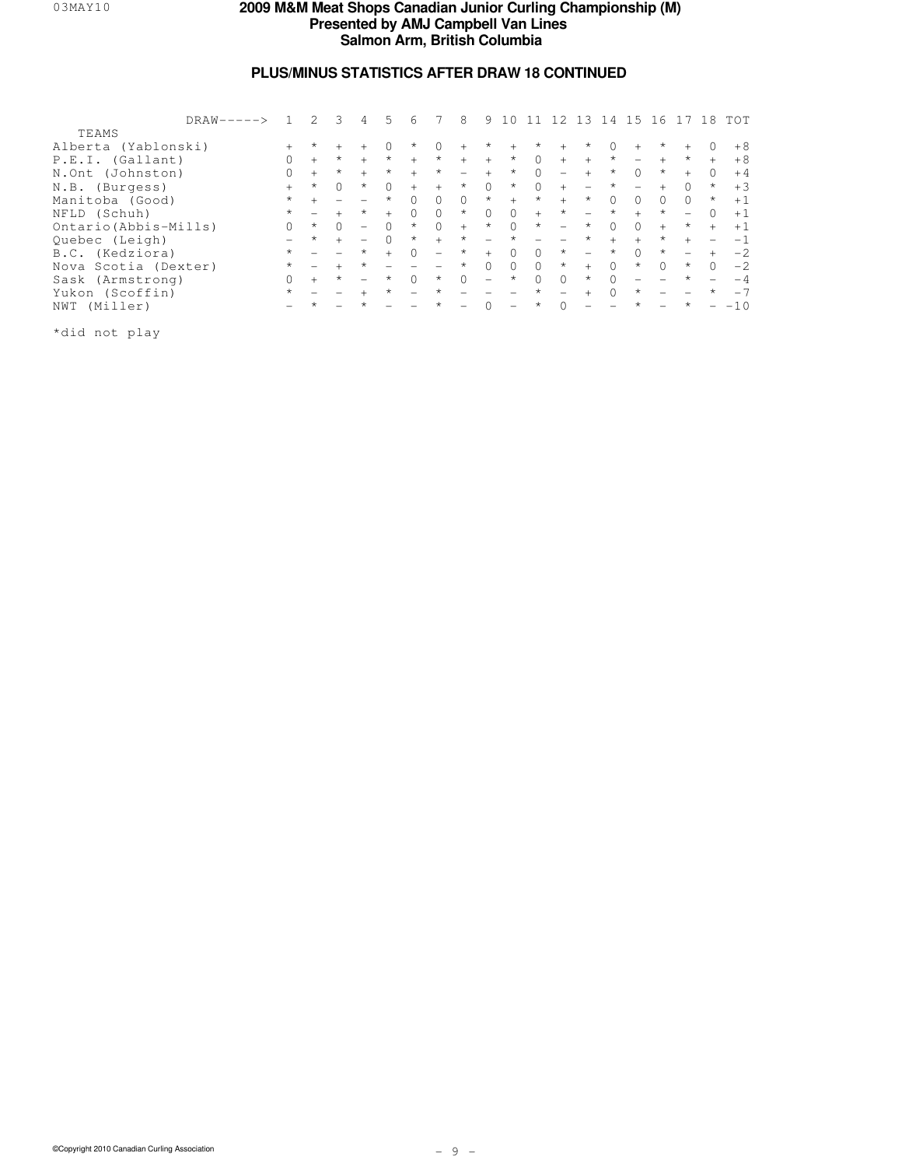# **PLUS/MINUS STATISTICS AFTER DRAW 18 CONTINUED**

|                       | $DRAW-----$ |          |         |           | 4                        | 5.      | 6                        |                          | 8        | 9                        |                          |          |                          | 13                       | -14       | 15                       | 16                       |                          | 18                       | TOT   |
|-----------------------|-------------|----------|---------|-----------|--------------------------|---------|--------------------------|--------------------------|----------|--------------------------|--------------------------|----------|--------------------------|--------------------------|-----------|--------------------------|--------------------------|--------------------------|--------------------------|-------|
| TEAMS                 |             |          |         |           |                          |         |                          |                          |          |                          |                          |          |                          |                          |           |                          |                          |                          |                          |       |
| Alberta (Yablonski)   |             |          | $\star$ |           |                          |         | $\star$                  |                          |          | $^{\star}$               |                          | $\star$  | $+$                      | $\star$                  | $\Omega$  | $^{+}$                   | *                        |                          | 0                        | $+8$  |
| P.E.I. (Gallant)      |             | 0        | $+$     | $\star$   | $+$                      | $\star$ | $+$                      | $\star$                  | $+$      | $+$                      | $\star$                  | $\Omega$ | $+$                      | $+$                      | $\star$   | $\overline{\phantom{0}}$ |                          | $\star$                  | $+$                      | $+8$  |
| N.Ont (Johnston)      |             | $\Omega$ | $+$     | $\star$   | $+$                      | $\star$ | $+$                      | $^{\star}$               |          | $^{+}$                   | $\star$                  | $\Omega$ | $\overline{\phantom{0}}$ | $+$                      | $\star$   | $\Omega$                 | $\star$                  | $+$                      | $\Omega$                 | $+4$  |
| N.B. (Burgess)        |             | $^{+}$   | $\star$ | $\bigcap$ | $\star$                  | $\cap$  | $+$                      | $+$                      | $\star$  | $\Omega$                 | $\star$                  | $\Omega$ | $+$                      | $\overline{\phantom{0}}$ | $\star$   | -                        |                          | $\Omega$                 | $\star$                  | $+3$  |
| Manitoba (Good)       |             | $\star$  |         |           |                          | $\star$ | $\Omega$                 | $\Omega$                 | $\Omega$ | $\star$                  | $+$                      | $\star$  | $+$                      | $\star$                  | $\Omega$  | $\Omega$                 | $\Omega$                 | $\Omega$                 | $\star$                  | $+1$  |
| NFLD (Schuh)          |             | $\star$  |         | $+$       | $\star$                  | $+$     | $\Omega$                 | $\Omega$                 | $\star$  | $\Omega$                 | $\Omega$                 | $+$      | $\star$                  | $\overline{\phantom{0}}$ | $\star$   | $+$                      | $\star$                  |                          | $\Omega$                 | $+1$  |
| Ontario (Abbis-Mills) |             | 0        | $\star$ | $\bigcap$ | $\overline{\phantom{m}}$ | $\cap$  | $\star$                  | $\Omega$                 | $+$      | $\star$                  | $\Omega$                 | $\star$  | $\overline{\phantom{0}}$ | $\star$                  | $\Omega$  | $\Omega$                 | $+$                      | $\star$                  | $+$                      | $+1$  |
| Ouebec (Leigh)        |             |          | $\star$ | $+$       |                          | $\cap$  | $\star$                  | $^{+}$                   | $\star$  | $\overline{\phantom{0}}$ | $\star$                  |          |                          | $\star$                  | $+$       | $+$                      | $\star$                  |                          |                          | $-1$  |
| B.C. (Kedziora)       |             | $\star$  |         |           | $\star$                  | $+$     | $\Omega$                 | $\overline{\phantom{0}}$ | $\star$  | $+$                      | $\Omega$                 | $\Omega$ | $\star$                  | $\overline{\phantom{0}}$ | $\star$   | $\cap$                   | $\star$                  | $\overline{\phantom{0}}$ | $+$                      | $-2$  |
| Nova Scotia (Dexter)  |             | $\star$  |         |           | $\star$                  |         |                          |                          | $\star$  | $\Omega$                 | $\Omega$                 | $\Omega$ | $\star$                  | $+$                      | $\Omega$  | $\star$                  | $\Omega$                 | $\star$                  | $\Omega$                 | $-2$  |
| Sask (Armstrong)      |             | 0        | $+$     | $\star$   |                          | $\star$ | $\cap$                   | $\star$                  | $\Omega$ | $\overline{\phantom{0}}$ | $\star$                  | $\Omega$ | $\bigcap$                | $\star$                  | $\bigcap$ | -                        |                          | $\star$                  |                          | $-4$  |
| Yukon (Scoffin)       |             | $\star$  |         |           | $\ddot{}$                | $\star$ | $\overline{\phantom{0}}$ | $\star$                  |          | $\overline{\phantom{0}}$ | $\overline{\phantom{m}}$ | $\star$  | $\qquad \qquad -$        | $+$                      | $\Omega$  | $\star$                  | $\overline{\phantom{a}}$ |                          | $\star$                  | $-7$  |
| NWT (Miller)          |             |          | $\star$ |           | $\star$                  |         |                          | $\star$                  |          |                          |                          | $\star$  | $\cap$                   | $\equiv$                 |           | $\star$                  |                          | $\star$                  | $\overline{\phantom{0}}$ | $-10$ |
| .                     |             |          |         |           |                          |         |                          |                          |          |                          |                          |          |                          |                          |           |                          |                          |                          |                          |       |

\*did not play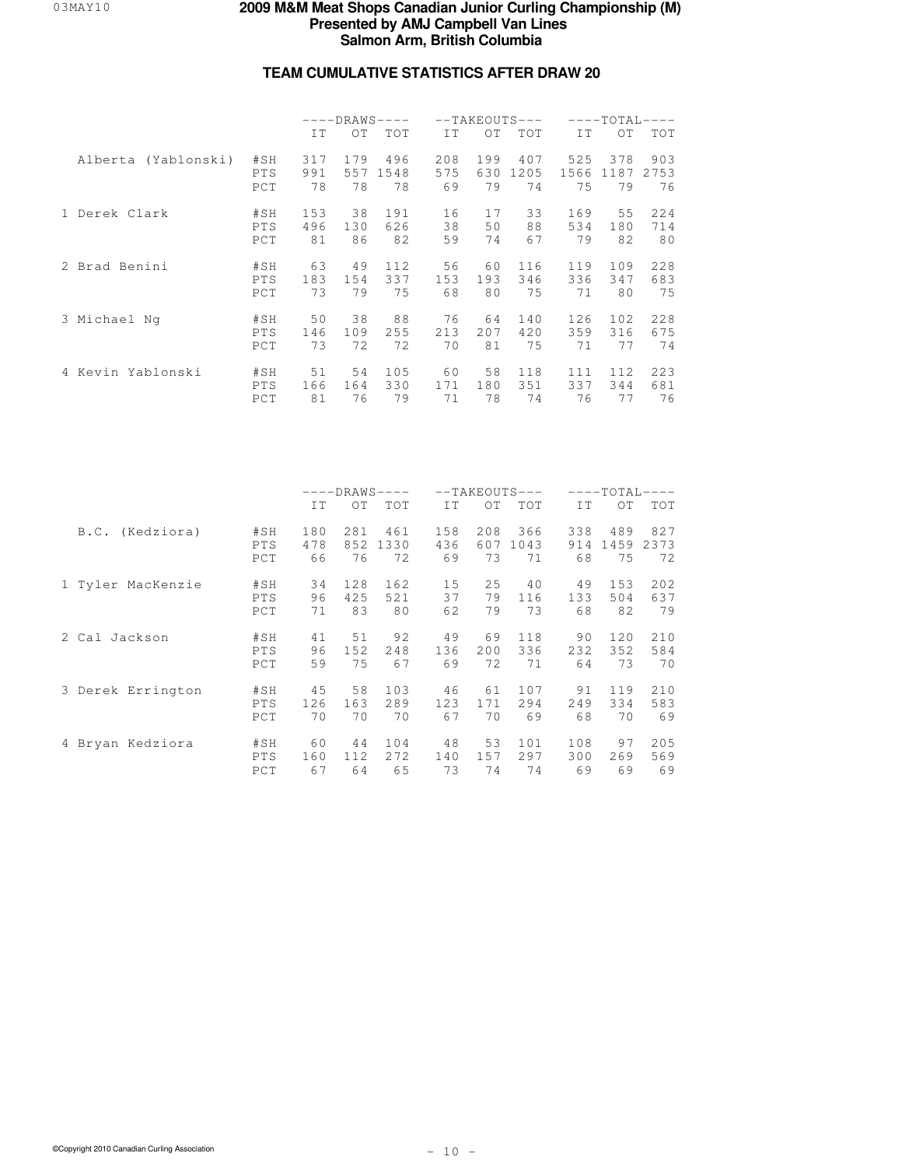# **TEAM CUMULATIVE STATISTICS AFTER DRAW 20**

|                     |            |     |     | $---DRAWS---$ |     |     | $--TAKEOUTS---$ |      | ––––ТОТАI.- |      |
|---------------------|------------|-----|-----|---------------|-----|-----|-----------------|------|-------------|------|
|                     |            | IT  | OT  | <b>TOT</b>    | IT  | OT. | <b>TOT</b>      | IT.  | OT.         | TOT  |
| Alberta (Yablonski) | #SH        | 317 | 179 | 496           | 208 | 199 | 407             | 525  | 378         | 903  |
|                     | <b>PTS</b> | 991 | 557 | 1548          | 575 | 630 | 1205            | 1566 | 1187        | 2753 |
|                     | PCT        | 78  | 78  | 78            | 69  | 79  | 74              | 75   | 79          | 76   |
| 1 Derek Clark       | #SH        | 153 | 38  | 191           | 16  | 17  | 33              | 169  | 55          | 224  |
|                     | PTS        | 496 | 130 | 626           | 38  | 50  | 88              | 534  | 180         | 714  |
|                     | PCT        | 81  | 86  | 82            | 59  | 74  | 67              | 79   | 82          | 80   |
| 2 Brad Benini       | #SH        | 63  | 49  | 112           | 56  | 60  | 116             | 119  | 109         | 228  |
|                     | PTS        | 183 | 154 | 337           | 153 | 193 | 346             | 336  | 347         | 683  |
|                     | PCT        | 73  | 79  | 75            | 68  | 80  | 75              | 71   | 80          | 75   |
| 3 Michael Ng        | #SH        | 50  | 38  | 88            | 76  | 64  | 140             | 126  | 102.        | 228  |
|                     | PTS        | 146 | 109 | 255           | 213 | 207 | 420             | 359  | 316         | 675  |
|                     | PCT        | 73  | 72  | 72            | 70  | 81  | 75              | 71   | 77          | 74   |
| 4 Kevin Yablonski   | #SH        | 51  | 54  | 105           | 60  | 58  | 118             | 111  | 112         | 223  |
|                     | <b>PTS</b> | 166 | 164 | 330           | 171 | 180 | 351             | 337  | 344         | 681  |
|                     | PCT        | 81  | 76  | 79            | 71  | 78  | 74              | 76   | 77          | 76   |

|                   |            |     | $---DRAWS-$ | $---$ |     |     | $--TAKEOUTS---$ |     | $---TOTAL-$ |            |
|-------------------|------------|-----|-------------|-------|-----|-----|-----------------|-----|-------------|------------|
|                   |            | IT  | OT          | TOT   | IT  | OT  | TOT             | IT  | OT.         | <b>TOT</b> |
| B.C. (Kedziora)   | #SH        | 180 | 281         | 461   | 158 | 208 | 366             | 338 | 489         | 827        |
|                   | PTS        | 478 | 852         | 1330  | 436 | 607 | 1043            | 914 | 1459        | 2373       |
|                   | PCT        | 66  | 76          | 72    | 69  | 73  | 71              | 68  | 75          | 72         |
| 1 Tyler MacKenzie | #SH        | 34  | 128         | 162   | 15  | 25  | 40              | 49  | 153         | 202        |
|                   | PTS        | 96  | 425         | 521   | 37  | 79  | 116             | 133 | 504         | 637        |
|                   | PCT        | 71  | 83          | 80    | 62  | 79  | 73              | 68  | 82          | 79         |
| 2 Cal Jackson     | #SH        | 41  | 51          | 92    | 49  | 69  | 118             | 90  | 120         | 210        |
|                   | PTS        | 96  | 152         | 248   | 136 | 200 | 336             | 232 | 352         | 584        |
|                   | PCT        | 59  | 75          | 67    | 69  | 72  | 71              | 64  | 73          | 70         |
| 3 Derek Errington | #SH        | 45  | 58          | 103   | 46  | 61  | 107             | 91  | 119         | 210        |
|                   | PTS        | 126 | 163         | 289   | 123 | 171 | 294             | 249 | 334         | 583        |
|                   | PCT        | 70  | 70          | 70    | 67  | 70  | 69              | 68  | 70          | 69         |
| 4 Bryan Kedziora  | #SH        | 60  | 44          | 104   | 48  | 53  | 101             | 108 | 97          | 205        |
|                   | <b>PTS</b> | 160 | 112         | 2.72  | 140 | 157 | 297             | 300 | 269         | 569        |
|                   | PCT        | 67  | 64          | 65    | 73  | 74  | 74              | 69  | 69          | 69         |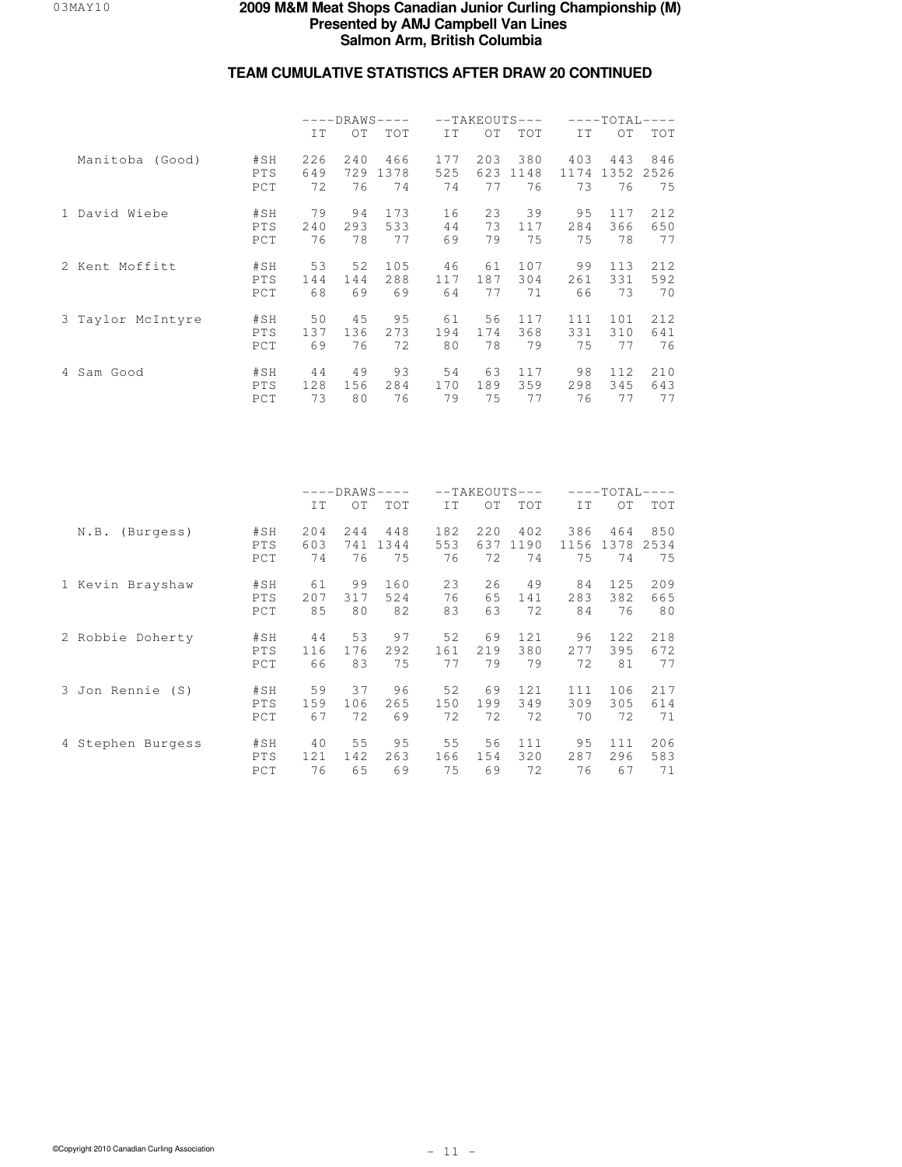|                   |            |     |     | $---DRAWS---$ |     |     | $--TAKEOUTS---$ |      | $---TOTAL-$ | $\qquad \qquad - -$ |
|-------------------|------------|-----|-----|---------------|-----|-----|-----------------|------|-------------|---------------------|
|                   |            | IT  | OT. | <b>TOT</b>    | TT. | OT  | <b>TOT</b>      | IT.  | OT.         | TOT                 |
| Manitoba (Good)   | #SH        | 226 | 240 | 466           | 177 | 203 | 380             | 403  | 443         | 846                 |
|                   | <b>PTS</b> | 649 | 729 | 1378          | 525 | 623 | 1148            | 1174 | 1352        | 2526                |
|                   | PCT        | 72  | 76  | 74            | 74  | 77  | 76              | 73   | 76          | 75                  |
| 1 David Wiebe     | #SH        | 79  | 94  | 173           | 16  | 2.3 | 39              | 95   | 117         | 212                 |
|                   | PTS        | 240 | 293 | 533           | 44  | 73  | 117             | 284  | 366         | 650                 |
|                   | PCT        | 76  | 78  | 77            | 69  | 79  | 75              | 75   | 78          | 77                  |
| 2 Kent Moffitt    | #SH        | 53  | 52  | 105           | 46  | 61  | 107             | 99   | 113         | 212                 |
|                   | <b>PTS</b> | 144 | 144 | 288           | 117 | 187 | 304             | 261  | 331         | 592                 |
|                   | PCT        | 68  | 69  | 69            | 64  | 77  | 71              | 66   | 73          | 70                  |
| 3 Taylor McIntyre | #SH        | 50  | 45  | 95            | 61  | 56  | 117             | 111  | 101         | 212                 |
|                   | <b>PTS</b> | 137 | 136 | 2.73          | 194 | 174 | 368             | 331  | 310         | 641                 |
|                   | PCT        | 69  | 76  | 72            | 80  | 78  | 79              | 75   | 77          | 76                  |
| 4 Sam Good        | #SH        | 44  | 49  | 93            | 54  | 63  | 117             | 98   | 112.        | 210                 |
|                   | <b>PTS</b> | 128 | 156 | 284           | 170 | 189 | 359             | 298  | 345         | 643                 |
|                   | PCT        | 73  | 80  | 76            | 79  | 75  | 77              | 76   | 77          | 77                  |

|                   |                   | $---DRAWS-$<br>$\qquad \qquad - -$<br>IT<br>ОT |                  |                   |                  | $--TAKEOUTS$<br>$\qquad \qquad - -$ |                   |                   | ----TOTAL         |                   |  |  |
|-------------------|-------------------|------------------------------------------------|------------------|-------------------|------------------|-------------------------------------|-------------------|-------------------|-------------------|-------------------|--|--|
|                   |                   |                                                |                  | TOT               | IT               | OT                                  | <b>TOT</b>        | IT                | OT.               | <b>TOT</b>        |  |  |
| N.B.<br>(Burgess) | #SH<br>PTS<br>PCT | 204<br>603<br>74                               | 244<br>741<br>76 | 448<br>1344<br>75 | 182<br>553<br>76 | 220<br>637<br>72                    | 402<br>1190<br>74 | 386<br>1156<br>75 | 464<br>1378<br>74 | 850<br>2534<br>75 |  |  |
| 1 Kevin Brayshaw  | #SH               | 61                                             | 99               | 160               | 23               | 26                                  | 49                | 84                | 125               | 209               |  |  |
|                   | PTS               | 207                                            | 317              | 524               | 76               | 65                                  | 141               | 283               | 382               | 665               |  |  |
|                   | PCT               | 85                                             | 80               | 82                | 83               | 63                                  | 72                | 84                | 76                | 80                |  |  |
| 2 Robbie Doherty  | #SH               | 44                                             | 53               | 97                | 52               | 69                                  | 121               | 96                | 122               | 218               |  |  |
|                   | PTS               | 116                                            | 176              | 292               | 161              | 219                                 | 380               | 2.77              | 395               | 672               |  |  |
|                   | PCT               | 66                                             | 83               | 75                | 77               | 79                                  | 79                | 72                | 81                | 77                |  |  |
| 3 Jon Rennie (S)  | #SH               | 59                                             | 37               | 96                | 52               | 69                                  | 12.1              | 111               | 106               | 217               |  |  |
|                   | PTS               | 159                                            | 106              | 265               | 150              | 199                                 | 349               | 309               | 305               | 614               |  |  |
|                   | PCT               | 67                                             | 72               | 69                | 72               | 72                                  | 72                | 70                | 72                | 71                |  |  |
| 4 Stephen Burgess | #SH               | 40                                             | 55               | 95                | 55               | 56                                  | 111               | 95                | 111               | 206               |  |  |
|                   | PTS               | 121                                            | 142              | 263               | 166              | 154                                 | 320               | 287               | 296               | 583               |  |  |
|                   | PCT               | 76                                             | 65               | 69                | 75               | 69                                  | 72                | 76                | 67                | 71                |  |  |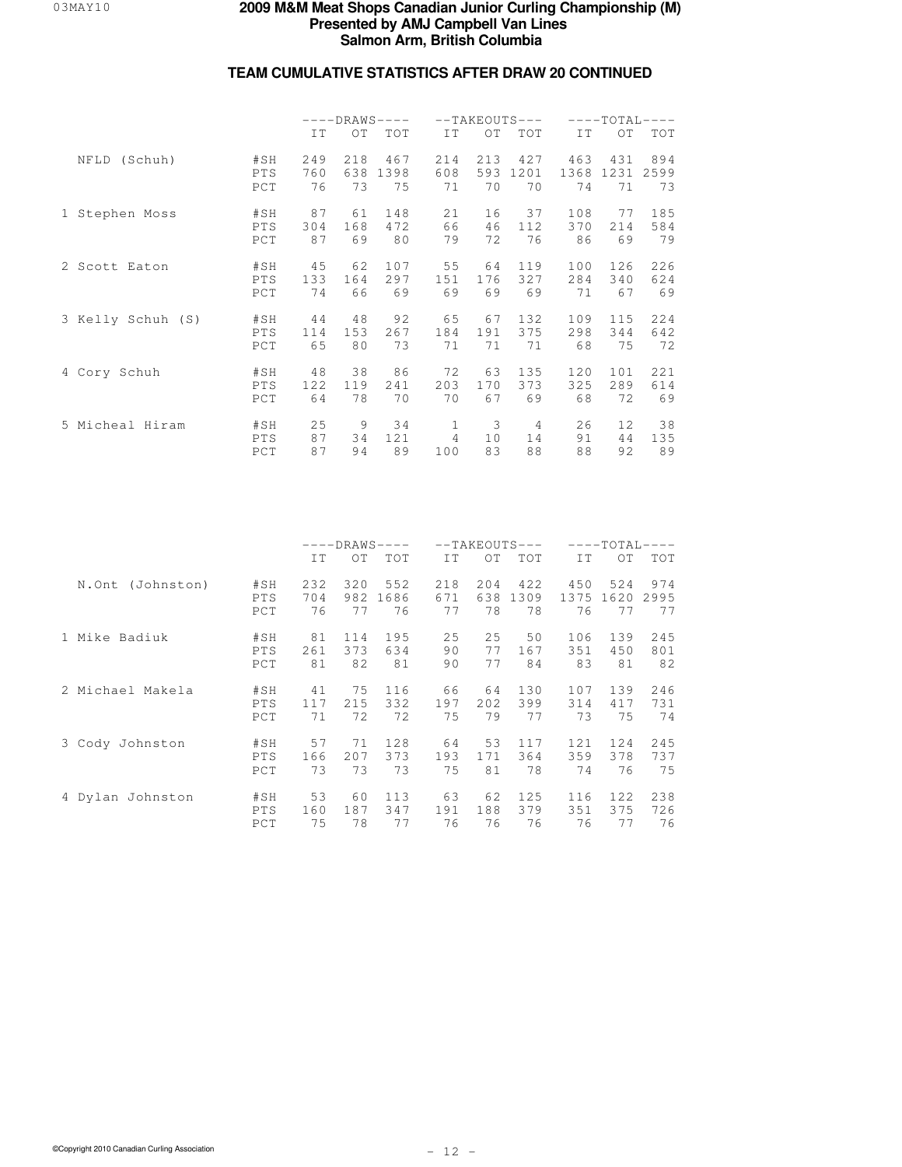|                   |                   |                  |                  | $---DRAWS---$     |                  |                  | $--TAKEOUTS---$   |                   | $---TOTAI -$      |                   |
|-------------------|-------------------|------------------|------------------|-------------------|------------------|------------------|-------------------|-------------------|-------------------|-------------------|
|                   |                   | IT               | $\bigcirc$ T     | TOT               | TT.              | OT               | TOT               | IT                | $\Omega$          | TOT               |
| (Schuh)<br>NFLD   | #SH<br>PTS<br>PCT | 249<br>760<br>76 | 218<br>638<br>73 | 467<br>1398<br>75 | 214<br>608<br>71 | 213<br>593<br>70 | 427<br>1201<br>70 | 463<br>1368<br>74 | 431<br>1231<br>71 | 894<br>2599<br>73 |
| 1 Stephen Moss    | #SH               | 87               | 61               | 148               | 21               | 16               | 37                | 108               | 77                | 185               |
|                   | PTS               | 304              | 168              | 472               | 66               | 46               | 112               | 370               | 214               | 584               |
|                   | PCT               | 87               | 69               | 80                | 79               | 72               | 76                | 86                | 69                | 79                |
| 2 Scott Eaton     | #SH               | 45               | 62               | 107               | 55               | 64               | 119               | 100               | 126               | 226               |
|                   | PTS               | 133              | 164              | 297               | 151              | 176              | 327               | 284               | 340               | 624               |
|                   | PCT               | 74               | 66               | 69                | 69               | 69               | 69                | 71                | 67                | 69                |
| 3 Kelly Schuh (S) | #SH               | 44               | 48               | 92                | 65               | 67               | 132               | 109               | 115               | 224               |
|                   | PTS               | 114              | 153              | 267               | 184              | 191              | 375               | 298               | 344               | 642               |
|                   | PCT               | 65               | 80               | 73                | 71               | 71               | 71                | 68                | 75                | 72                |
| 4 Cory Schuh      | #SH               | 48               | 38               | 86                | 72               | 63               | 135               | 120               | 101               | 221               |
|                   | PTS               | 122              | 119              | 241               | 203              | 170              | 373               | 325               | 289               | 614               |
|                   | PCT               | 64               | 78               | 70                | 70               | 67               | 69                | 68                | 72                | 69                |
| 5 Micheal Hiram   | #SH               | 25               | 9                | 34                | 1.               | 3                | 4                 | 26                | $12 \overline{c}$ | 38                |
|                   | PTS               | 87               | 34               | 121               | 4                | 10               | 14                | 91                | 44                | 135               |
|                   | PCT               | 87               | 94               | 89                | 100              | 83               | 88                | 88                | 92                | 89                |

|                     |                   | ----DRAWS-<br>$--TAKFOUTS$<br>IT<br>IT<br>OT.<br>TOT<br>ОT |                  |                   |                  | $---TOTAI$        |                   |                   |                   |                   |
|---------------------|-------------------|------------------------------------------------------------|------------------|-------------------|------------------|-------------------|-------------------|-------------------|-------------------|-------------------|
|                     |                   |                                                            |                  |                   |                  |                   | TOT               | IT                | OT                | <b>TOT</b>        |
| (Johnston)<br>N.Ont | #SH<br>PTS<br>PCT | 232<br>704<br>76                                           | 320<br>982<br>77 | 552<br>1686<br>76 | 218<br>671<br>77 | 2.04<br>638<br>78 | 422<br>1309<br>78 | 450<br>1375<br>76 | 524<br>1620<br>77 | 974<br>2995<br>77 |
| 1 Mike Badiuk       | #SH               | 81                                                         | 114              | 195               | 25               | 25                | 50                | 106               | 139               | 245               |
|                     | PTS               | 261                                                        | 373              | 634               | 90               | 77                | 167               | 351               | 450               | 801               |
|                     | PCT               | 81                                                         | 82               | 81                | 90               | 77                | 84                | 83                | 81                | 82                |
| 2 Michael Makela    | #SH               | 41                                                         | 75               | 116               | 66               | 64                | 130               | 107               | 139               | 246               |
|                     | PTS               | 117                                                        | 215              | 332               | 197              | 2.02.             | 399               | 314               | 417               | 731               |
|                     | PCT               | 71                                                         | 72               | 72                | 75               | 79                | 77                | 73                | 75                | 74                |
| 3 Cody Johnston     | #SH               | 57                                                         | 71               | 128               | 64               | 53                | 117               | 121               | 124               | 245               |
|                     | PTS               | 166                                                        | 2.07             | 373               | 193              | 171               | 364               | 359               | 378               | 737               |
|                     | PCT               | 73                                                         | 73               | 73                | 75               | 81                | 78                | 74                | 76                | 75                |
| 4 Dylan Johnston    | #SH               | 53                                                         | 60               | 113               | 63               | 62                | 125               | 116               | 122               | 238               |
|                     | PTS               | 160                                                        | 187              | 347               | 191              | 188               | 379               | 351               | 375               | 726               |
|                     | PCT               | 75                                                         | 78               | 77                | 76               | 76                | 76                | 76                | 77                | 76                |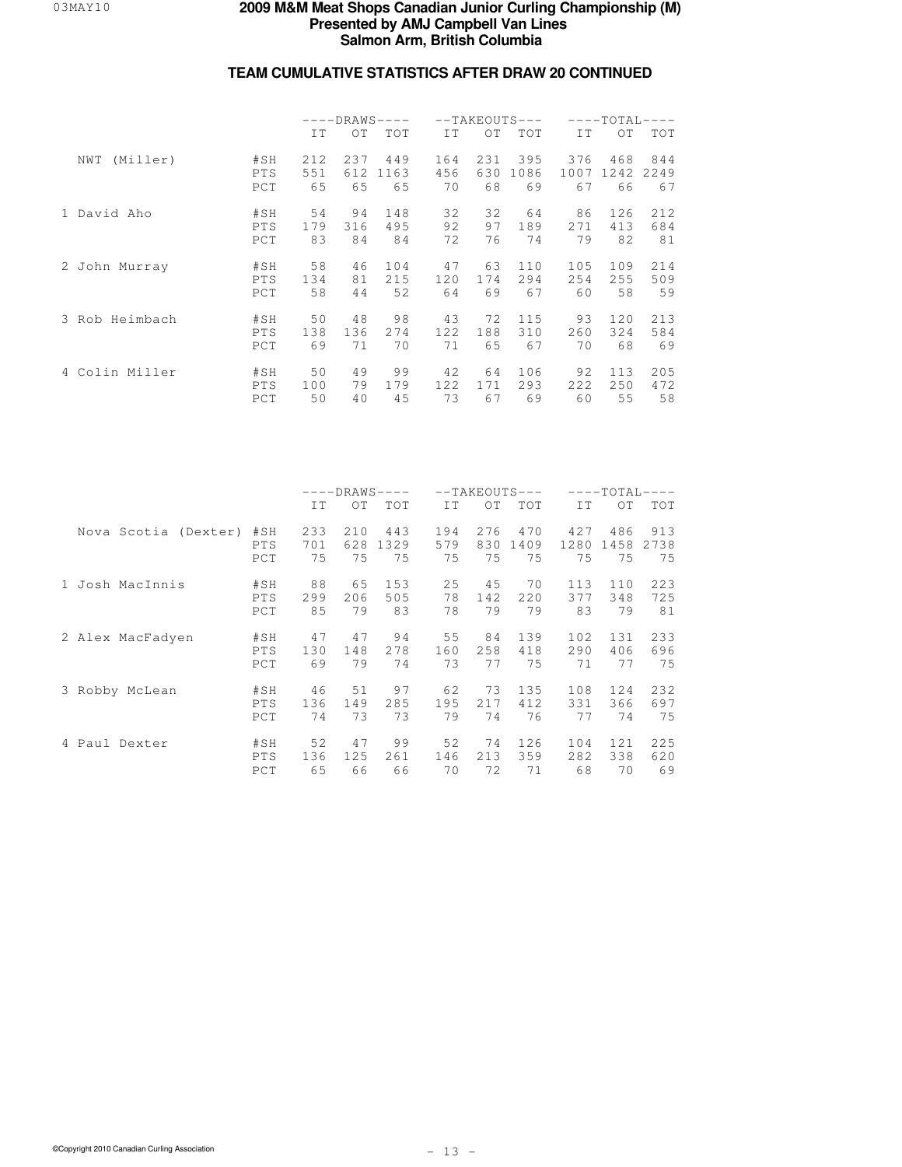|                 |                          | $---DRAWS---$<br>IT<br>OT.<br>237<br>212<br>551<br>612<br>65<br>65<br>94<br>54<br>179<br>316<br>83<br>84<br>58<br>46<br>134<br>81<br>58<br>44 |                 |                   |                  |                  | $--TAKEOUTS---$   |                   | $---TOTAL-$       | $---$             |
|-----------------|--------------------------|-----------------------------------------------------------------------------------------------------------------------------------------------|-----------------|-------------------|------------------|------------------|-------------------|-------------------|-------------------|-------------------|
|                 |                          |                                                                                                                                               |                 | <b>TOT</b>        | IT.              | OT.              | TOT               | IT.               | $\overline{O}T$   | TOT               |
| (Miller)<br>NWT | #SH<br>PTS<br>PCT        |                                                                                                                                               |                 | 449<br>1163<br>65 | 164<br>456<br>70 | 231<br>630<br>68 | 395<br>1086<br>69 | 376<br>1007<br>67 | 468<br>1242<br>66 | 844<br>2249<br>67 |
| 1 David Aho     | #SH<br>PTS<br>PCT        |                                                                                                                                               |                 | 148<br>495<br>84  | 32<br>92<br>72   | 32<br>97<br>76   | 64<br>189<br>74   | 86<br>2.71<br>79  | 126<br>413<br>82  | 212<br>684<br>81  |
| 2 John Murray   | #SH<br>PTS<br>PCT        |                                                                                                                                               |                 | 104<br>215<br>52  | 47<br>120<br>64  | 63<br>174<br>69  | 110<br>294<br>67  | 105<br>254<br>60  | 109<br>255<br>58  | 214<br>509<br>59  |
| 3 Rob Heimbach  | #SH<br>PTS<br>PCT        | 50<br>138<br>69                                                                                                                               | 48<br>136<br>71 | 98<br>2.74<br>70  | 43<br>122.<br>71 | 72<br>188<br>65  | 115<br>310<br>67  | 93<br>260<br>70   | 120<br>324<br>68  | 213<br>584<br>69  |
| 4 Colin Miller  | #SH<br><b>PTS</b><br>PCT | 50<br>100<br>50                                                                                                                               | 49<br>79<br>40  | 99<br>179<br>45   | 42<br>122<br>73  | 64<br>171<br>67  | 106<br>293<br>69  | 92<br>222<br>60   | 113<br>250<br>55  | 205<br>472<br>58  |

|                      |                   | $---DRAWS-$<br>$---$<br>OT<br>IT<br>TOT<br>233<br>210<br>443 |           |            |                  |                   | $--TAKEOUTS---$   |                   | $---TOTAL-$       |                   |  |  |
|----------------------|-------------------|--------------------------------------------------------------|-----------|------------|------------------|-------------------|-------------------|-------------------|-------------------|-------------------|--|--|
|                      |                   |                                                              |           |            | IT               | OT                | TOT               | IT                | OT.               | <b>TOT</b>        |  |  |
| Nova Scotia (Dexter) | #SH<br>PTS<br>PCT | 701<br>75                                                    | 628<br>75 | 1329<br>75 | 194<br>579<br>75 | 2.76<br>830<br>75 | 470<br>1409<br>75 | 427<br>1280<br>75 | 486<br>1458<br>75 | 913<br>2738<br>75 |  |  |
| 1 Josh MacInnis      | #SH               | 88                                                           | 65        | 153        | 25               | 45                | 70                | 113               | 110               | 223               |  |  |
|                      | PTS               | 299                                                          | 206       | 505        | 78               | 142               | 220               | 377               | 348               | 725               |  |  |
|                      | PCT               | 85                                                           | 79        | 83         | 78               | 79                | 79                | 83                | 79                | 81                |  |  |
| 2 Alex MacFadyen     | #SH               | 47                                                           | 47        | 94         | 55               | 84                | 139               | 102               | 131               | 233               |  |  |
|                      | PTS               | 130                                                          | 148       | 2.78       | 160              | 258               | 418               | 290               | 406               | 696               |  |  |
|                      | PCT               | 69                                                           | 79        | 74         | 73               | 77                | 75                | 71                | 77                | 75                |  |  |
| 3 Robby McLean       | #SH               | 46                                                           | 51        | 97         | 62               | 73                | 135               | 108               | 124               | 232               |  |  |
|                      | PTS               | 136                                                          | 149       | 285        | 195              | 217               | 412.              | 331               | 366               | 697               |  |  |
|                      | PCT               | 74                                                           | 73        | 73         | 79               | 74                | 76                | 77                | 74                | 75                |  |  |
| 4 Paul Dexter        | #SH               | 52                                                           | 47        | 99         | 52               | 74                | 126               | 104               | 121               | 225               |  |  |
|                      | <b>PTS</b>        | 136                                                          | 125       | 261        | 146              | 213               | 359               | 282               | 338               | 620               |  |  |
|                      | PCT               | 65                                                           | 66        | 66         | 70               | 72                | 71                | 68                | 70                | 69                |  |  |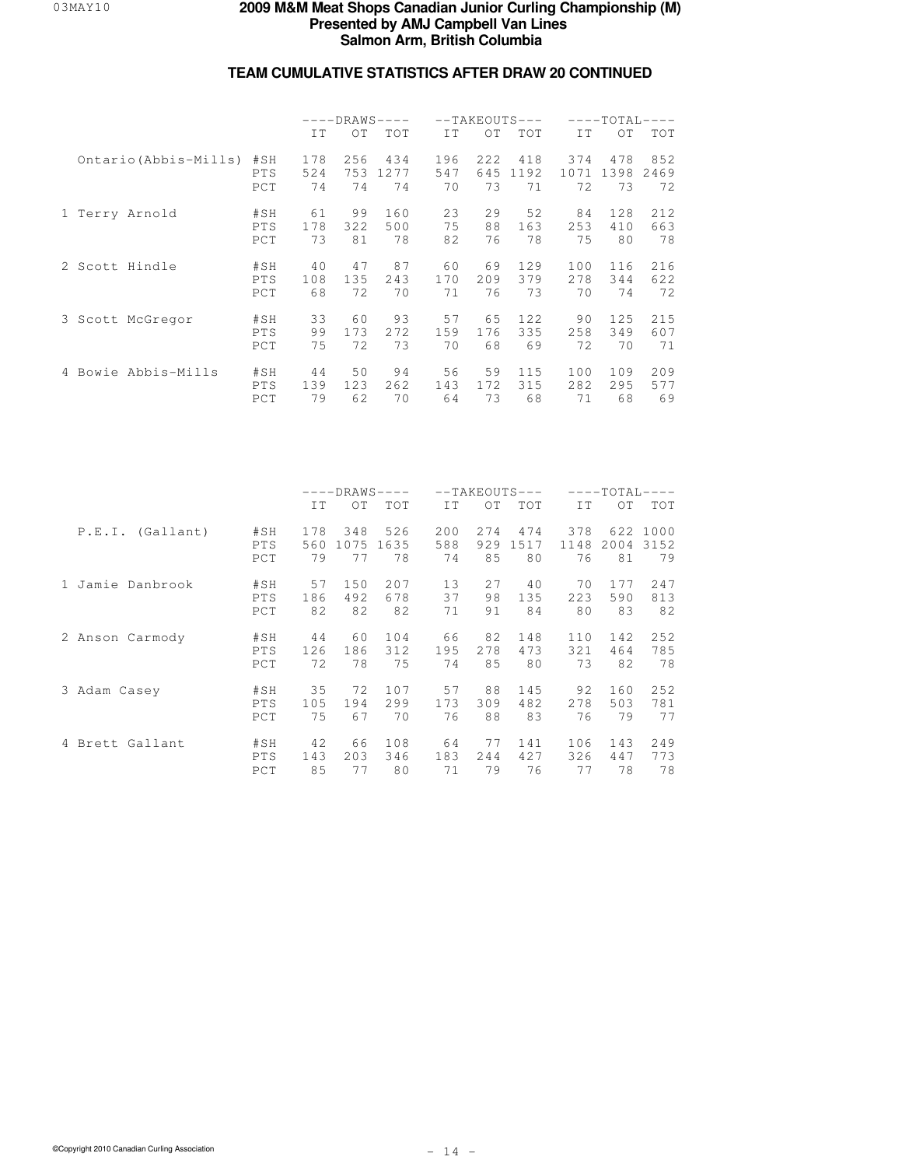|                       |                   | $---DRAWS---$    |                  |                   | $--TAKEOUTS$     |                  |                    |                   |                   |                   |  |
|-----------------------|-------------------|------------------|------------------|-------------------|------------------|------------------|--------------------|-------------------|-------------------|-------------------|--|
|                       |                   | IT               | OT               | <b>TOT</b>        | TT.              | OT               | <b>TOT</b>         | IT.               | OT.               | TOT               |  |
| Ontario (Abbis-Mills) | #SH<br>PTS<br>PCT | 178<br>524<br>74 | 256<br>753<br>74 | 434<br>1277<br>74 | 196<br>547<br>70 | 222<br>645<br>73 | 418<br>1192<br>71  | 374<br>1071<br>72 | 478<br>1398<br>73 | 852<br>2469<br>72 |  |
| 1 Terry Arnold        | #SH<br>PTS<br>PCT | 61<br>178<br>73  | 99<br>322<br>81  | 160<br>500<br>78  | 23<br>75<br>82   | 29<br>88<br>76   | 52<br>163<br>78    | 84<br>253<br>75   | 128<br>410<br>80  | 212<br>663<br>78  |  |
| 2 Scott Hindle        | #SH<br>PTS<br>PCT | 40<br>108<br>68  | 47<br>135<br>72  | 87<br>2.43<br>70  | 60<br>170<br>71  | 69<br>209<br>76  | 129<br>379<br>73   | 100<br>2.78<br>70 | 116<br>344<br>74  | 216<br>622<br>72  |  |
| 3 Scott McGregor      | #SH<br>PTS<br>PCT | 33<br>99<br>75   | 60<br>173<br>72  | 93<br>2.72<br>73  | 57<br>159<br>70  | 65<br>176<br>68  | 12.2.<br>335<br>69 | 90<br>258<br>72   | 125<br>349<br>70  | 215<br>607<br>71  |  |
| 4 Bowie Abbis-Mills   | #SH<br>PTS<br>PCT | 44<br>139<br>79  | 50<br>123<br>62  | 94<br>262<br>70   | 56<br>143<br>64  | 59<br>172<br>73  | 115<br>315<br>68   | 100<br>282<br>71  | 109<br>295<br>68  | 209<br>577<br>69  |  |

|                  |                   | $---DRANS---$<br>OT<br>IT |                   |                   |                  | $--TAKEOUTS---$   |                   |                   | $---TOTAL-$<br>$---$ |                        |  |  |
|------------------|-------------------|---------------------------|-------------------|-------------------|------------------|-------------------|-------------------|-------------------|----------------------|------------------------|--|--|
|                  |                   |                           |                   | TOT               | IT               | OT                | TOT               | IT                | OT.                  | <b>TOT</b>             |  |  |
| P.E.I. (Gallant) | #SH<br>PTS<br>PCT | 178<br>560<br>79          | 348<br>1075<br>77 | 526<br>1635<br>78 | 200<br>588<br>74 | 2.74<br>929<br>85 | 474<br>1517<br>80 | 378<br>1148<br>76 | 2004<br>81           | 622 1000<br>3152<br>79 |  |  |
| 1 Jamie Danbrook | #SH               | 57                        | 150               | 207               | 13               | 27                | 40                | 70                | 177                  | 247                    |  |  |
|                  | PTS               | 186                       | 492               | 678               | 37               | 98                | 135               | 223               | 590                  | 813                    |  |  |
|                  | PCT               | 82                        | 82                | 82                | 71               | 91                | 84                | 80                | 83                   | 82                     |  |  |
| 2 Anson Carmody  | #SH               | 44                        | 60                | 104               | 66               | 82                | 148               | 110               | 142                  | 252                    |  |  |
|                  | PTS               | 126                       | 186               | 312               | 195              | 2.78              | 473               | 321               | 464                  | 785                    |  |  |
|                  | PCT               | 72                        | 78                | 75                | 74               | 85                | 80                | 73                | 82                   | 78                     |  |  |
| 3 Adam Casey     | #SH               | 35                        | 72                | 107               | 57               | 88                | 145               | 92                | 160                  | 252                    |  |  |
|                  | PTS               | 105                       | 194               | 299               | 173              | 309               | 482               | 2.78              | 503                  | 781                    |  |  |
|                  | PCT               | 75                        | 67                | 70                | 76               | 88                | 83                | 76                | 79                   | 77                     |  |  |
| 4 Brett Gallant  | #SH               | 42                        | 66                | 108               | 64               | 77                | 141               | 106               | 143                  | 249                    |  |  |
|                  | <b>PTS</b>        | 143                       | 203               | 346               | 183              | 244               | 427               | 326               | 447                  | 773                    |  |  |
|                  | PCT               | 85                        | 77                | 80                | 71               | 79                | 76                | 77                | 78                   | 78                     |  |  |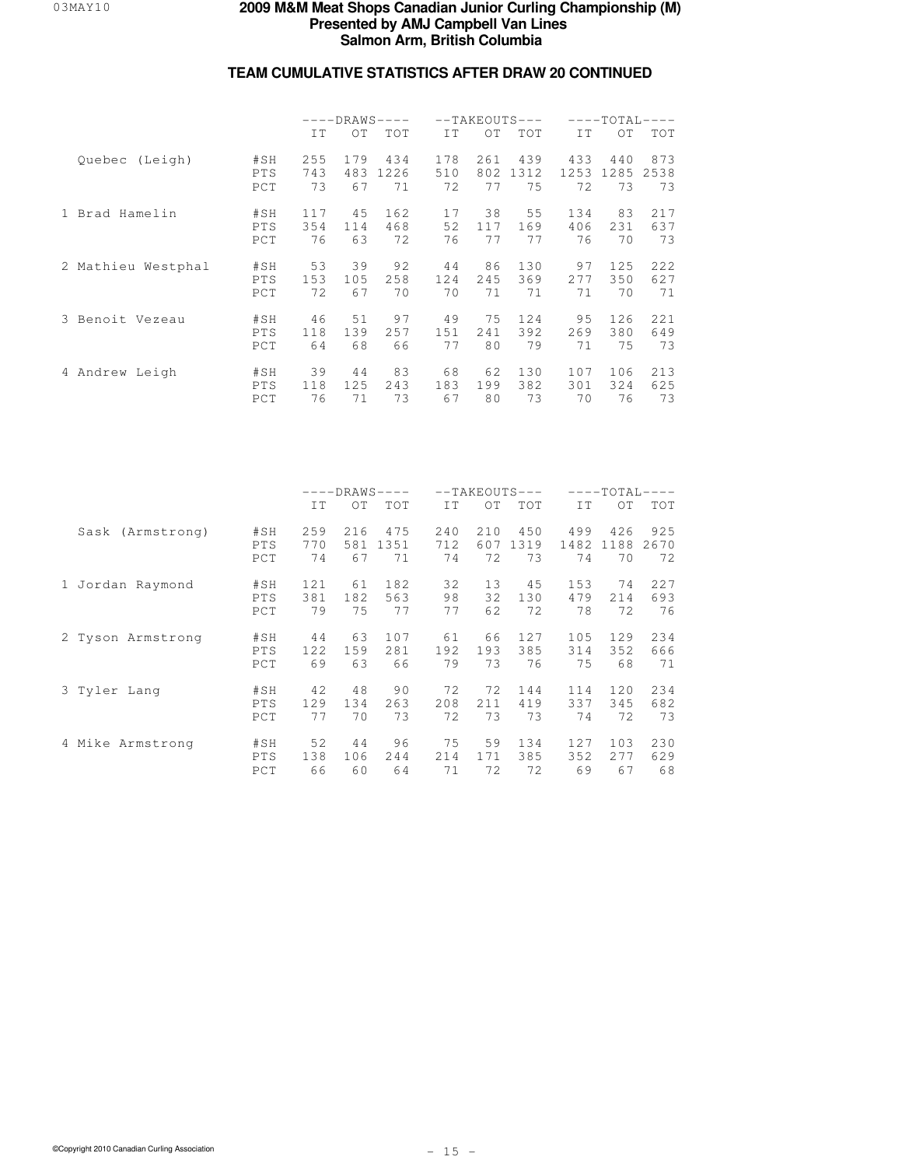|                    |                   | $---DRAWS-$<br>$\qquad \qquad - -$<br>IT<br>ОT<br>TOT<br>255<br>179<br>434<br>1226 |           |     | $--TAKEOUTS---$  |                  |                   | $---TOTAL-$<br>$---$ |                   |                   |  |
|--------------------|-------------------|------------------------------------------------------------------------------------|-----------|-----|------------------|------------------|-------------------|----------------------|-------------------|-------------------|--|
|                    |                   |                                                                                    |           |     | IT.              | OT               | TOT               | IT                   | OT.               | TOT               |  |
| Quebec (Leigh)     | #SH<br>PTS<br>PCT | 743<br>73                                                                          | 483<br>67 | 71  | 178<br>510<br>72 | 261<br>802<br>77 | 439<br>1312<br>75 | 433<br>1253<br>72    | 440<br>1285<br>73 | 873<br>2538<br>73 |  |
| 1 Brad Hamelin     | #SH               | 117                                                                                | 45        | 162 | 17               | 38               | 55                | 134                  | 83                | 217               |  |
|                    | PTS               | 354                                                                                | 114       | 468 | 52               | 117              | 169               | 406                  | 231               | 637               |  |
|                    | PCT               | 76                                                                                 | 63        | 72  | 76               | 77               | 77                | 76                   | 70                | 73                |  |
| 2 Mathieu Westphal | #SH               | 53                                                                                 | 39        | 92  | 44               | 86               | 130               | 97                   | 125               | 222               |  |
|                    | <b>PTS</b>        | 153                                                                                | 105       | 258 | 124              | 245              | 369               | 2.77                 | 350               | 627               |  |
|                    | PCT               | 72                                                                                 | 67        | 70  | 70               | 71               | 71                | 71                   | 70                | 71                |  |
| 3 Benoit Vezeau    | #SH               | 46                                                                                 | 51        | 97  | 49               | 75               | 12.4              | 95                   | 126               | 221               |  |
|                    | PTS               | 118                                                                                | 139       | 257 | 151              | 2.41             | 392               | 269                  | 380               | 649               |  |
|                    | PCT               | 64                                                                                 | 68        | 66  | 77               | 80               | 79                | 71                   | 75                | 73                |  |
| 4 Andrew Leigh     | #SH               | 39                                                                                 | 44        | 83  | 68               | 62               | 130               | 107                  | 106               | 213               |  |
|                    | <b>PTS</b>        | 118                                                                                | 125       | 243 | 183              | 199              | 382               | 301                  | 324               | 625               |  |
|                    | PCT               | 76                                                                                 | 71        | 73  | 67               | 80               | 73                | 70                   | 76                | 73                |  |

|                   |                   | $---DRAWS-$<br>$---$<br>IT<br>OT<br>TOT<br>259<br>475<br>216 |           |            | $--TAKEOUTS---$  |                  |                   | $---TOTAL-$       |                   |                   |  |
|-------------------|-------------------|--------------------------------------------------------------|-----------|------------|------------------|------------------|-------------------|-------------------|-------------------|-------------------|--|
|                   |                   |                                                              |           |            | IT               | OT               | <b>TOT</b>        | IT                | OT.               | <b>TOT</b>        |  |
| Sask (Armstrong)  | #SH<br>PTS<br>PCT | 770<br>74                                                    | 581<br>67 | 1351<br>71 | 240<br>712<br>74 | 210<br>607<br>72 | 450<br>1319<br>73 | 499<br>1482<br>74 | 426<br>1188<br>70 | 925<br>2670<br>72 |  |
| 1 Jordan Raymond  | #SH               | 121                                                          | 61        | 182        | 32               | 13               | 45                | 153               | 74                | 227               |  |
|                   | PTS               | 381                                                          | 182       | 563        | 98               | 32               | 130               | 479               | 214               | 693               |  |
|                   | PCT               | 79                                                           | 75        | 77         | 77               | 62               | 72                | 78                | 72                | 76                |  |
| 2 Tyson Armstrong | #SH               | 44                                                           | 63        | 107        | 61               | 66               | 127               | 105               | 129               | 234               |  |
|                   | PTS               | 12.2.                                                        | 159       | 281        | 192              | 193              | 385               | 314               | 352               | 666               |  |
|                   | PCT               | 69                                                           | 63        | 66         | 79               | 73               | 76                | 75                | 68                | 71                |  |
| 3 Tyler Lang      | #SH               | 42                                                           | 48        | 90         | 72               | 72               | 144               | 114               | 120               | 234               |  |
|                   | PTS               | 129                                                          | 134       | 263        | 208              | 211              | 419               | 337               | 345               | 682               |  |
|                   | PCT               | 77                                                           | 70        | 73         | 72               | 73               | 73                | 74                | 72                | 73                |  |
| 4 Mike Armstrong  | #SH               | 52                                                           | 44        | 96         | 75               | 59               | 134               | 127               | 103               | 230               |  |
|                   | <b>PTS</b>        | 138                                                          | 106       | 244        | 214              | 171              | 385               | 352               | 2.77              | 629               |  |
|                   | PCT               | 66                                                           | 60        | 64         | 71               | 72               | 72                | 69                | 67                | 68                |  |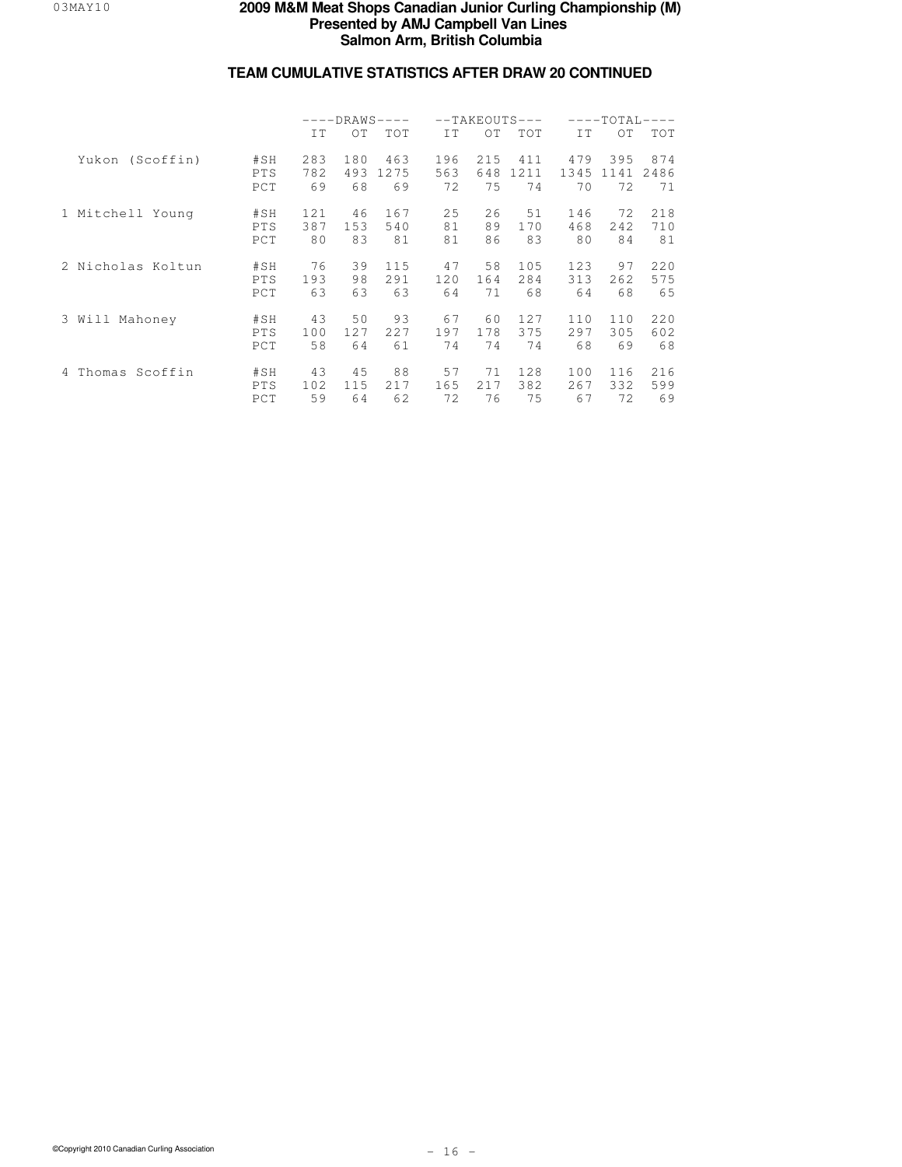|                     |                          | $---DRAWS---$<br>IT.<br>OT.<br>283<br>180<br>782<br>493 |                 |                   |                  | $--TAKEOUTS---$  |                   |                   | $---TOTAI-$<br>$---$ |                   |  |
|---------------------|--------------------------|---------------------------------------------------------|-----------------|-------------------|------------------|------------------|-------------------|-------------------|----------------------|-------------------|--|
|                     |                          |                                                         |                 | <b>TOT</b>        | TT.              | OT               | TOT               | IT.               | 0T                   | <b>TOT</b>        |  |
| Yukon (Scoffin)     | #SH<br><b>PTS</b><br>PCT | 69                                                      | 68              | 463<br>1275<br>69 | 196<br>563<br>72 | 215<br>648<br>75 | 411<br>1211<br>74 | 479<br>1345<br>70 | 395<br>1141<br>72    | 874<br>2486<br>71 |  |
| 1 Mitchell Young    | #SH<br><b>PTS</b><br>PCT | 121<br>387<br>80                                        | 46<br>153<br>83 | 167<br>540<br>81  | 25<br>81<br>81   | 26<br>89<br>86   | 51<br>170<br>83   | 146<br>468<br>80  | 72<br>242<br>84      | 218<br>710<br>81  |  |
| 2 Nicholas Koltun   | #SH<br><b>PTS</b><br>PCT | 76<br>193<br>63                                         | 39<br>98<br>63  | 115<br>291<br>63  | 47<br>120<br>64  | 58<br>164<br>71  | 105<br>284<br>68  | 123<br>313<br>64  | 97<br>262<br>68      | 220<br>575<br>65  |  |
| Mahoney<br>3 Will   | #SH<br><b>PTS</b><br>PCT | 43<br>100<br>58                                         | 50<br>127<br>64 | 93<br>227<br>61   | 67<br>197<br>74  | 60<br>178<br>74  | 127<br>375<br>74  | 110<br>297<br>68  | 110<br>305<br>69     | 220<br>602<br>68  |  |
| Thomas Scoffin<br>4 | #SH<br><b>PTS</b><br>PCT | 43<br>102<br>59                                         | 45<br>115<br>64 | 88<br>217<br>62   | 57<br>165<br>72  | 71<br>217<br>76  | 128<br>382<br>75  | 100<br>267<br>67  | 116<br>332<br>72     | 216<br>599<br>69  |  |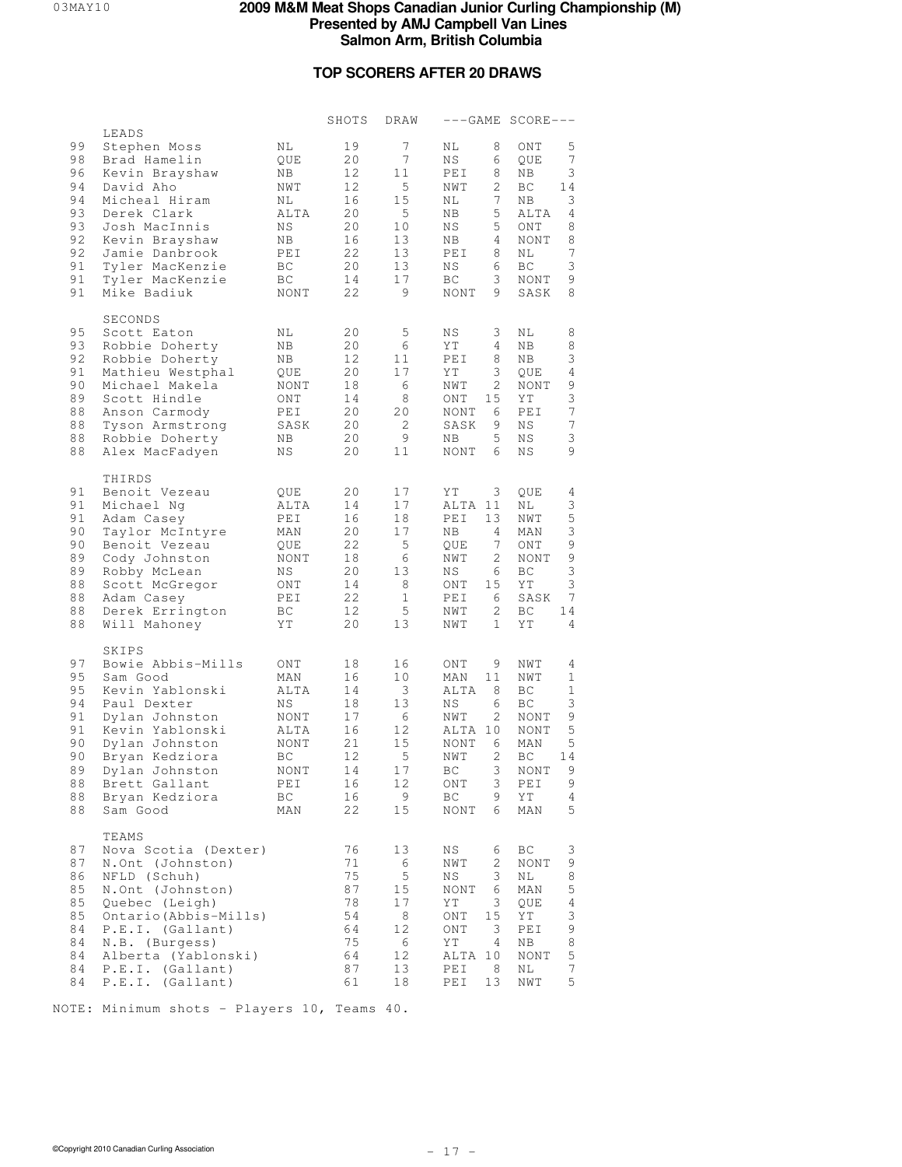### **TOP SCORERS AFTER 20 DRAWS**

|                                                                      |                                                                                                                                                                                                                                       |                                                                                           | SHOTS                                                                | DRAW                                                                           |                                                                                                                                                       | $---GAME SCORE---$                                                                                                                                                                    |
|----------------------------------------------------------------------|---------------------------------------------------------------------------------------------------------------------------------------------------------------------------------------------------------------------------------------|-------------------------------------------------------------------------------------------|----------------------------------------------------------------------|--------------------------------------------------------------------------------|-------------------------------------------------------------------------------------------------------------------------------------------------------|---------------------------------------------------------------------------------------------------------------------------------------------------------------------------------------|
| 99<br>98<br>96<br>94<br>94<br>93<br>93<br>92<br>92<br>91<br>91<br>91 | LEADS<br>Stephen Moss<br>Brad Hamelin<br>Kevin Brayshaw<br>David Aho<br>Micheal Hiram<br>Derek Clark<br>Josh MacInnis<br>Kevin Brayshaw<br>Jamie Danbrook<br>Tyler MacKenzie<br>Tyler MacKenzie<br>Mike Badiuk                        | ΝL<br>QUE<br>NB<br>NWT<br>NL<br>ALTA<br>ΝS<br>ΝB<br>PEI<br>BC<br>BC<br>NONT               | 19<br>20<br>12<br>12<br>16<br>20<br>20<br>16<br>22<br>20<br>14<br>22 | 7<br>$7\phantom{.}$<br>11<br>5<br>15<br>5<br>10<br>13<br>13<br>13<br>17<br>9   | 8<br>ΝL<br>ΝS<br>6<br>PEI<br>8<br>NWT<br>2<br>7<br>NL<br>5<br>ΝB<br>5<br>ΝS<br>4<br>NB<br>8<br>PEI<br>ΝS<br>6<br>3<br>ВC<br><b>NONT</b><br>9          | 5<br>ONT<br>$\boldsymbol{7}$<br>QUE<br>3<br>ΝB<br>ВC<br>14<br>3<br>ΝB<br>4<br>ALTA<br>8<br>ONT<br>$\,8\,$<br><b>NONT</b><br>$\overline{7}$<br>ΝL<br>3<br>BC<br>9<br>NONT<br>8<br>SASK |
| 95<br>93<br>92<br>91<br>90<br>89<br>88<br>88<br>88<br>88             | SECONDS<br>Scott Eaton<br>Robbie Doherty<br>Robbie Doherty<br>Mathieu Westphal<br>Michael Makela<br>Scott Hindle<br>Anson Carmody<br>Tyson Armstrong<br>Robbie Doherty<br>Alex MacFadyen                                              | NL<br>ΝB<br>NB.<br>QUE<br>NONT<br>ONT<br>PEI<br>SASK<br>NB.<br>ΝS                         | 20<br>20<br>12<br>20<br>18<br>14<br>20<br>20<br>20<br>20             | 5<br>6<br>11<br>17<br>6<br>8<br>20<br>2<br>9<br>11                             | $_{\rm NS}$<br>3<br>ΥT<br>4<br>8<br>PEI<br>ΥT<br>3<br>2<br>NWT<br>ONT<br>15<br>6<br>NONT<br>SASK<br>9<br>5<br>ΝB<br>NONT<br>6                         | 8<br>ΝL<br>8<br>ΝB<br>3<br>ΝB<br>$\overline{4}$<br>QUE<br>9<br>NONT<br>3<br>ΥT<br>$\boldsymbol{7}$<br>PEI<br>$\boldsymbol{7}$<br>ΝS<br>3<br>ΝS<br>9<br>ΝS                             |
| 91<br>91<br>91<br>90<br>90<br>89<br>89<br>88<br>88<br>88<br>88       | THIRDS<br>Benoit Vezeau<br>Michael Nq<br>Adam Casey<br>Taylor McIntyre<br>Benoit Vezeau<br>Cody Johnston<br>Robby McLean<br>Scott McGregor<br>Adam Casey<br>Derek Errington<br>Will Mahoney                                           | QUE<br>ALTA<br>PEI<br>MAN<br>QUE<br>NONT<br>ΝS<br>ONT<br>PEI<br>ВC<br>ΥT                  | 20<br>14<br>16<br>20<br>22<br>18<br>20<br>14<br>22<br>12<br>20       | 17<br>17<br>18<br>17<br>5<br>6<br>13<br>8<br>$\mathbf{1}$<br>5<br>13           | 3<br>ΥT<br>ALTA 11<br>PEI<br>13<br>ΝB<br>4<br>7<br>QUE<br>NWT<br>2<br>NS<br>6<br>15<br>ONT<br>6<br>PEI<br>2<br>NWT<br>$\mathbf{1}$<br>NWT             | QUE<br>4<br>3<br>ΝL<br>$\mathsf S$<br>NWT<br>$\mathsf 3$<br>MAN<br>9<br>ONT<br>9<br><b>NONT</b><br>3<br>ВC<br>$\ensuremath{\mathsf{3}}$<br>ΥT<br>7<br>SASK<br>ВC<br>14<br>4<br>ΥT     |
| 97<br>95<br>95<br>94<br>91<br>91<br>90<br>90<br>89<br>88<br>88<br>88 | SKIPS<br>Bowie Abbis-Mills<br>Sam Good<br>Kevin Yablonski<br>Paul Dexter<br>Dylan Johnston<br>Kevin Yablonski<br>Dylan Johnston<br>Bryan Kedziora<br>Dylan Johnston<br>Brett Gallant<br>Bryan Kedziora<br>Sam Good                    | ONT<br>MAN<br>ALTA<br>ΝS<br>NONT<br>ALTA<br><b>NONT</b><br>BC<br>NONT<br>PEI<br>ВC<br>MAN | 18<br>16<br>14<br>18<br>17<br>16<br>21<br>12<br>14<br>16<br>16<br>22 | 16<br>10<br>3<br>13<br>6<br>12<br>15<br>$\mathsf S$<br>$1\,7$<br>12<br>9<br>15 | ONT<br>9<br>MAN<br>11<br>ALTA<br>8<br>6<br>ΝS<br>NWT<br>2<br>ALTA 10<br>NONT<br>6<br>NWT<br>2<br>$_{\rm BC}$<br>3<br>3<br>ONT<br>ВC<br>9<br>NONT<br>6 | NWT<br>4<br>$\mathbf{1}$<br>NWT<br>BC<br>1<br>3<br>ВC<br>$\mathsf 9$<br>NONT<br>5<br>NONT<br>5<br>MAN<br>ВC<br>14<br>9<br>NONT<br>9<br>PEI<br>ΥT<br>4<br>5<br>MAN                     |
| 87<br>87<br>86<br>85<br>85<br>85<br>84<br>84<br>84<br>84<br>84       | TEAMS<br>Nova Scotia (Dexter)<br>N.Ont (Johnston)<br>NFLD (Schuh)<br>N.Ont (Johnston)<br>Quebec (Leigh)<br>Ontario (Abbis-Mills)<br>P.E.I. (Gallant)<br>N.B. (Burgess)<br>Alberta (Yablonski)<br>P.E.I. (Gallant)<br>P.E.I. (Gallant) |                                                                                           | 76<br>71<br>75<br>87<br>78<br>54<br>64<br>75<br>64<br>87<br>61       | 13<br>6<br>$\mathsf S$<br>15<br>17<br>8<br>12<br>6<br>12<br>13<br>18           | ΝS<br>6<br>2<br>NWT<br>ΝS<br>3<br><b>NONT</b><br>6<br>ΥT<br>3<br>15<br>ONT<br>3<br>ONT<br>ΥT<br>4<br>ALTA 10<br>8<br>PEI<br>13<br>PEI                 | ВC<br>3<br>9<br>NONT<br>8<br>ΝL<br>$\mathsf S$<br>MAN<br>$\overline{4}$<br>QUE<br>3<br>ΥT<br>9<br>PEI<br>8<br>ΝB<br>$\mathsf S$<br>NONT<br>$\boldsymbol{7}$<br>ΝL<br>5<br>NWT         |

NOTE: Minimum shots - Players 10, Teams 40.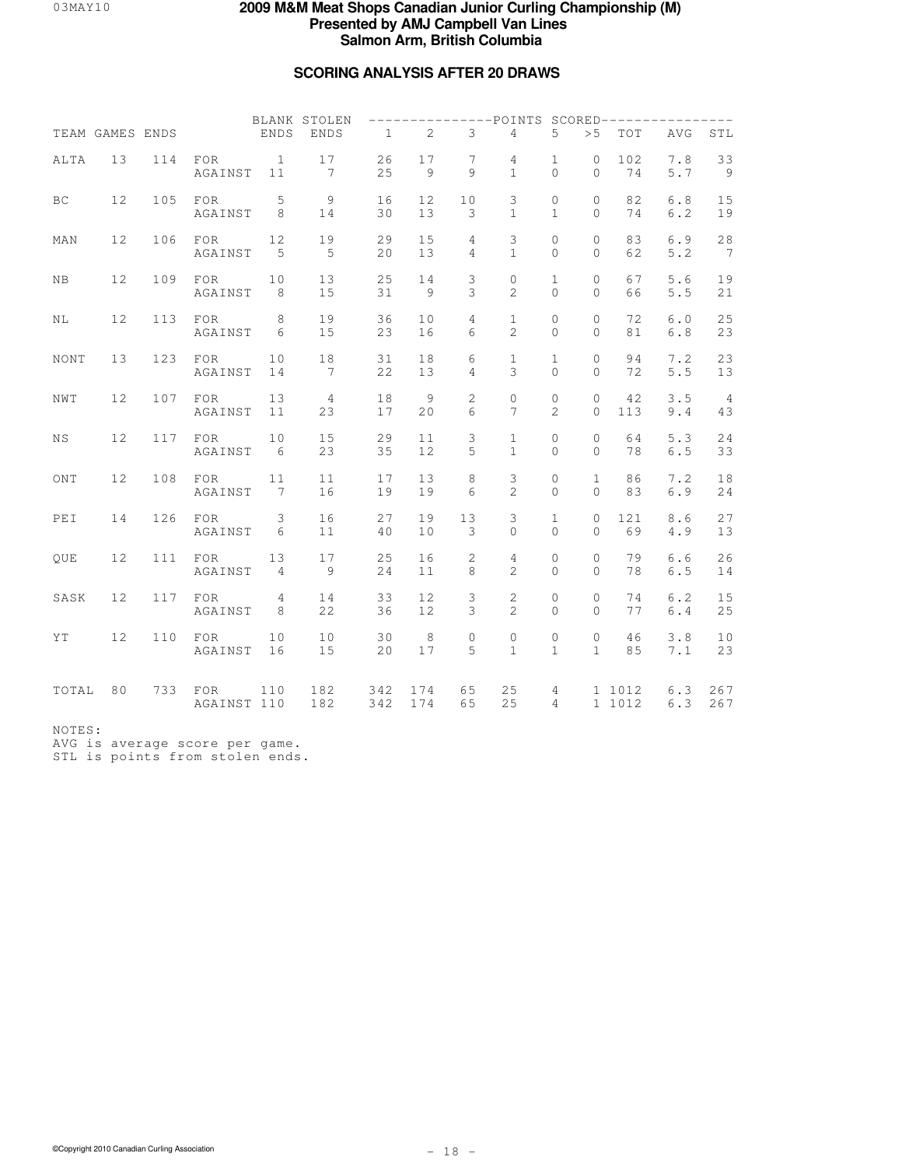# **SCORING ANALYSIS AFTER 20 DRAWS**

|             | TEAM GAMES ENDS |     |                    | ENDS                 | BLANK STOLEN<br>ENDS               | $\mathbf{1}$ | 2                    | 3                 | ---POINTS SCORED--------<br>$\overline{4}$ | 5                             | > 5                          | TOT              | AVG          | STL                  |
|-------------|-----------------|-----|--------------------|----------------------|------------------------------------|--------------|----------------------|-------------------|--------------------------------------------|-------------------------------|------------------------------|------------------|--------------|----------------------|
| ALTA        | 13              | 114 | FOR<br>AGAINST     | $\overline{1}$<br>11 | 17<br>$7\phantom{.0}\phantom{.0}7$ | 26<br>25     | 17<br>9              | 7<br>9            | $\overline{4}$<br>$\mathbf{1}$             | $\mathbf{1}$<br>$\Omega$      | $\circ$<br>$\Omega$          | 102<br>74        | 7.8<br>5.7   | 33<br>- 9            |
| BC          | 12              | 105 | FOR<br>AGAINST     | 5<br>8               | 9<br>14                            | 16<br>30     | 12<br>13             | 10<br>3           | 3<br>$\mathbf{1}$                          | 0<br>$\mathbf{1}$             | $\circ$<br>$\Omega$          | 82<br>74         | 6.8<br>6.2   | 15<br>19             |
| MAN         | 12              | 106 | FOR<br>AGAINST     | 12<br>5              | 19<br>5                            | 29<br>20     | 15<br>13             | 4<br>4            | 3<br>$\mathbf{1}$                          | $\mathbf{0}$<br>$\Omega$      | $\circ$<br>$\Omega$          | 83<br>62         | 6.9<br>5.2   | $2\,8$<br>7          |
| $_{\rm NB}$ | 12              | 109 | FOR<br>AGAINST     | 10<br>8              | 13<br>15                           | 25<br>31     | 14<br>$\overline{9}$ | 3<br>3            | 0<br>$\mathbf{2}$                          | $\mathbf{1}$<br>$\Omega$      | $\mathbf 0$<br>$\mathbf{0}$  | 67<br>66         | 5.6<br>$5.5$ | 19<br>21             |
| NL          | 12              | 113 | FOR<br>AGAINST     | 8<br>6               | 19<br>15                           | 36<br>23     | 10<br>16             | 4<br>6            | $\mathbf{1}$<br>$\mathfrak{D}$             | $\mathbf{0}$<br>$\Omega$      | 0<br>$\Omega$                | 72<br>81         | 6.0<br>6.8   | 25<br>23             |
| NONT        | 13              | 123 | FOR<br>AGAINST     | 10<br>14             | 18<br>$7\phantom{.0}$              | 31<br>22     | 18<br>13             | 6<br>4            | 1<br>3                                     | $\mathbf{1}$<br>$\Omega$      | $\mathbf{0}$<br>$\Omega$     | 94<br>72         | 7.2<br>$5.5$ | 23<br>13             |
| NWT         | 12              | 107 | FOR<br>AGAINST     | 13<br>11             | $\overline{4}$<br>23               | 18<br>17     | 9<br>20              | $\mathbf{2}$<br>6 | $\mathbf 0$<br>$\overline{7}$              | $\mathbb O$<br>$\mathfrak{D}$ | $\mathbf{0}$<br>$\Omega$     | 42<br>113        | 3.5<br>9.4   | $\overline{4}$<br>43 |
| ΝS          | 12              | 117 | FOR<br>AGAINST     | 10<br>6              | 15<br>23                           | 29<br>35     | 11<br>12             | 3<br>5            | $\mathbf{1}$<br>$\mathbf{1}$               | $\mathbb O$<br>$\Omega$       | $\mathbf{0}$<br>$\Omega$     | 64<br>78         | 5.3<br>6.5   | $2\,4$<br>33         |
| ONT         | 12              | 108 | FOR<br>AGAINST     | 11<br>7              | 11<br>16                           | 17<br>19     | 13<br>19             | 8<br>6            | 3<br>$\overline{c}$                        | $\mathbb O$<br>$\Omega$       | $\mathbf{1}$<br>$\Omega$     | 86<br>83         | 7.2<br>6.9   | 18<br>24             |
| PEI         | 14              | 126 | FOR<br>AGAINST     | 3<br>6               | 16<br>11                           | 27<br>40     | 19<br>10             | 13<br>3           | 3<br>$\Omega$                              | $\mathbf{1}$<br>$\Omega$      | $\mathbf{0}$<br>$\Omega$     | 121<br>69        | 8.6<br>4.9   | 27<br>13             |
| QUE         | 12              | 111 | FOR<br>AGAINST     | 13<br>$\overline{4}$ | 17<br>9                            | 25<br>24     | 16<br>11             | 2<br>8            | $\overline{4}$<br>$\overline{2}$           | $\mathbf{0}$<br>$\Omega$      | 0<br>$\Omega$                | 79<br>78         | 6.6<br>6.5   | 26<br>14             |
| SASK        | 12              | 117 | FOR<br>AGAINST     | $\overline{4}$<br>8  | 14<br>22                           | 33<br>36     | 12<br>12             | 3<br>3            | 2<br>$\overline{2}$                        | 0<br>$\Omega$                 | $\circledcirc$<br>$\Omega$   | 74<br>77         | $6.2$<br>6.4 | 15<br>25             |
| ΥT          | 12              | 110 | FOR<br>AGAINST     | 10<br>16             | 10<br>15                           | 30<br>20     | 8<br>17              | $\circ$<br>5      | $\circ$<br>$\mathbf{1}$                    | $\circ$<br>$\mathbf{1}$       | $\mathbf{0}$<br>$\mathbf{1}$ | 46<br>85         | 3.8<br>7.1   | 10<br>23             |
| TOTAL       | 80              | 733 | FOR<br>AGAINST 110 | 110                  | 182<br>182                         | 342<br>342   | 174<br>174           | 65<br>65          | 25<br>25                                   | 4<br>$\overline{4}$           |                              | 1 1012<br>1 1012 | 6.3<br>6.3   | 267<br>267           |
|             |                 |     |                    |                      |                                    |              |                      |                   |                                            |                               |                              |                  |              |                      |

NOTES:

AVG is average score per game. STL is points from stolen ends.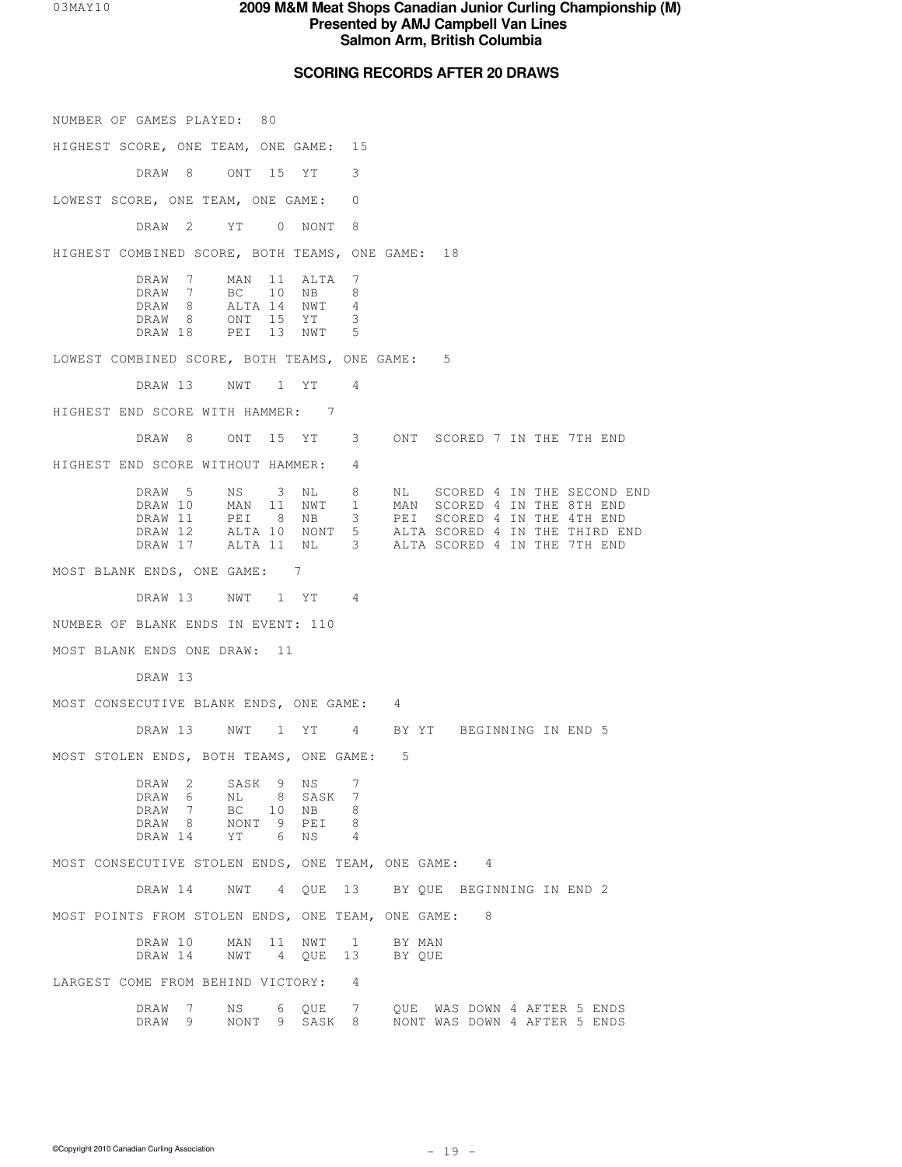#### **03MAY10 <b>93MAY10 93MAY10 93MAY10 93MAY10 93MAY10 93MAY10 95 Presented by AMJ Campbell Van Lines Salmon Arm, British Columbia**

### **SCORING RECORDS AFTER 20 DRAWS**

NUMBER OF GAMES PLAYED: 80 HIGHEST SCORE, ONE TEAM, ONE GAME: 15 DRAW 8 ONT 15 YT 3 LOWEST SCORE, ONE TEAM, ONE GAME: 0 DRAW 2 YT 0 NONT 8 HIGHEST COMBINED SCORE, BOTH TEAMS, ONE GAME: 18 DRAW 7 MAN 11 ALTA 7<br>DRAW 7 BC 10 NB 8 DRAW 7 BC 10 NB 8<br>
DRAW 8 ALTA 14 NWT 4<br>
DRAW 8 ONT 15 YT 3 ALTA 14 NWT DRAW 8 ONT 15 YT 3 DRAW 18 PEI 13 NWT 5 LOWEST COMBINED SCORE, BOTH TEAMS, ONE GAME: 5 DRAW 13 NWT 1 YT 4 HIGHEST END SCORE WITH HAMMER: 7 DRAW 8 ONT 15 YT 3 ONT SCORED 7 IN THE 7TH END HIGHEST END SCORE WITHOUT HAMMER: 4 DRAW 5 NS 3 NL 8 NL SCORED 4 IN THE SECOND END DRAW 10 MAN 11 NWT 1 MAN SCORED 4 IN THE 8TH END DRAW 11 PEI 8 NB 3 PEI SCORED 4 IN THE 4TH END DRAW 12 ALTA 10 NONT 5 ALTA SCORED 4 IN THE THIRD END ALTA SCORED 4 IN THE 7TH END MOST BLANK ENDS, ONE GAME: 7 DRAW 13 NWT 1 YT 4 NUMBER OF BLANK ENDS IN EVENT: 110 MOST BLANK ENDS ONE DRAW: 11 DRAW 13 MOST CONSECUTIVE BLANK ENDS, ONE GAME: 4 DRAW 13 NWT 1 YT 4 BY YT BEGINNING IN END 5 MOST STOLEN ENDS, BOTH TEAMS, ONE GAME: 5 DRAW 2 SASK 9 NS 7<br>DRAW 6 NL 8 SASK 7 DRAW 6 NL 8 SASK 7<br>DRAW 7 BC 10 NB 8 DRAW 7 BC 10 NB 8 DRAW 8 NONT 9 PEI 8 DRAW 14 YT 6 NS 4 MOST CONSECUTIVE STOLEN ENDS, ONE TEAM, ONE GAME: 4 DRAW 14 NWT 4 QUE 13 BY QUE BEGINNING IN END 2 MOST POINTS FROM STOLEN ENDS, ONE TEAM, ONE GAME: 8 DRAW 10 MAN 11 NWT 1 BY MAN<br>DRAW 14 NWT 4 OUE 13 BY OUE 4 QUE 13 LARGEST COME FROM BEHIND VICTORY: 4 DRAW 7 NS 6 QUE 7 QUE WAS DOWN 4 AFTER 5 ENDS DRAW 9 NONT 9 SASK 8 NONT WAS DOWN 4 AFTER 5 ENDS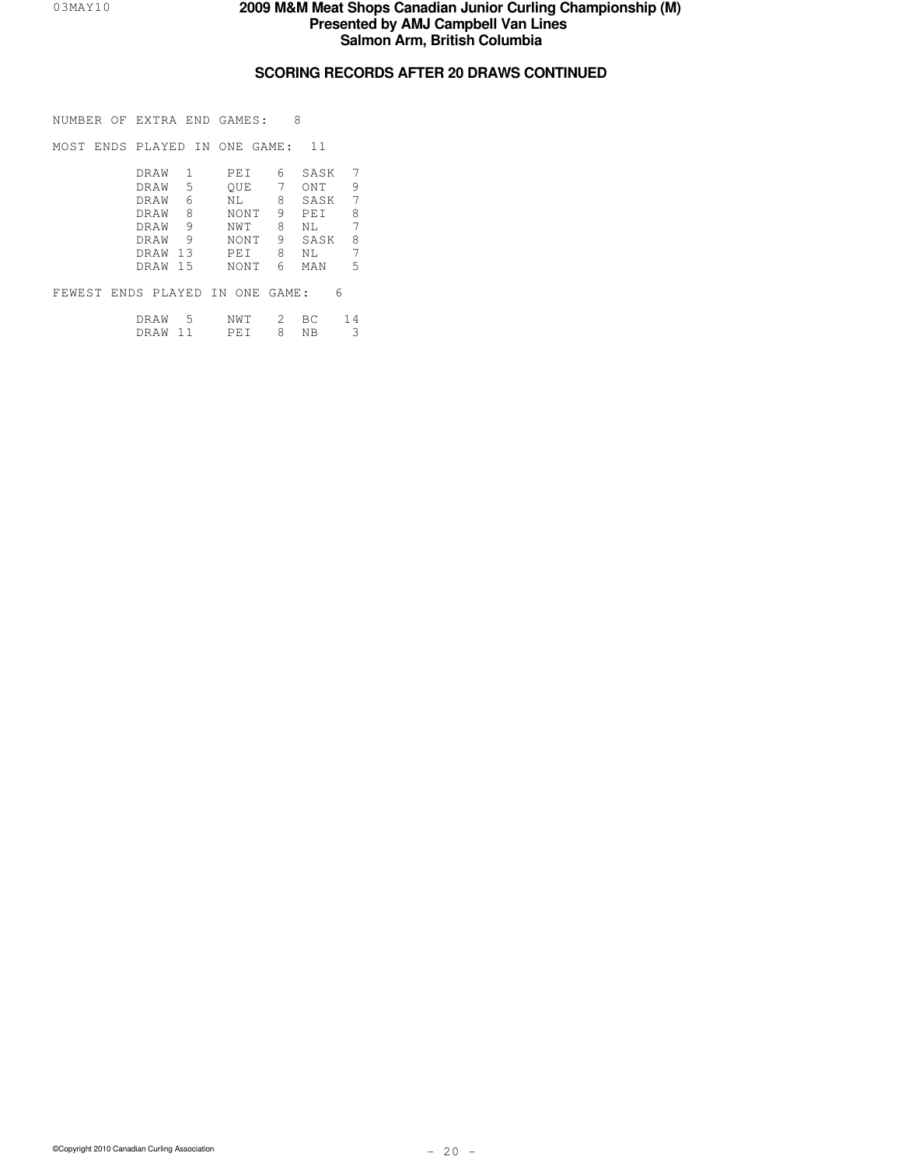## **SCORING RECORDS AFTER 20 DRAWS CONTINUED**

NUMBER OF EXTRA END GAMES: 8

MOST ENDS PLAYED IN ONE GAME: 11

| DRAW |      | PEI         | 6 | SASK | 7 |
|------|------|-------------|---|------|---|
| DRAW | 5    | OUE         |   | ONT  | 9 |
| DRAW | 6    | ΝL          | 8 | SASK | 7 |
| DRAW | 8    | <b>NONT</b> | 9 | PET  | 8 |
| DRAW | 9    | NWT         | 8 | NT.  | 7 |
| DRAW | 9    | NONT        | 9 | SASK | 8 |
| DRAW | 13   | PET         | 8 | ΝL   | 7 |
| DRAW | - 15 | <b>NONT</b> | 6 | MAN  | 5 |
|      |      |             |   |      |   |

FEWEST ENDS PLAYED IN ONE GAME: 6

| DRAW        | $\overline{a}$ | NM | $\sim$ |  |
|-------------|----------------|----|--------|--|
| <b>DRAM</b> |                | レド | ΝR     |  |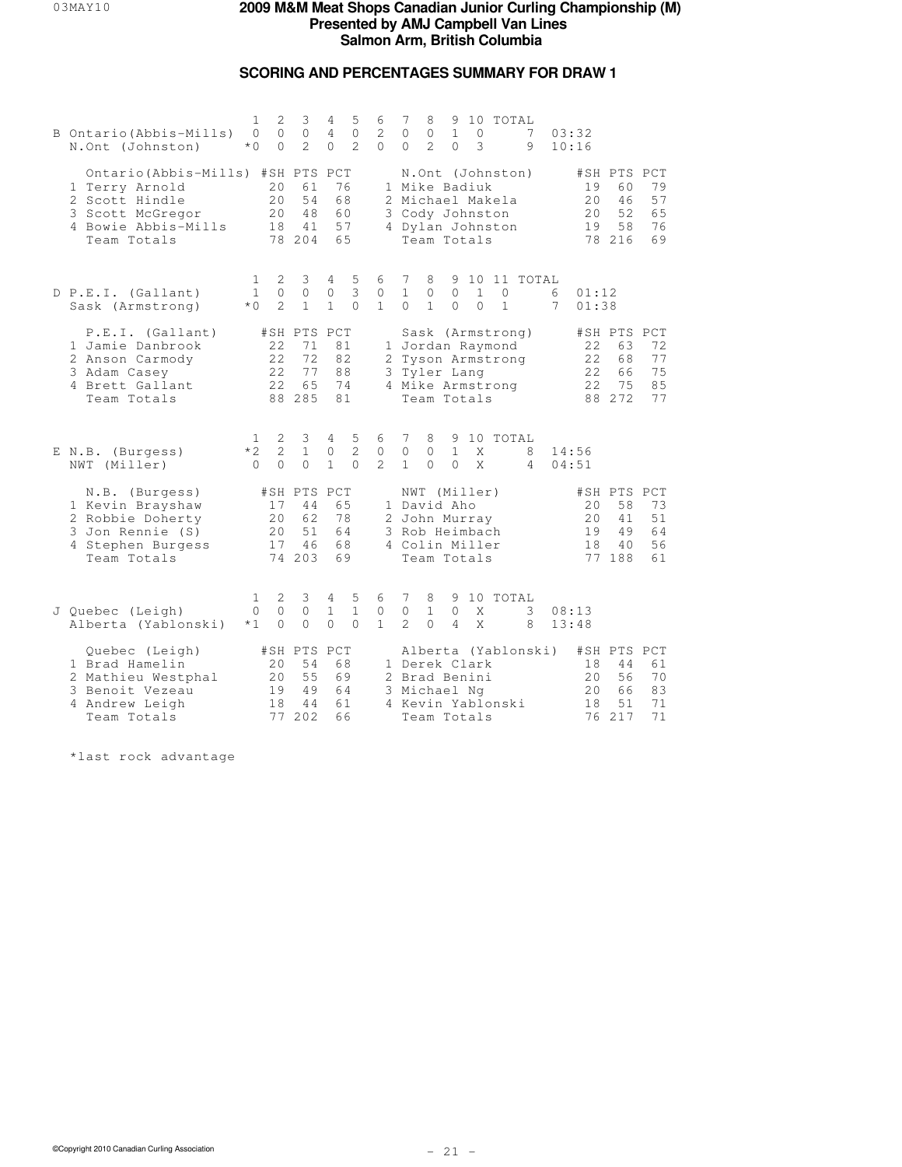### **SCORING AND PERCENTAGES SUMMARY FOR DRAW 1**

| B Ontario (Abbis-Mills)<br>N.Ont (Johnston)                                                                                     | $\mathbf{1}$<br>$\Omega$<br>$*$ 0 | $\overline{2}$<br>$\Omega$<br>$\Omega$ | 3<br>$\Omega$<br>$\mathcal{L}$                | 4<br>$\overline{4}$<br>$\Omega$  | 5<br>$\circ$<br>$\mathcal{L}$ | 6<br>$\overline{c}$<br>$\Omega$ | 7<br>$\circ$<br>$\Omega$       | 8<br>$\mathbb O$<br>$\mathcal{L}$                                                               | 9<br>$\mathbf{1}$<br>$\Omega$  | 0<br>3                   | 10 TOTAL                                                                      | 7<br>9              | 03:32<br>10:16 |                            |                                               |                            |
|---------------------------------------------------------------------------------------------------------------------------------|-----------------------------------|----------------------------------------|-----------------------------------------------|----------------------------------|-------------------------------|---------------------------------|--------------------------------|-------------------------------------------------------------------------------------------------|--------------------------------|--------------------------|-------------------------------------------------------------------------------|---------------------|----------------|----------------------------|-----------------------------------------------|----------------------------|
| Ontario (Abbis-Mills) #SH PTS PCT<br>1 Terry Arnold<br>2 Scott Hindle<br>3 Scott McGregor<br>4 Bowie Abbis-Mills<br>Team Totals |                                   | 20<br>2.0<br>20<br>18                  | 61<br>54<br>48<br>41<br>78 204                | 76<br>68<br>60<br>57<br>65       |                               |                                 |                                | 1 Mike Badiuk<br>3 Cody Johnston<br>Team Totals                                                 |                                |                          | N.Ont (Johnston)<br>2 Michael Makela<br>4 Dylan Johnston                      |                     |                | 19<br>2.0<br>20<br>19      | #SH PTS PCT<br>60<br>46<br>52<br>58<br>78 216 | 79<br>57<br>65<br>76<br>69 |
| D P.E.I. (Gallant)<br>Sask (Armstrong)                                                                                          | 1<br>$\mathbf{1}$<br>$*$ 0        | 2<br>$\circ$<br>$\mathfrak{D}$         | 3<br>$\circ$<br>$\mathbf{1}$                  | 4<br>$\mathbb O$<br>$\mathbf{1}$ | 5<br>3<br>$\Omega$            | 6<br>0<br>$\mathbf{1}$          | 7<br>$\mathbf{1}$<br>$\Omega$  | 8<br>0<br>$\mathbf{1}$                                                                          | 9<br>$\circ$<br>$\Omega$       | $\mathbf{1}$<br>$\Omega$ | $\circ$<br>$\mathbf{1}$                                                       | 10 11 TOTAL         | 6<br>7         | 01:12<br>01:38             |                                               |                            |
| P.E.I. (Gallant)<br>1 Jamie Danbrook<br>2 Anson Carmody<br>3 Adam Casey<br>4 Brett Gallant<br>Team Totals                       |                                   | 22<br>22<br>2.2.<br>22                 | #SH PTS PCT<br>71<br>72<br>77<br>65<br>88 285 | 81<br>82<br>88<br>74<br>81       |                               | 3.                              |                                | Tyler Lang<br>Team Totals                                                                       |                                |                          | Sask (Armstrong)<br>1 Jordan Raymond<br>2 Tyson Armstrong<br>4 Mike Armstrong |                     |                | 22<br>22<br>2.2.<br>22     | #SH PTS PCT<br>63<br>68<br>66<br>75<br>88 272 | 72<br>77<br>75<br>85<br>77 |
| E N.B. (Burgess)<br>NWT (Miller)                                                                                                | 1<br>$*2$<br>$\Omega$             | 2<br>$\overline{c}$<br>$\Omega$        | 3<br>$\mathbf{1}$<br>$\Omega$                 | 4<br>0<br>$\mathbf{1}$           | 5<br>2<br>$\Omega$            | 6<br>$\circ$<br>$\mathcal{L}$   | 7<br>$\circ$<br>$\mathbf{1}$   | 8<br>$\circ$<br>$\Omega$                                                                        | 9<br>$\mathbf{1}$<br>$\Omega$  | X<br>X                   | 10 TOTAL                                                                      | 8<br>$\overline{4}$ | 14:56          | 04:51                      |                                               |                            |
| N.B. (Burgess)<br>1 Kevin Brayshaw<br>2 Robbie Doherty<br>3 Jon Rennie (S)<br>4 Stephen Burgess<br>Team Totals                  |                                   | 17<br>20<br>20<br>17<br>74             | #SH PTS PCT<br>44<br>62<br>51<br>46<br>203    | 65<br>78<br>64<br>68<br>69       |                               |                                 |                                | NWT (Miller)<br>1 David Aho<br>2 John Murray<br>3 Rob Heimbach<br>4 Colin Miller<br>Team Totals |                                |                          |                                                                               |                     |                | 20<br>20<br>19<br>18<br>77 | #SH PTS PCT<br>58<br>41<br>49<br>40<br>188    | 73<br>51<br>64<br>56<br>61 |
| J Quebec (Leigh)<br>Alberta (Yablonski)                                                                                         | 1<br>0<br>$*1$                    | 2<br>$\circ$<br>$\circ$                | 3<br>$\circ$<br>$\circ$                       | 4<br>$\mathbf{1}$<br>$\Omega$    | 5<br>$\mathbf{1}$<br>$\Omega$ | 6<br>$\circ$<br>$\mathbf{1}$    | 7<br>$\circ$<br>$\overline{c}$ | 8<br>$\mathbf{1}$<br>$\Omega$                                                                   | 9<br>$\circ$<br>$\overline{4}$ | Χ<br>X                   | 10 TOTAL                                                                      | 3<br>8              | 08:13<br>13:48 |                            |                                               |                            |
| Quebec (Leigh)<br>1 Brad Hamelin<br>2 Mathieu Westphal<br>3 Benoit Vezeau<br>4 Andrew Leigh<br>Team Totals                      |                                   | 20<br>20<br>19<br>18                   | #SH PTS PCT<br>54<br>55<br>49<br>44<br>77 202 | 68<br>69<br>64<br>61<br>66       |                               |                                 |                                | 1 Derek Clark<br>2 Brad Benini<br>3 Michael Ng<br>Team Totals                                   |                                |                          | 4 Kevin Yablonski                                                             | Alberta (Yablonski) |                | 18<br>20<br>20<br>18       | #SH PTS PCT<br>44<br>56<br>66<br>51<br>76 217 | 61<br>70<br>83<br>71<br>71 |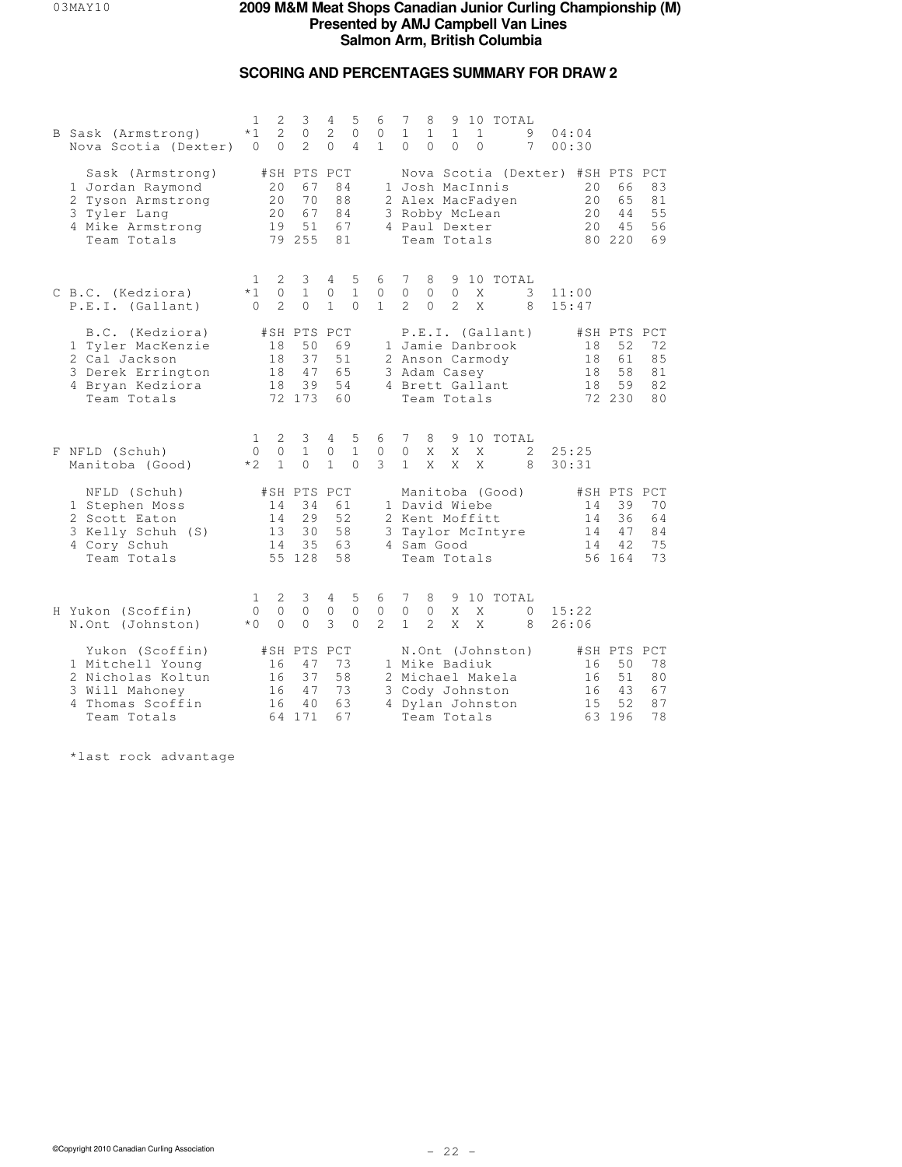# **SCORING AND PERCENTAGES SUMMARY FOR DRAW 2**

| B Sask (Armstrong)<br>Nova Scotia (Dexter)                                                                    | $\mathbf{2}$<br>1<br>$\overline{2}$<br>$*1$<br>$\Omega$<br>$\Omega$ | 3<br>$\circ$<br>$\mathcal{L}$                 | 5<br>4<br>$\overline{c}$<br>$\circ$<br>$\Omega$<br>$\overline{4}$ | 6<br>0<br>$\mathbf{1}$        | 8<br>9 10 TOTAL<br>7<br>$\mathbf{1}$<br>$\mathbf{1}$<br>$\mathbf{1}$<br>$\mathbf{1}$<br>9<br>04:04<br>$\Omega$<br>$\Omega$<br>$\Omega$<br>$\Omega$<br>7<br>00:30                                                   |  |
|---------------------------------------------------------------------------------------------------------------|---------------------------------------------------------------------|-----------------------------------------------|-------------------------------------------------------------------|-------------------------------|--------------------------------------------------------------------------------------------------------------------------------------------------------------------------------------------------------------------|--|
| Sask (Armstrong)<br>1 Jordan Raymond<br>2 Tyson Armstrong<br>3 Tyler Lang<br>4 Mike Armstrong<br>Team Totals  | 20<br>20<br>20<br>19                                                | #SH PTS PCT<br>67<br>70<br>67<br>51<br>79 255 | 84<br>88<br>84<br>67<br>81                                        |                               | Nova Scotia (Dexter) #SH PTS PCT<br>1 Josh MacInnis<br>83<br>20<br>66<br>2 Alex MacFadyen<br>20<br>65<br>81<br>55<br>3 Robby McLean<br>44<br>20<br>4.5<br>56<br>4 Paul Dexter<br>20<br>69<br>Team Totals<br>80 220 |  |
| C B.C. (Kedziora)<br>P.E.I. (Gallant)                                                                         | 2<br>1<br>$\circ$<br>$*1$<br>$\mathfrak{D}$<br>$\Omega$             | 3<br>$\mathbf{1}$<br>$\Omega$                 | 4<br>5<br>$\mathbf{1}$<br>$\circ$<br>$\mathbf{1}$<br>$\Omega$     | 6<br>$\circ$<br>$\mathbf{1}$  | 7<br>10 TOTAL<br>8<br>9<br>$\circ$<br>$\circ$<br>$\mathbb O$<br>3<br>Χ<br>11:00<br>$\mathcal{L}$<br>$\mathcal{L}$<br>$\Omega$<br>X<br>8<br>15:47                                                                   |  |
| B.C. (Kedziora)<br>1 Tyler MacKenzie<br>2 Cal Jackson<br>3 Derek Errington<br>4 Bryan Kedziora<br>Team Totals | 18<br>18<br>18<br>18                                                | #SH PTS PCT<br>50<br>37<br>47<br>39<br>72 173 | 69<br>51<br>65<br>54<br>60                                        |                               | P.E.I. (Gallant)<br>#SH PTS PCT<br>1 Jamie Danbrook<br>72<br>18<br>52<br>61<br>85<br>2 Anson Carmody<br>18<br>18<br>58<br>81<br>3 Adam Casey<br>4 Brett Gallant<br>59<br>82<br>18<br>72 230<br>80<br>Team Totals   |  |
| F NFLD (Schuh)<br>Manitoba (Good)                                                                             | 2<br>1<br>$\mathbb O$<br>$\Omega$<br>$\mathbf{1}$<br>$*2$           | 3<br>$\mathbf{1}$<br>$\Omega$                 | 5<br>4<br>$\circ$<br>$\mathbf{1}$<br>$\mathbf{1}$<br>$\Omega$     | 6<br>$\circ$<br>$\mathcal{S}$ | 7<br>8<br>10 TOTAL<br>9<br>$\circ$<br>X<br>X<br>25:25<br>X<br>2<br>$\mathbf{1}$<br>$\overline{X}$<br>X<br>X<br>8<br>30:31                                                                                          |  |
| NFLD (Schuh)<br>1 Stephen Moss<br>2 Scott Eaton<br>3 Kelly Schuh (S)<br>4 Cory Schuh<br>Team Totals           | 14<br>14<br>13<br>14                                                | #SH PTS PCT<br>34<br>29<br>30<br>35<br>55 128 | 61<br>52<br>58<br>63<br>58                                        |                               | Manitoba (Good)<br>#SH PTS PCT<br>1 David Wiebe<br>39<br>70<br>14<br>2 Kent Moffitt<br>36<br>64<br>14<br>84<br>14<br>47<br>3 Taylor McIntyre<br>4 Sam Good<br>14<br>42<br>75<br>56 164<br>73<br>Team Totals        |  |
| H Yukon (Scoffin)<br>N.Ont (Johnston)                                                                         | 1<br>2<br>$\circ$<br>$\circ$<br>$\Omega$<br>$*$ 0                   | 3<br>$\circ$<br>$\Omega$                      | 5<br>4<br>$\circ$<br>$\mathbb O$<br>3<br>$\Omega$                 | 6<br>$\circ$<br>$2^{1}$       | 7<br>9 10 TOTAL<br>8<br>$\mathbb O$<br>0<br>X<br>X<br>$\circ$<br>15:22<br>$\mathbf{1}$<br>$\overline{2}$<br>X<br>X<br>26:06<br>8                                                                                   |  |
| Yukon (Scoffin)<br>1 Mitchell Young<br>2 Nicholas Koltun<br>3 Will Mahoney<br>4 Thomas Scoffin<br>Team Totals | 16<br>16<br>16<br>16                                                | #SH PTS PCT<br>47<br>37<br>47<br>40<br>64 171 | 73<br>58<br>73<br>63<br>67                                        |                               | N.Ont (Johnston)<br>#SH PTS PCT<br>1 Mike Badiuk<br>78<br>16<br>50<br>51<br>80<br>2 Michael Makela<br>16<br>3 Cody Johnston<br>67<br>16<br>43<br>87<br>4 Dylan Johnston<br>15<br>52<br>78<br>Team Totals<br>63 196 |  |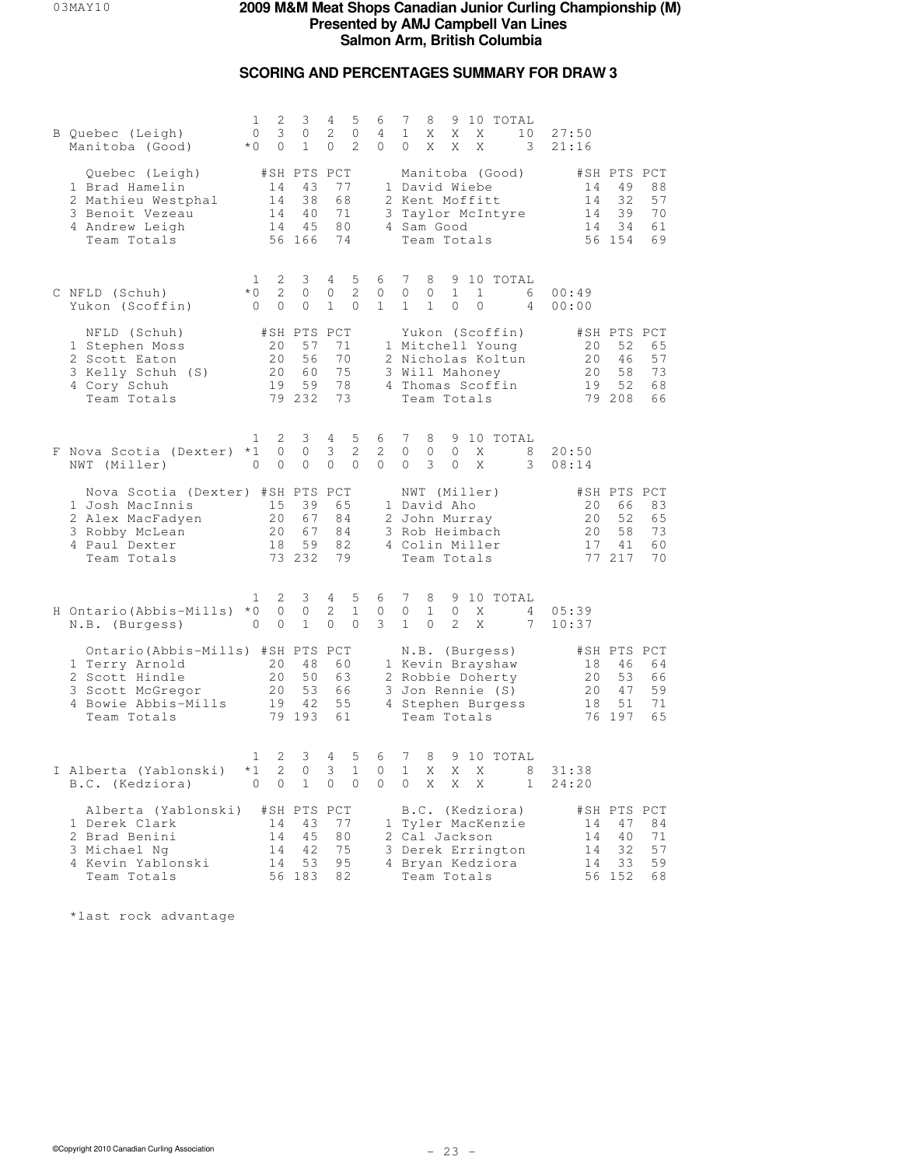# **SCORING AND PERCENTAGES SUMMARY FOR DRAW 3**

| B Quebec (Leigh)<br>Manitoba (Good)                                                                                             | 2<br>1<br>$\circ$<br>3<br>$*0$<br>$\circ$                            | 3<br>$\circ$<br>$\mathbf{1}$                  | 4<br>5<br>2<br>$\circ$<br>$\overline{2}$<br>$\circ$                  | 6<br>4<br>$\overline{0}$     | 7<br>9 10 TOTAL<br>8<br>$\mathbf{1}$<br>Χ<br>Χ<br>X<br>10<br>X<br>X<br>X<br>$\overline{\mathbf{3}}$<br>0                                      | 27:50<br>21:16                                                                                      |
|---------------------------------------------------------------------------------------------------------------------------------|----------------------------------------------------------------------|-----------------------------------------------|----------------------------------------------------------------------|------------------------------|-----------------------------------------------------------------------------------------------------------------------------------------------|-----------------------------------------------------------------------------------------------------|
| Quebec (Leigh)<br>1 Brad Hamelin<br>2 Mathieu Westphal<br>3 Benoit Vezeau<br>4 Andrew Leigh<br>Team Totals                      | #SH PTS PCT<br>14<br>14<br>14                                        | 43<br>38<br>40<br>14 45<br>56 166             | 77<br>68<br>71<br>80<br>74                                           |                              | Manitoba (Good)<br>1 David Wiebe<br>2 Kent Moffitt<br>3 Taylor McIntyre<br>4 Sam Good<br>Team Totals                                          | #SH PTS PCT<br>14<br>49<br>88<br>14<br>32<br>57<br>39<br>70<br>14<br>34<br>61<br>14<br>56 154<br>69 |
| C NFLD (Schuh)<br>Yukon (Scoffin)                                                                                               | 1<br>2<br>$*0$<br>2<br>$\circ$<br>$\overline{0}$                     | 3<br>$\circ$<br>$\circ$                       | 5<br>4<br>$\overline{c}$<br>0<br>$\mathbf{1}$<br>$\mathbf{0}$        | 6<br>0<br>$\mathbf{1}$       | $7\phantom{.0}$<br>9 10 TOTAL<br>8<br>0<br>0<br>$\mathbf{1}$<br>$\mathbf{1}$<br>6<br>$\mathbf{1}$<br>$\mathbf{1}$<br>0<br>0<br>$\overline{4}$ | 00:49<br>00:00                                                                                      |
| NFLD (Schuh)<br>1 Stephen Moss<br>2 Scott Eaton<br>3 Kelly Schuh (S)<br>4 Cory Schuh<br>Team Totals                             | 20<br>20<br>20<br>19                                                 | #SH PTS PCT<br>57<br>56<br>60<br>59<br>79 232 | 71<br>70<br>75<br>78<br>73                                           |                              | Yukon (Scoffin)<br>1 Mitchell Young<br>2 Nicholas Koltun<br>3 Will Mahoney<br>4 Thomas Scoffin<br>Team Totals                                 | #SH PTS PCT<br>20<br>52<br>65<br>20<br>46<br>57<br>20<br>58<br>73<br>19<br>52<br>68<br>79 208<br>66 |
| F Nova Scotia (Dexter) *1<br>NWT (Miller)                                                                                       | 2<br>1<br>$\circ$<br>$\circ$<br>0                                    | 3<br>$\circ$<br>$\circ$                       | 4<br>5<br>$\mathbf{2}$<br>$\mathfrak{Z}$<br>$\circ$<br>$\circ$       | 6<br>$\mathbf{2}$<br>0       | $7\phantom{.0}$<br>8<br>9 10 TOTAL<br>$\circ$<br>$\circ$<br>X<br>0<br>8<br>3<br>3<br>$\circ$<br>0<br>X                                        | 20:50<br>08:14                                                                                      |
| Nova Scotia (Dexter) #SH PTS PCT<br>1 Josh MacInnis<br>2 Alex MacFadyen<br>3 Robby McLean<br>4 Paul Dexter<br>Team Totals       | 15<br>20<br>20<br>18                                                 | 39<br>67<br>67<br>59<br>73 232                | 65<br>84<br>84<br>82<br>79                                           |                              | NWT (Miller)<br>1 David Aho<br>2 John Murray<br>3 Rob Heimbach<br>4 Colin Miller<br>Team Totals                                               | #SH PTS PCT<br>20<br>83<br>66<br>20<br>52<br>65<br>20<br>58<br>73<br>17<br>60<br>41<br>77 217<br>70 |
| H Ontario (Abbis-Mills) *0<br>N.B. (Burgess)                                                                                    | 2<br>1<br>$\circ$<br>$\mathbf{0}$<br>$\Omega$                        | 3<br>$\circ$<br>$\mathbf{1}$                  | $4 -$<br>5<br>$\overline{2}$<br>$\mathbf{1}$<br>$\Omega$<br>$\Omega$ | 6<br>$\circ$<br>3            | 7<br>9 10 TOTAL<br>8<br>$\circ$<br>$\mathbf{1}$<br>0<br>X<br>4<br>$\mathbf{1}$<br>$\overline{2}$<br>$\Omega$<br>X<br>$\overline{7}$           | 05:39<br>10:37                                                                                      |
| Ontario (Abbis-Mills) #SH PTS PCT<br>1 Terry Arnold<br>2 Scott Hindle<br>3 Scott McGregor<br>4 Bowie Abbis-Mills<br>Team Totals | 20<br>20<br>20<br>19                                                 | 48<br>50<br>53<br>42<br>79 193                | 60<br>63<br>66<br>55<br>61                                           |                              | N.B. (Burgess)<br>1 Kevin Brayshaw<br>2 Robbie Doherty<br>3 Jon Rennie (S)<br>4 Stephen Burgess<br>Team Totals                                | #SH PTS PCT<br>46<br>64<br>18<br>20<br>53<br>66<br>59<br>20<br>47<br>18<br>51<br>71<br>65<br>76 197 |
| I Alberta (Yablonski)<br>B.C. (Kedziora)                                                                                        | 2<br>1<br>$\mathbf{2}^{\prime}$<br>$*1$<br>$\overline{0}$<br>$\circ$ | 3<br>0<br>$\mathbf{1}$                        | 4<br>5<br>3<br>$\mathbf{1}$<br>$\circ$<br>$\mathbf{0}$               | 6<br>$\circ$<br>$\mathbf{0}$ | $7\phantom{.0}$<br>8<br>9 10 TOTAL<br>$\mathbf{1}$<br>X<br>X<br>X<br>8<br>$\circ$<br>X<br>X<br>X<br>$\overline{1}$                            | 31:38<br>24:20                                                                                      |
| Alberta (Yablonski) #SH PTS PCT<br>1 Derek Clark<br>2 Brad Benini<br>3 Michael Ng<br>4 Kevin Yablonski<br>Team Totals           | 14<br>14<br>14<br>14                                                 | 43<br>45<br>42<br>53<br>56 183                | 77<br>80<br>75<br>95<br>82                                           |                              | B.C. (Kedziora)<br>1 Tyler MacKenzie<br>2 Cal Jackson<br>3 Derek Errington<br>4 Bryan Kedziora<br>Team Totals                                 | #SH PTS PCT<br>84<br>14<br>47<br>14<br>40<br>71<br>14<br>32<br>57<br>14<br>33<br>59<br>56 152<br>68 |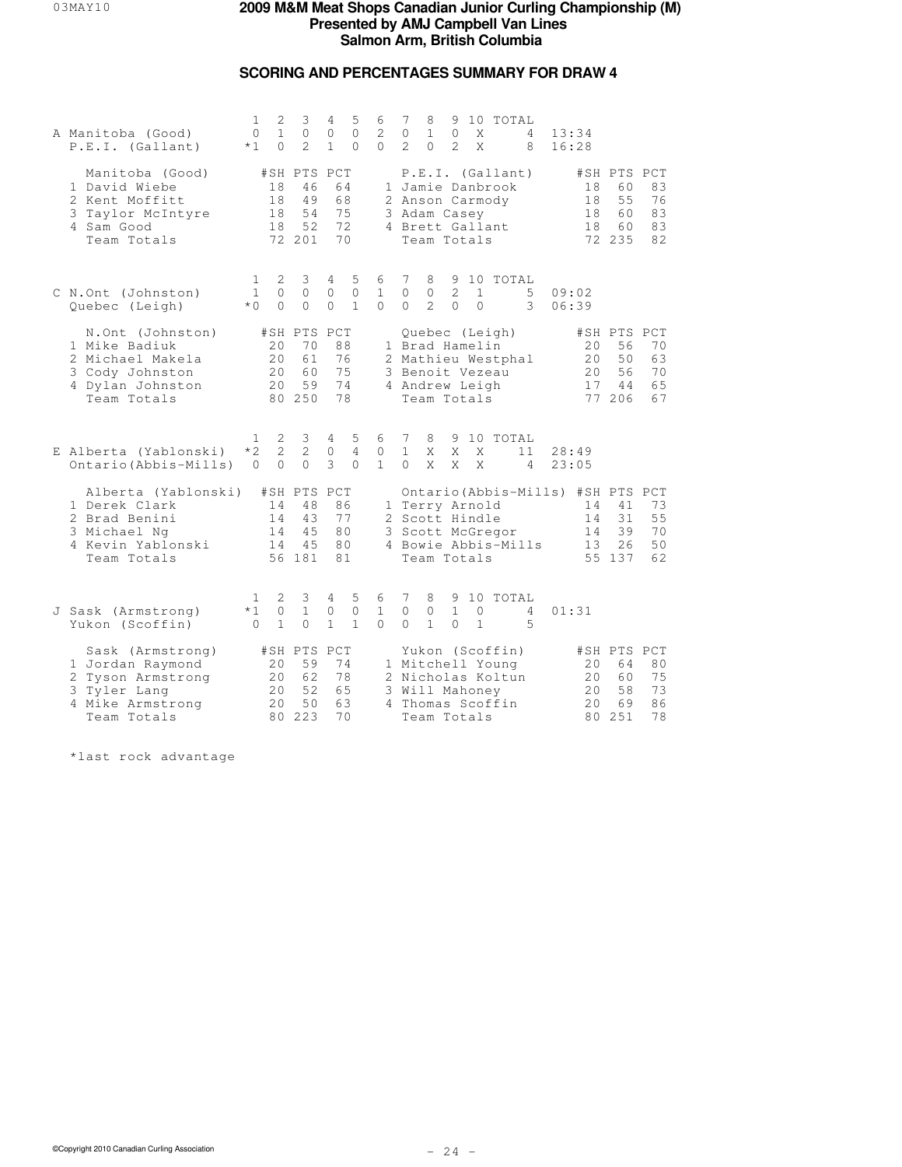# **SCORING AND PERCENTAGES SUMMARY FOR DRAW 4**

| A Manitoba (Good)<br>P.E.I. (Gallant)                                                                        | 1<br>$\circ$<br>$*1$             | 2<br>$\mathbf{1}$<br>$\Omega$ | 3<br>$\circ$<br>$\mathfrak{D}$                | 4<br>$\mathbf{0}$<br>$\mathbf{1}$ | 5<br>$\circ$<br>$\Omega$          | 6<br>2<br>$\Omega$                | 7<br>0<br>$\mathfrak{D}$      | 8<br>$\mathbf{1}$<br>$\Omega$                                     | 9<br>0<br>$\mathfrak{D}$      | X<br>$\mathsf{X}$            | 10 TOTAL                                                                     | 4<br>8              | 13:34<br>16:28 |                                                           |                                               |                            |
|--------------------------------------------------------------------------------------------------------------|----------------------------------|-------------------------------|-----------------------------------------------|-----------------------------------|-----------------------------------|-----------------------------------|-------------------------------|-------------------------------------------------------------------|-------------------------------|------------------------------|------------------------------------------------------------------------------|---------------------|----------------|-----------------------------------------------------------|-----------------------------------------------|----------------------------|
| Manitoba (Good)<br>1 David Wiebe<br>2 Kent Moffitt<br>3 Taylor McIntyre<br>4 Sam Good<br>Team Totals         |                                  | 18<br>18<br>18<br>18          | #SH PTS PCT<br>46<br>49<br>54<br>52<br>72 201 | 64<br>68<br>75<br>72<br>70        |                                   |                                   |                               | 2 Anson Carmody<br>3 Adam Casey<br>4 Brett Gallant<br>Team Totals |                               |                              | P.E.I. (Gallant)<br>1 Jamie Danbrook                                         |                     |                | 18<br>18<br>18<br>18                                      | #SH PTS PCT<br>60<br>55<br>60<br>60<br>72 235 | 83<br>76<br>83<br>83<br>82 |
| C N.Ont (Johnston)<br>Quebec (Leigh)                                                                         | 1<br>$\mathbf{1}$<br>$*$ 0       | 2<br>$\mathbf 0$<br>$\Omega$  | 3<br>$\mathbf 0$<br>$\Omega$                  | 4<br>$\Omega$<br>$\Omega$         | 5<br>$\mathbf{0}$<br>$\mathbf{1}$ | 6<br>$\mathbf{1}$<br>$\Omega$     | 7<br>$\Omega$<br>$\Omega$     | 8<br>$\circ$<br>$\mathcal{L}$                                     | 9<br>2<br>$\Omega$            | 1<br>$\Omega$                | 10 TOTAL                                                                     | 5<br>3              | 09:02<br>06:39 |                                                           |                                               |                            |
| N.Ont (Johnston)<br>1 Mike Badiuk<br>2 Michael Makela<br>3 Cody Johnston<br>4 Dylan Johnston<br>Team Totals  |                                  | 20<br>2.0<br>20<br>20         | #SH PTS<br>70<br>61<br>60<br>59<br>80 250     | PCT<br>88<br>76<br>75<br>74<br>78 |                                   | 3                                 |                               | 1 Brad Hamelin<br>Benoit Vezeau<br>4 Andrew Leigh<br>Team Totals  |                               |                              | Quebec (Leigh)<br>2 Mathieu Westphal                                         |                     |                | 20<br>20<br>20<br>17                                      | #SH PTS PCT<br>56<br>50<br>56<br>44<br>77 206 | 70<br>63<br>70<br>65<br>67 |
| E Alberta (Yablonski)<br>Ontario (Abbis-Mills)                                                               | $\mathbf{1}$<br>$*2$<br>$\Omega$ | 2<br>2<br>$\Omega$            | 3<br>2<br>$\Omega$                            | 4<br>$\circ$<br>3                 | 5<br>4<br>$\Omega$                | 6<br>$\mathbf{0}$<br>$\mathbf{1}$ | 7<br>$\mathbf{1}$<br>$\Omega$ | 8<br>X<br>X                                                       | 9<br>X<br>X                   | X<br>X                       | 10 TOTAL                                                                     | 11<br>4             | 28:49<br>23:05 |                                                           |                                               |                            |
| Alberta (Yablonski)<br>1 Derek Clark<br>2 Brad Benini<br>3 Michael Ng<br>4 Kevin Yablonski<br>Team Totals    |                                  | 14<br>14<br>14<br>14          | #SH PTS PCT<br>48<br>43<br>45<br>45<br>56 181 | 86<br>77<br>80<br>80<br>81        |                                   |                                   |                               | 1 Terry Arnold<br>2 Scott Hindle<br>Team Totals                   |                               |                              | 3 Scott McGregor                                                             | 4 Bowie Abbis-Mills |                | Ontario (Abbis-Mills) #SH PTS PCT<br>14<br>14<br>14<br>13 | 41<br>31<br>39<br>26<br>55 137                | 73<br>55<br>70<br>50<br>62 |
| J Sask (Armstrong)<br>Yukon (Scoffin)                                                                        | $\mathbf{1}$<br>$*1$<br>$\Omega$ | 2<br>$\circ$<br>$\mathbf{1}$  | 3<br>$\mathbf{1}$<br>0                        | 4<br>0<br>$\mathbf{1}$            | 5<br>$\mathbf{0}$<br>$\mathbf{1}$ | 6<br>$\mathbf{1}$<br>$\Omega$     | 7<br>$\Omega$<br>$\Omega$     | 8<br>$\circ$<br>$\mathbf{1}$                                      | 9<br>$\mathbf{1}$<br>$\Omega$ | $\mathbf{0}$<br>$\mathbf{1}$ | 10 TOTAL                                                                     | 4<br>5              | 01:31          |                                                           |                                               |                            |
| Sask (Armstrong)<br>1 Jordan Raymond<br>2 Tyson Armstrong<br>3 Tyler Lang<br>4 Mike Armstrong<br>Team Totals |                                  | 20<br>20<br>20<br>20          | #SH PTS PCT<br>59<br>62<br>52<br>50<br>80 223 | 74<br>78<br>65<br>63<br>70        |                                   | 3                                 |                               | Will Mahoney<br>Team Totals                                       |                               |                              | Yukon (Scoffin)<br>1 Mitchell Young<br>2 Nicholas Koltun<br>4 Thomas Scoffin |                     |                | 20<br>20<br>2.0<br>20                                     | #SH PTS PCT<br>64<br>60<br>58<br>69<br>80 251 | 80<br>75<br>73<br>86<br>78 |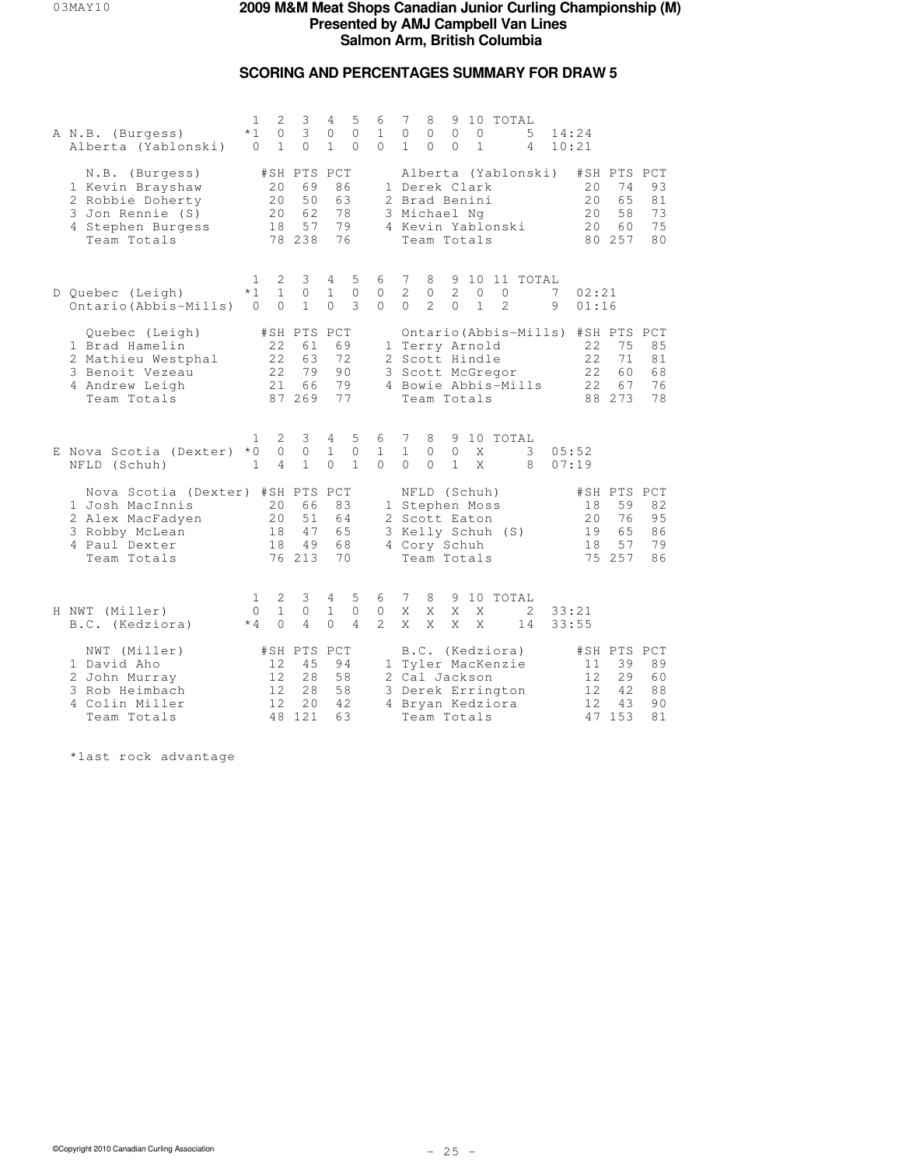# **SCORING AND PERCENTAGES SUMMARY FOR DRAW 5**

| A N.B. (Burgess)<br>Alberta (Yablonski)                                                                               | 1<br>$*1$<br>$\Omega$            | 2<br>0<br>$\mathbf{1}$         | 3<br>3<br>$\Omega$                            | 4<br>0<br>$\mathbf{1}$            | 5<br>$\mathbf{0}$<br>$\Omega$  | 6<br>$\mathbf{1}$<br>$\Omega$ | 7<br>$\circ$<br>1.            | 8<br>$\mathbf{0}$<br>$\Omega$                                                                                 | 9<br>$\circ$<br>$\Omega$     | $\circ$<br>$\mathbf{1}$      | 10 TOTAL                  | 5<br>4              | 14:24<br>10:21 |                                                             |                                               |                            |
|-----------------------------------------------------------------------------------------------------------------------|----------------------------------|--------------------------------|-----------------------------------------------|-----------------------------------|--------------------------------|-------------------------------|-------------------------------|---------------------------------------------------------------------------------------------------------------|------------------------------|------------------------------|---------------------------|---------------------|----------------|-------------------------------------------------------------|-----------------------------------------------|----------------------------|
| N.B. (Burgess)<br>1 Kevin Brayshaw<br>2 Robbie Doherty<br>3 Jon Rennie (S)<br>4 Stephen Burgess<br>Team Totals        |                                  | 20<br>2.0<br>20<br>18          | #SH PTS PCT<br>69<br>50<br>62<br>57<br>78 238 | 86<br>63<br>78<br>79<br>76        |                                |                               |                               | 1 Derek Clark<br>2 Brad Benini<br>3 Michael Ng<br>4 Kevin Yablonski<br>Team Totals                            |                              |                              |                           | Alberta (Yablonski) |                | 20<br>2.0<br>20<br>20                                       | #SH PTS PCT<br>74<br>65<br>58<br>60<br>80 257 | 93<br>81<br>73<br>75<br>80 |
| D Quebec (Leigh)<br>Ontario (Abbis-Mills)                                                                             | $\mathbf{1}$<br>$*1$<br>$\Omega$ | 2<br>$\mathbf{1}$<br>$\Omega$  | 3<br>$\Omega$<br>$\mathbf{1}$                 | 4<br>$\mathbf{1}$<br>$\Omega$     | 5<br>$\mathbf{0}$<br>3         | 6<br>0<br>$\Omega$            | 7<br>2<br>$\Omega$            | 8<br>$\circ$<br>$\mathfrak{D}$                                                                                | 9<br>2<br>$\Omega$           | $\mathbf{0}$<br>$\mathbf{1}$ | $\circ$<br>$\mathfrak{D}$ | 10 11 TOTAL         | 7<br>9         | 02:21<br>01:16                                              |                                               |                            |
| Quebec (Leigh)<br>1 Brad Hamelin<br>2 Mathieu Westphal<br>3 Benoit Vezeau<br>4 Andrew Leigh<br>Team Totals            |                                  | 22<br>22<br>22<br>21           | #SH PTS PCT<br>61<br>63<br>79<br>66<br>87 269 | 69<br>72<br>90<br>79<br>77        |                                |                               |                               | 1 Terry Arnold<br>2 Scott Hindle<br>3 Scott McGregor<br>Team Totals                                           |                              |                              |                           | 4 Bowie Abbis-Mills |                | Ontario (Abbis-Mills) #SH PTS PCT<br>22<br>2.2.<br>22<br>22 | 75<br>71<br>60<br>67<br>88 273                | 85<br>81<br>68<br>76<br>78 |
| E Nova Scotia (Dexter)<br>NFLD (Schuh)                                                                                | 1<br>$*0$<br>$\mathbf{1}$        | 2<br>$\circ$<br>$\overline{4}$ | 3<br>$\circ$<br>$\mathbf{1}$                  | 4<br>$\mathbf{1}$<br>$\Omega$     | 5<br>$\circ$<br>$\mathbf{1}$   | 6<br>$\mathbf{1}$<br>$\Omega$ | 7<br>$\mathbf{1}$<br>$\Omega$ | 8<br>$\circ$<br>$\Omega$                                                                                      | $\mathbf{0}$<br>$\mathbf{1}$ | X<br>X                       | 9 10 TOTAL                | 3<br>8              | 05:52<br>07:19 |                                                             |                                               |                            |
| Nova Scotia (Dexter) #SH PTS<br>1 Josh MacInnis<br>2 Alex MacFadyen<br>3 Robby McLean<br>4 Paul Dexter<br>Team Totals |                                  | 20<br>20<br>18<br>18           | 66<br>51<br>47<br>49<br>76 213                | PCT<br>83<br>64<br>65<br>68<br>70 |                                |                               |                               | NFLD (Schuh)<br>1 Stephen Moss<br>2 Scott Eaton<br>3 Kelly Schuh (S)<br>4 Cory Schuh<br>Team Totals           |                              |                              |                           |                     |                | 18<br>2.0<br>19<br>18                                       | #SH PTS PCT<br>59<br>76<br>65<br>57<br>75 257 | 82<br>95<br>86<br>79<br>86 |
| H NWT (Miller)<br>B.C. (Kedziora)                                                                                     | 1<br>0<br>$*4$                   | 2<br>$\mathbf{1}$<br>$\Omega$  | 3<br>$\circ$<br>$\overline{4}$                | 4<br>$\mathbf{1}$<br>$\Omega$     | 5<br>$\circ$<br>$\overline{4}$ | 6<br>$\circ$<br>$\mathcal{L}$ | 7<br>X<br>X                   | 8<br>X<br>X                                                                                                   | X<br>X                       | X<br>X                       | 9 10 TOTAL                | 2<br>14             | 33:21<br>33:55 |                                                             |                                               |                            |
| NWT (Miller)<br>1 David Aho<br>2 John Murray<br>3 Rob Heimbach<br>4 Colin Miller<br>Team Totals                       |                                  | 12<br>12<br>12<br>12           | #SH PTS<br>45<br>28<br>2.8<br>20<br>48 121    | PCT<br>94<br>58<br>58<br>42<br>63 |                                |                               |                               | B.C. (Kedziora)<br>1 Tyler MacKenzie<br>2 Cal Jackson<br>3 Derek Errington<br>4 Bryan Kedziora<br>Team Totals |                              |                              |                           |                     |                | 11<br>12<br>12<br>12                                        | #SH PTS PCT<br>39<br>29<br>42<br>43<br>47 153 | 89<br>60<br>88<br>90<br>81 |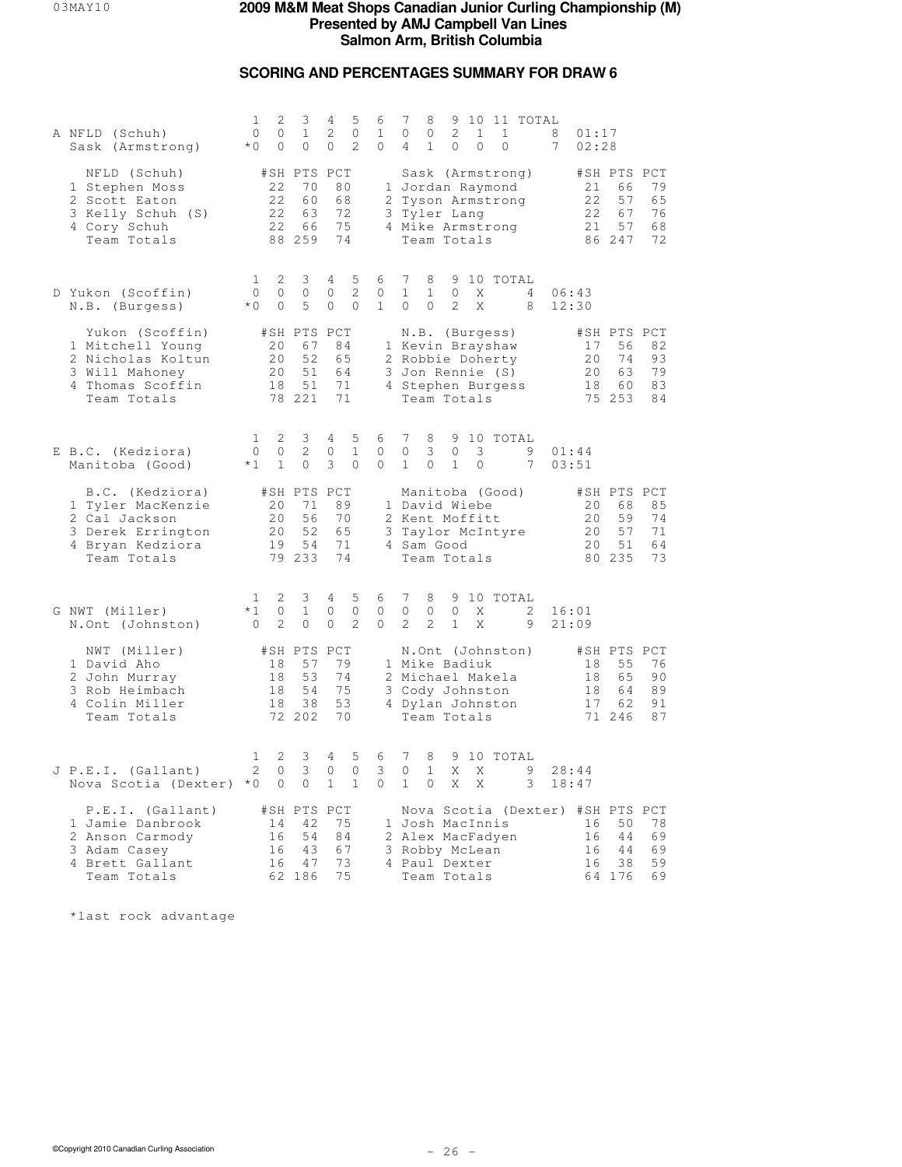# **SCORING AND PERCENTAGES SUMMARY FOR DRAW 6**

| A NFLD (Schuh)<br>Sask (Armstrong)                                                                            | 1<br>$\circ$<br>$*0$         | 2<br>0<br>$\circ$       | 3<br>$\mathbf{1}$<br>$\circ$                  | 4<br>2<br>$\Omega$         | 5<br>$\circ$<br>$\mathcal{L}$  | 6<br>$\mathbf{1}$<br>$\Omega$ | 7<br>0<br>4                                                                   | 8<br>0<br>$\mathbf{1}$         | 2<br>$\mathbf{0}$            | 1<br>$\Omega$ | 1<br>$\Omega$                      | 9 10 11 TOTAL                      | 8<br>7 | 01:17<br>02:28                                           |                                               |                            |
|---------------------------------------------------------------------------------------------------------------|------------------------------|-------------------------|-----------------------------------------------|----------------------------|--------------------------------|-------------------------------|-------------------------------------------------------------------------------|--------------------------------|------------------------------|---------------|------------------------------------|------------------------------------|--------|----------------------------------------------------------|-----------------------------------------------|----------------------------|
| NFLD (Schuh)<br>1 Stephen Moss<br>2 Scott Eaton<br>3 Kelly Schuh (S)<br>4 Cory Schuh<br>Team Totals           |                              | 22<br>22<br>22<br>22    | #SH PTS PCT<br>70<br>60<br>63<br>66<br>88 259 | 80<br>68<br>72<br>75<br>74 |                                |                               | 1 Jordan Raymond<br>2 Tyson Armstrong<br>3 Tyler Lang<br>4 Mike Armstrong     |                                | Team Totals                  |               |                                    | Sask (Armstrong)                   |        | 21<br>22<br>22<br>21                                     | #SH PTS PCT<br>66<br>57<br>67<br>57<br>86 247 | 79<br>65<br>76<br>68<br>72 |
| D Yukon (Scoffin)<br>N.B. (Burgess)                                                                           | 1<br>$\mathbf{0}$<br>$*$ 0   | 2<br>$\circ$<br>$\circ$ | 3<br>$\circ$<br>5                             | 4<br>$\circ$<br>$\circ$    | 5<br>2<br>$\Omega$             | 6<br>0<br>$\mathbf{1}$        | 7<br>$\mathbf{1}$<br>$\Omega$                                                 | 8<br>$\mathbf{1}$<br>$\Omega$  | $\circ$<br>$\mathcal{L}$     | X<br>X        |                                    | 9 10 TOTAL<br>4<br>8               |        | 06:43<br>12:30                                           |                                               |                            |
| Yukon (Scoffin)<br>1 Mitchell Young<br>2 Nicholas Koltun<br>3 Will Mahoney<br>4 Thomas Scoffin<br>Team Totals |                              | 20<br>20<br>20<br>18    | #SH PTS PCT<br>67<br>52<br>51<br>51<br>78 221 | 84<br>65<br>64<br>71<br>71 |                                |                               | 1 Kevin Brayshaw<br>2 Robbie Doherty<br>3 Jon Rennie (S)<br>4 Stephen Burgess |                                | Team Totals                  |               | N.B. (Burgess)                     |                                    |        | 17<br>20<br>20<br>18                                     | #SH PTS PCT<br>56<br>74<br>63<br>60<br>75 253 | 82<br>93<br>79<br>83<br>84 |
| E B.C. (Kedziora)<br>Manitoba (Good)                                                                          | 1<br>$\circ$<br>$*1$         | 2<br>0<br>$\mathbf{1}$  | 3<br>2<br>$\circ$                             | 4<br>$\circ$<br>3          | 5<br>$\mathbf{1}$<br>$\Omega$  | 6<br>$\mathbf{0}$<br>$\Omega$ | 7<br>$\circ$<br>$\mathbf{1}$                                                  | 8<br>3<br>$\circ$              | $\circ$<br>$\mathbf{1}$      | 3<br>$\circ$  |                                    | 9 10 TOTAL<br>9<br>$7\phantom{.0}$ |        | 01:44<br>03:51                                           |                                               |                            |
| B.C. (Kedziora)<br>1 Tyler MacKenzie<br>2 Cal Jackson<br>3 Derek Errington<br>4 Bryan Kedziora<br>Team Totals |                              | 20<br>20<br>20<br>19    | #SH PTS PCT<br>71<br>56<br>52<br>54<br>79 233 | 89<br>70<br>65<br>71<br>74 |                                | 3                             | 1 David Wiebe<br>2 Kent Moffitt<br>4 Sam Good                                 |                                | Team Totals                  |               | Manitoba (Good)<br>Taylor McIntyre |                                    |        | 20<br>20<br>20<br>20                                     | #SH PTS PCT<br>68<br>59<br>57<br>51<br>80 235 | 85<br>74<br>71<br>64<br>73 |
| G NWT (Miller)<br>N.Ont (Johnston)                                                                            | 1<br>$*1$<br>$\mathbf{0}$    | 2<br>0<br>2             | 3<br>$\mathbf{1}$<br>$\circ$                  | 4<br>$\circ$<br>$\circ$    | 5<br>$\circ$<br>$\overline{c}$ | 6<br>$\mathbf{0}$<br>$\Omega$ | 7<br>$\circ$<br>$\mathfrak{D}$                                                | 8<br>$\circ$<br>$\overline{2}$ | 9<br>$\circ$<br>$\mathbf{1}$ | X<br>X        |                                    | 10 TOTAL<br>2<br>9                 |        | 16:01<br>21:09                                           |                                               |                            |
| NWT (Miller)<br>1 David Aho<br>2 John Murray<br>3 Rob Heimbach<br>4 Colin Miller<br>Team Totals               |                              | 18<br>18<br>18<br>18    | #SH PTS PCT<br>57<br>53<br>54<br>38<br>72 202 | 79<br>74<br>75<br>53<br>70 |                                |                               | 1 Mike Badiuk<br>2 Michael Makela<br>3 Cody Johnston<br>4 Dylan Johnston      |                                | Team Totals                  |               | N.Ont (Johnston)                   |                                    |        | 18<br>18<br>18<br>17                                     | #SH PTS PCT<br>55<br>65<br>64<br>62<br>71 246 | 76<br>90<br>89<br>91<br>87 |
| J P.E.I. (Gallant)<br>Nova Scotia (Dexter) *0                                                                 | $\mathbf{1}$<br>$\mathbf{Z}$ | 2<br>U<br>$\circ$       | 3<br>3 0 0<br>$\overline{0}$                  | 4<br>$\mathbf{1}$          | 5<br>$\overline{1}$            | 6<br>3.<br>$\mathbf{0}$       | 7<br>U<br>$\mathbf{1}$                                                        | 8<br>ı<br>0                    | Χ<br>X                       | Χ<br>Χ        | 9 10 TOTAL                         | 9<br>3                             |        | 28:44<br>18:47                                           |                                               |                            |
| P.E.I. (Gallant)<br>1 Jamie Danbrook<br>2 Anson Carmody<br>3 Adam Casey<br>4 Brett Gallant<br>Team Totals     |                              | 14<br>16<br>16<br>16    | #SH PTS PCT<br>42<br>54<br>43<br>47<br>62 186 | 75<br>84<br>67<br>73<br>75 |                                |                               | 1 Josh MacInnis<br>2 Alex MacFadyen<br>3 Robby McLean<br>4 Paul Dexter        |                                | Team Totals                  |               |                                    |                                    |        | Nova Scotia (Dexter) #SH PTS PCT<br>16<br>16<br>16<br>16 | 50<br>44<br>44<br>38<br>64 176                | 78<br>69<br>69<br>59<br>69 |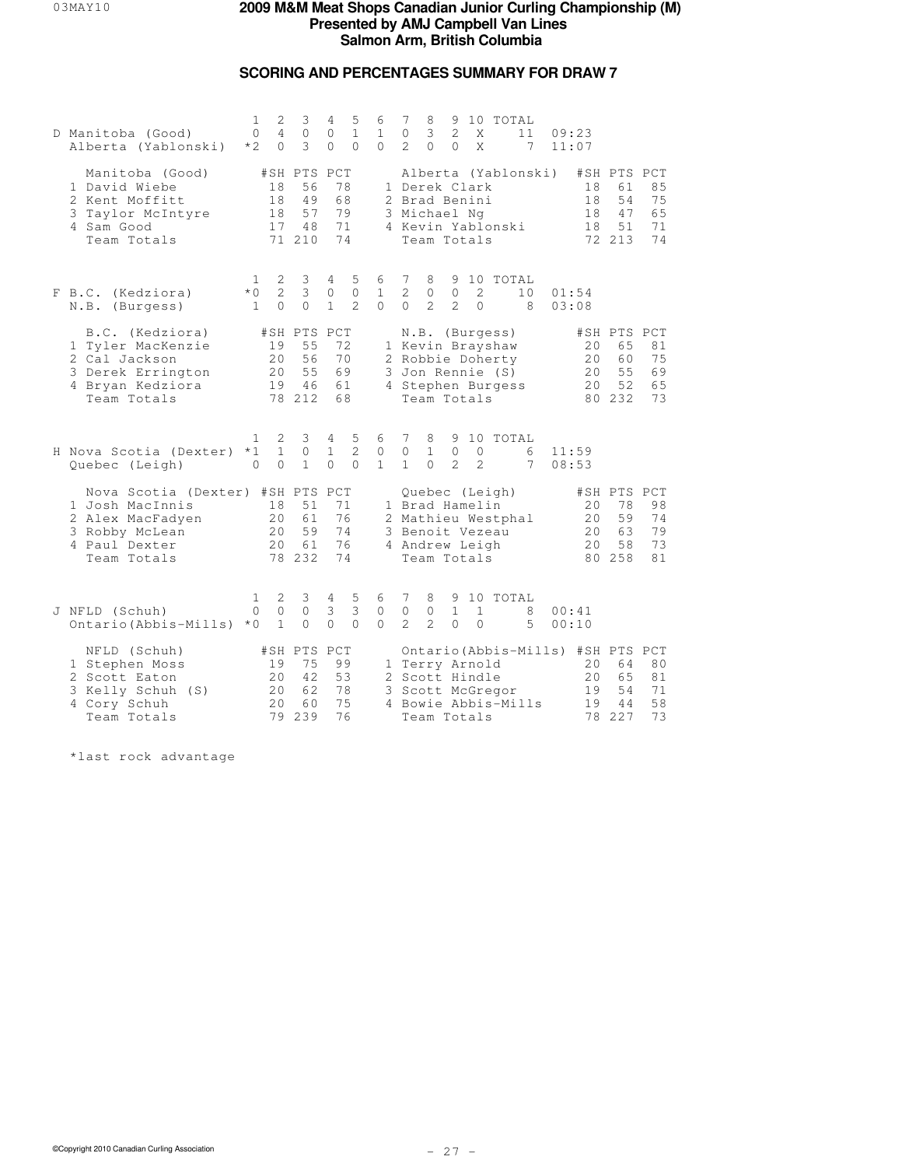# **SCORING AND PERCENTAGES SUMMARY FOR DRAW 7**

| D Manitoba (Good)<br>Alberta (Yablonski)                                                                              | $\mathbf{1}$<br>$\Omega$<br>$*2$ | 2<br>4<br>$\Omega$              | 3<br>$\circ$<br>3                             | 4<br>$\mathbf{0}$<br>$\Omega$              | 5<br>$\mathbf{1}$<br>$\Omega$   | 6<br>$\mathbf{1}$<br>$\Omega$     | 7<br>$\circ$<br>$\mathcal{L}$     | 8<br>3<br>$\Omega$                                                 | 9<br>2<br>$\Omega$             | X<br>X                         | 10 TOTAL                                                                                        | 11<br>7             | 09:23<br>11:07 |                      |                                                                     |                            |
|-----------------------------------------------------------------------------------------------------------------------|----------------------------------|---------------------------------|-----------------------------------------------|--------------------------------------------|---------------------------------|-----------------------------------|-----------------------------------|--------------------------------------------------------------------|--------------------------------|--------------------------------|-------------------------------------------------------------------------------------------------|---------------------|----------------|----------------------|---------------------------------------------------------------------|----------------------------|
| Manitoba (Good)<br>1 David Wiebe<br>2 Kent Moffitt<br>3 Taylor McIntyre<br>4 Sam Good<br>Team Totals                  |                                  | 18<br>18<br>18<br>17            | #SH PTS PCT<br>56<br>49<br>57<br>48<br>71 210 | 78<br>68<br>79<br>71<br>74                 |                                 |                                   |                                   | 1 Derek Clark<br>2 Brad Benini<br>3 Michael Ng<br>Team Totals      |                                |                                | 4 Kevin Yablonski                                                                               | Alberta (Yablonski) |                | 18<br>18<br>18<br>18 | #SH PTS PCT<br>61<br>54<br>47<br>51<br>72 213                       | 85<br>75<br>65<br>71<br>74 |
| F B.C. (Kedziora)<br>N.B. (Burgess)                                                                                   | 1<br>$*0$<br>$\mathbf{1}$        | 2<br>$\overline{2}$<br>$\Omega$ | 3<br>3<br>$\Omega$                            | 4<br>0<br>$\mathbf{1}$                     | 5<br>$\circ$<br>$\mathfrak{D}$  | 6<br>$\mathbf{1}$<br>$\Omega$     | 7<br>2<br>$\Omega$                | 8<br>0<br>$\mathcal{L}$                                            | $\circ$<br>$\mathcal{L}$       | 2<br>$\Omega$                  | 9 10 TOTAL                                                                                      | 10<br>8             | 01:54<br>03:08 |                      |                                                                     |                            |
| B.C. (Kedziora)<br>1 Tyler MacKenzie<br>2 Cal Jackson<br>3 Derek Errington<br>4 Bryan Kedziora<br>Team Totals         |                                  | 19<br>20<br>20<br>19            | #SH PTS PCT<br>55<br>56<br>55<br>46<br>78 212 | 72<br>70<br>69<br>61<br>68                 |                                 |                                   |                                   | Team Totals                                                        |                                |                                | N.B. (Burgess)<br>1 Kevin Brayshaw<br>2 Robbie Doherty<br>3 Jon Rennie (S)<br>4 Stephen Burgess |                     |                | 20<br>20<br>20<br>20 | #SH PTS PCT<br>65<br>60<br>55<br>52<br>80 232                       | 81<br>75<br>69<br>65<br>73 |
| H Nova Scotia (Dexter)<br>Quebec (Leigh)                                                                              | 1<br>$*1$<br>$\Omega$            | 2<br>$\mathbf{1}$<br>$\Omega$   | 3<br>$\circ$<br>$\mathbf{1}$                  | $\overline{4}$<br>$\mathbf{1}$<br>$\Omega$ | 5<br>2<br>$\Omega$              | 6<br>$\mathbf{0}$<br>$\mathbf{1}$ | 7<br>$\mathbf{0}$<br>$\mathbf{1}$ | 8<br>$\mathbf{1}$<br>$\Omega$                                      | 9<br>$\circ$<br>$\overline{2}$ | $\mathbf{0}$<br>$\overline{2}$ | 10 TOTAL                                                                                        | 6<br>7              | 11:59<br>08:53 |                      |                                                                     |                            |
| Nova Scotia (Dexter) #SH PTS<br>1 Josh MacInnis<br>2 Alex MacFadyen<br>3 Robby McLean<br>4 Paul Dexter<br>Team Totals |                                  | 18<br>20<br>20<br>20            | 51<br>61<br>59<br>61<br>78 232                | PCT<br>71<br>76<br>74<br>76<br>74          |                                 |                                   |                                   | 1 Brad Hamelin<br>3 Benoit Vezeau<br>4 Andrew Leigh<br>Team Totals |                                |                                | Quebec (Leigh)<br>2 Mathieu Westphal                                                            |                     |                | 20<br>20<br>20<br>20 | #SH PTS PCT<br>78<br>59<br>63<br>58<br>80 258                       | 98<br>74<br>79<br>73<br>81 |
| J NFLD (Schuh)<br>Ontario (Abbis-Mills)                                                                               | 1<br>$\Omega$<br>$*$ 0           | 2<br>$\circ$<br>$\mathbf{1}$    | 3<br>$\circ$<br>$\Omega$                      | 4<br>3<br>$\Omega$                         | 5<br>$\mathfrak{Z}$<br>$\Omega$ | 6<br>0<br>$\Omega$                | 7<br>$\circ$<br>$\mathcal{L}$     | 8<br>0<br>$\mathcal{L}$                                            | 9<br>$\mathbf{1}$<br>$\Omega$  | $\mathbf{1}$<br>$\Omega$       | 10 TOTAL                                                                                        | 8<br>5              | 00:41<br>00:10 |                      |                                                                     |                            |
| NFLD (Schuh)<br>1 Stephen Moss<br>2 Scott Eaton<br>3 Kelly Schuh (S)<br>4 Cory Schuh<br>Team Totals                   |                                  | 19<br>20<br>20<br>20<br>79      | #SH PTS<br>75<br>42<br>62<br>60<br>239        | PCT<br>99<br>53<br>78<br>75<br>76          |                                 |                                   |                                   | 1 Terry Arnold<br>2 Scott Hindle<br>Team Totals                    |                                |                                | 3 Scott McGregor<br>4 Bowie Abbis-Mills                                                         |                     |                | 20<br>20<br>19<br>19 | Ontario (Abbis-Mills) #SH PTS PCT<br>64<br>65<br>54<br>44<br>78 227 | 80<br>81<br>71<br>58<br>73 |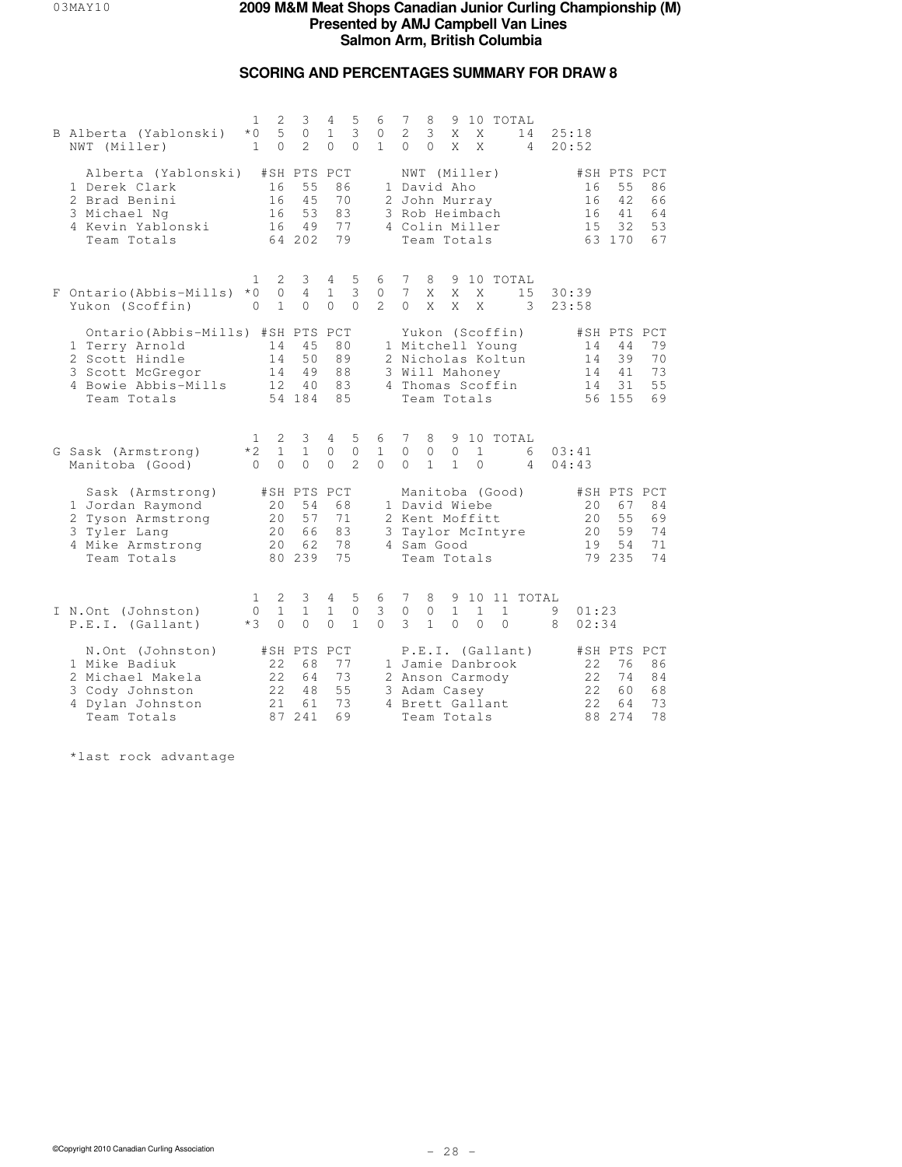# **SCORING AND PERCENTAGES SUMMARY FOR DRAW 8**

| B Alberta (Yablonski)<br>NWT (Miller)                                                                                       | $\mathbf{1}$<br>$*$ 0<br>$\mathbf{1}$ | $\mathbf{2}$<br>5<br>$\Omega$ | 3<br>$\circ$<br>$\mathfrak{D}$                | 4<br>$\mathbf{1}$<br>$\Omega$     | 5<br>3<br>$\Omega$            | 6<br>$\circ$<br>$\mathbf{1}$  | 7<br>2<br>$\Omega$               | 8<br>3<br>$\Omega$                                                                                            | X<br>X                       | X<br>X                   |                          | 9 10 TOTAL<br>14<br>$\overline{4}$ | 25:18<br>20:52 |                          |                                               |                                   |
|-----------------------------------------------------------------------------------------------------------------------------|---------------------------------------|-------------------------------|-----------------------------------------------|-----------------------------------|-------------------------------|-------------------------------|----------------------------------|---------------------------------------------------------------------------------------------------------------|------------------------------|--------------------------|--------------------------|------------------------------------|----------------|--------------------------|-----------------------------------------------|-----------------------------------|
| Alberta (Yablonski)<br>1 Derek Clark<br>2 Brad Benini<br>3 Michael Ng<br>4 Kevin Yablonski<br>Team Totals                   |                                       | 16<br>16<br>16<br>16          | #SH PTS PCT<br>55<br>45<br>53<br>49<br>64 202 | 86<br>70<br>83<br>77<br>79        |                               |                               |                                  | NWT (Miller)<br>1 David Aho<br>2 John Murray<br>3 Rob Heimbach<br>4 Colin Miller<br>Team Totals               |                              |                          |                          |                                    |                | 16<br>16<br>16<br>1.5    | #SH PTS PCT<br>55<br>42<br>41<br>32<br>63 170 | 86<br>66<br>64<br>53<br>67        |
| F Ontario (Abbis-Mills)<br>Yukon (Scoffin)                                                                                  | 1.<br>$*0$<br>$\Omega$                | 2<br>$\circ$<br>$\mathbf{1}$  | 3<br>$\overline{4}$<br>$\Omega$               | $4 -$<br>$\mathbf{1}$<br>$\Omega$ | 5<br>3<br>$\Omega$            | 6<br>0<br>$2^{1}$             | 7<br>$7\phantom{.0}$<br>$\Omega$ | 8<br>X<br>X                                                                                                   | X<br>X                       | X<br>X                   |                          | 9 10 TOTAL<br>15<br>3              | 30:39<br>23:58 |                          |                                               |                                   |
| Ontario (Abbis-Mills) #SH PTS<br>1 Terry Arnold<br>2 Scott Hindle<br>3 Scott McGregor<br>4 Bowie Abbis-Mills<br>Team Totals |                                       | 14<br>14<br>14<br>12          | 45<br>50<br>49<br>40<br>54 184                | PCT<br>80<br>89<br>88<br>83<br>85 |                               |                               |                                  | Yukon (Scoffin)<br>1 Mitchell Young<br>2 Nicholas Koltun<br>3 Will Mahoney<br>4 Thomas Scoffin<br>Team Totals |                              |                          |                          |                                    |                | 14<br>14<br>14<br>14     | #SH PTS<br>44<br>39<br>41<br>31<br>56 155     | PCT<br>79<br>70<br>73<br>55<br>69 |
| G Sask (Armstrong)<br>Manitoba (Good)                                                                                       | 1<br>$*2$<br>$\Omega$                 | 2<br>$\mathbf{1}$<br>$\Omega$ | 3<br>$\mathbf{1}$<br>$\Omega$                 | 4<br>0<br>$\Omega$                | 5<br>$\circ$<br>$\mathcal{L}$ | 6<br>$\mathbf{1}$<br>$\Omega$ | 7<br>$\circ$<br>$\Omega$         | 8<br>$\circ$<br>$\mathbf{1}$                                                                                  | 9<br>$\circ$<br>$\mathbf{1}$ | $\mathbf{1}$<br>$\Omega$ |                          | 10 TOTAL<br>6<br>4                 | 03:41<br>04:43 |                          |                                               |                                   |
| Sask (Armstrong)<br>1 Jordan Raymond<br>2 Tyson Armstrong<br>3 Tyler Lang<br>4 Mike Armstrong<br>Team Totals                |                                       | 20<br>20<br>20<br>20          | #SH PTS PCT<br>54<br>57<br>66<br>62<br>80 239 | 68<br>71<br>83<br>78<br>75        |                               | 3                             |                                  | Manitoba (Good)<br>1 David Wiebe<br>2 Kent Moffitt<br>Taylor McIntyre<br>4 Sam Good<br>Team Totals            |                              |                          |                          |                                    |                | 20<br>20<br>20<br>19     | #SH PTS PCT<br>67<br>55<br>59<br>54<br>79 235 | 84<br>69<br>74<br>71<br>74        |
| I N.Ont (Johnston)<br>P.E.I. (Gallant)                                                                                      | $\mathbf{1}$<br>$\Omega$<br>$*3$      | 2<br>$\mathbf{1}$<br>$\Omega$ | 3<br>$\mathbf{1}$<br>$\Omega$                 | 4<br>$\mathbf{1}$<br>$\Omega$     | 5<br>$\circ$<br>$\mathbf{1}$  | 6<br>3<br>$\Omega$            | 7<br>$\circ$<br>3                | 8<br>0<br>$\mathbf{1}$                                                                                        | 9<br>$\mathbf{1}$<br>$\circ$ | $\mathbf{1}$<br>$\Omega$ | $\mathbf{1}$<br>$\Omega$ | 10 11 TOTAL                        | 9<br>8         | 01:23<br>02:34           |                                               |                                   |
| N.Ont (Johnston)<br>1 Mike Badiuk<br>2 Michael Makela<br>3 Cody Johnston<br>4 Dylan Johnston<br>Team Totals                 |                                       | 22<br>22<br>2.2.<br>2.1       | #SH PTS PCT<br>68<br>64<br>48<br>61<br>87 241 | 77<br>73<br>55<br>73<br>69        |                               |                               |                                  | 1 Jamie Danbrook<br>2 Anson Carmody<br>3 Adam Casey<br>4 Brett Gallant<br>Team Totals                         |                              |                          |                          | P.E.I. (Gallant)                   |                | 22<br>22<br>2.2.<br>2.2. | #SH PTS PCT<br>76<br>74<br>60<br>64<br>88 274 | 86<br>84<br>68<br>73<br>78        |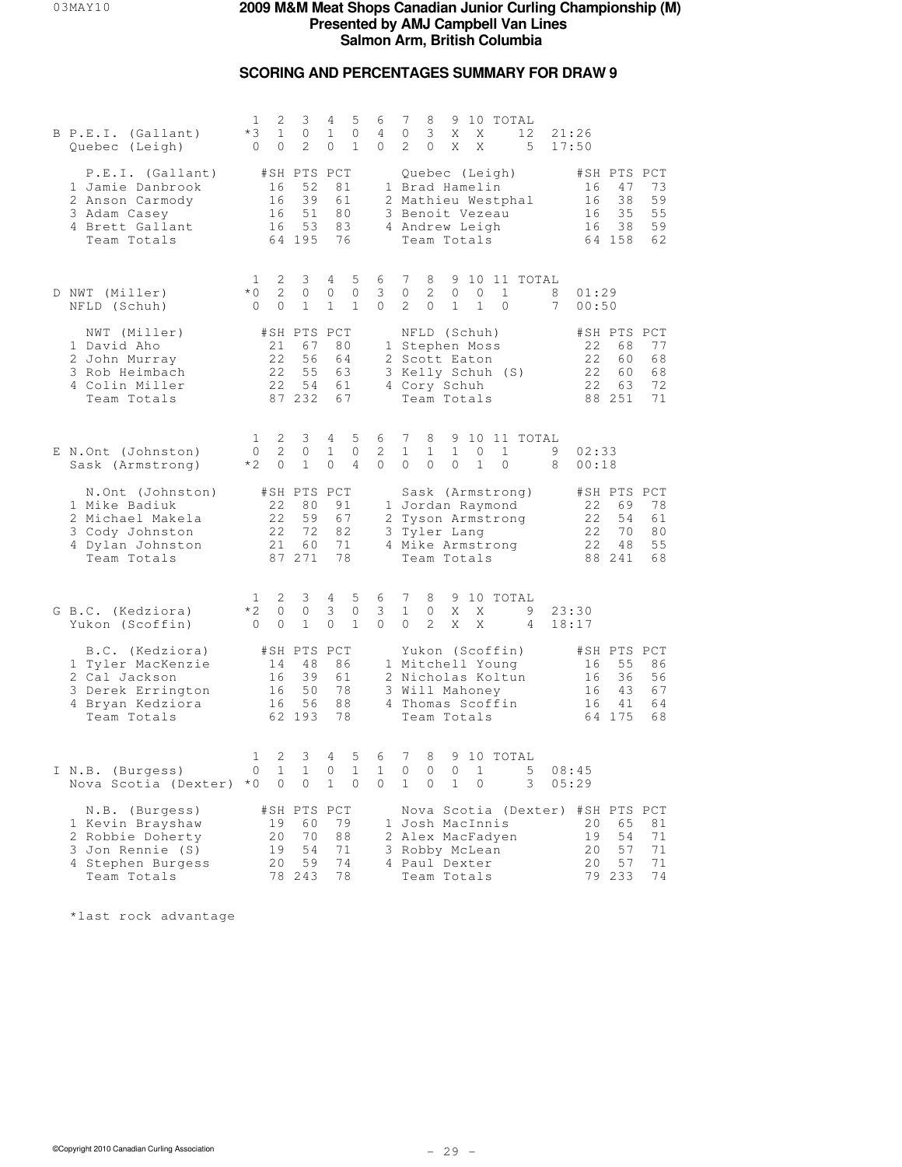## **SCORING AND PERCENTAGES SUMMARY FOR DRAW 9**

| B P.E.I. (Gallant)<br>Quebec (Leigh)                                                                           | 2<br>1<br>$*3$<br>$\mathbf{1}$<br>$\circ$<br>0       | 3<br>0<br>2                                   | 4<br>5<br>$\mathbf{1}$<br>$\mathbb O$<br>0<br>$\mathbf{1}$  | 7<br>8<br>9 10 TOTAL<br>6<br>3<br>4<br>0<br>X<br>Χ<br>12<br>21:26<br>$\circ$<br>2<br>$\circ$<br>X<br>5<br>17:50<br>X                                                                                   |                            |
|----------------------------------------------------------------------------------------------------------------|------------------------------------------------------|-----------------------------------------------|-------------------------------------------------------------|--------------------------------------------------------------------------------------------------------------------------------------------------------------------------------------------------------|----------------------------|
| P.E.I. (Gallant)<br>1 Jamie Danbrook<br>2 Anson Carmody<br>3 Adam Casey<br>4 Brett Gallant<br>Team Totals      | 16<br>16<br>16<br>16                                 | #SH PTS PCT<br>52<br>39<br>51<br>53<br>64 195 | 81<br>61<br>80<br>83<br>76                                  | #SH PTS PCT<br>Quebec (Leigh)<br>1 Brad Hamelin<br>16<br>47<br>16<br>38<br>2 Mathieu Westphal<br>3 Benoit Vezeau<br>16<br>35<br>4 Andrew Leigh<br>38<br>16<br>64 158<br>Team Totals                    | 73<br>59<br>55<br>59<br>62 |
| D NWT (Miller)<br>NFLD (Schuh)                                                                                 | 2<br>1<br>$*$ 0<br>2<br>$\circ$<br>$\circ$           | 3<br>$\circ$<br>$\mathbf{1}$                  | 5<br>4<br>$\mathbf{0}$<br>0<br>$\mathbf{1}$<br>$\mathbf{1}$ | 7<br>9<br>10 11 TOTAL<br>6<br>8<br>3<br>2<br>$\mathbf{1}$<br>$\circ$<br>$\mathbf{0}$<br>0<br>8<br>01:29<br>$\overline{c}$<br>0<br>$\circ$<br>$\mathbf{1}$<br>$\mathbf{1}$<br>$7^{\circ}$<br>00:50<br>0 |                            |
| NWT (Miller)<br>1 David Aho<br>2 John Murray<br>3 Rob Heimbach<br>4 Colin Miller<br>Team Totals                | 21<br>22<br>22<br>22                                 | #SH PTS PCT<br>67<br>56<br>55<br>54<br>87 232 | 80<br>64<br>63<br>61<br>67                                  | NFLD (Schuh)<br>#SH PTS PCT<br>1 Stephen Moss<br>22<br>68<br>2 Scott Eaton<br>22<br>60<br>3 Kelly Schuh (S)<br>22<br>60<br>22<br>4 Cory Schuh<br>63<br>88 251<br>Team Totals                           | 77<br>68<br>68<br>72<br>71 |
| E N.Ont (Johnston)<br>Sask (Armstrong)                                                                         | 2<br>$\mathbf{1}$<br>2<br>$\circ$<br>$*2$<br>$\circ$ | 3<br>0<br>$\mathbf{1}$                        | 5<br>4<br>1<br>0<br>$\circ$<br>$\overline{4}$               | 7<br>10 11 TOTAL<br>6<br>8<br>9<br>2<br>$\mathbf{1}$<br>$\mathbf{1}$<br>1<br>0<br>$\mathbf{1}$<br>9<br>02:33<br>$\circ$<br>$\circ$<br>$\mathbf{1}$<br>$\Omega$<br>$\Omega$<br>$\circ$<br>8<br>00:18    |                            |
| N.Ont (Johnston)<br>1 Mike Badiuk<br>2 Michael Makela<br>3 Cody Johnston<br>4 Dylan Johnston<br>Team Totals    | 22<br>22<br>22<br>21                                 | #SH PTS PCT<br>80<br>59<br>72<br>60<br>87 271 | 91<br>67<br>82<br>71<br>78                                  | Sask (Armstrong)<br>#SH PTS PCT<br>1 Jordan Raymond<br>22<br>69<br>2 Tyson Armstrong<br>22<br>54<br>3 Tyler Lang<br>22<br>70<br>22<br>48<br>4 Mike Armstrong<br>Team Totals<br>88 241                  | 78<br>61<br>80<br>55<br>68 |
| G B.C. (Kedziora)<br>Yukon (Scoffin)                                                                           | $\mathbf{1}$<br>2<br>$*2$<br>0<br>$\circ$<br>0       | 3<br>0<br>$\mathbf{1}$                        | 5<br>4<br>3<br>0<br>0<br>$\mathbf{1}$                       | 7<br>6<br>8<br>9<br>10 TOTAL<br>3<br>$\mathbf{1}$<br>X<br>9<br>0<br>Χ<br>23:30<br>0<br>$\circ$<br>2<br>X<br>X<br>4<br>18:17                                                                            |                            |
| B.C. (Kedziora)<br>1 Tyler MacKenzie<br>2 Cal Jackson<br>3 Derek Errington<br>4 Bryan Kedziora<br>Team Totals  | 14<br>16<br>16<br>16                                 | #SH PTS PCT<br>48<br>39<br>50<br>56<br>62 193 | 86<br>61<br>78<br>88<br>78                                  | Yukon (Scoffin)<br>#SH PTS PCT<br>1 Mitchell Young<br>55<br>16<br>2 Nicholas Koltun<br>16<br>36<br>43<br>3 Will Mahoney<br>16<br>4 Thomas Scoffin<br>16<br>41<br>Team Totals<br>64 175                 | 86<br>56<br>67<br>64<br>68 |
| I N.B. (Burgess)<br>Nova Scotia (Dexter) *0                                                                    | 2<br>1<br>$\circ$<br>$\mathbf 1$<br>0                | 3<br>$\mathbf{1}$<br>0                        | 4<br>5<br>0<br>$\mathbf{1}$<br>$\mathbf{1}$<br>$\Omega$     | 7<br>6<br>8<br>9<br>10 TOTAL<br>$\mathbf{1}$<br>$\circ$<br>$\circ$<br>$\Omega$<br>1<br>5<br>08:45<br>$\Omega$<br>$\mathbf{1}$<br>$\Omega$<br>$\mathbf{1}$<br>3<br>05:29<br>0                           |                            |
| N.B. (Burgess)<br>1 Kevin Brayshaw<br>2 Robbie Doherty<br>3 Jon Rennie (S)<br>4 Stephen Burgess<br>Team Totals | 19<br>20<br>19<br>20                                 | #SH PTS PCT<br>60<br>70<br>54<br>59<br>78 243 | 79<br>88<br>71<br>74<br>78                                  | Nova Scotia (Dexter) #SH PTS PCT<br>1 Josh MacInnis<br>20<br>65<br>2 Alex MacFadyen<br>54<br>19<br>3 Robby McLean<br>20<br>57<br>20<br>57<br>4 Paul Dexter<br>79 233<br>Team Totals                    | 81<br>71<br>71<br>71<br>74 |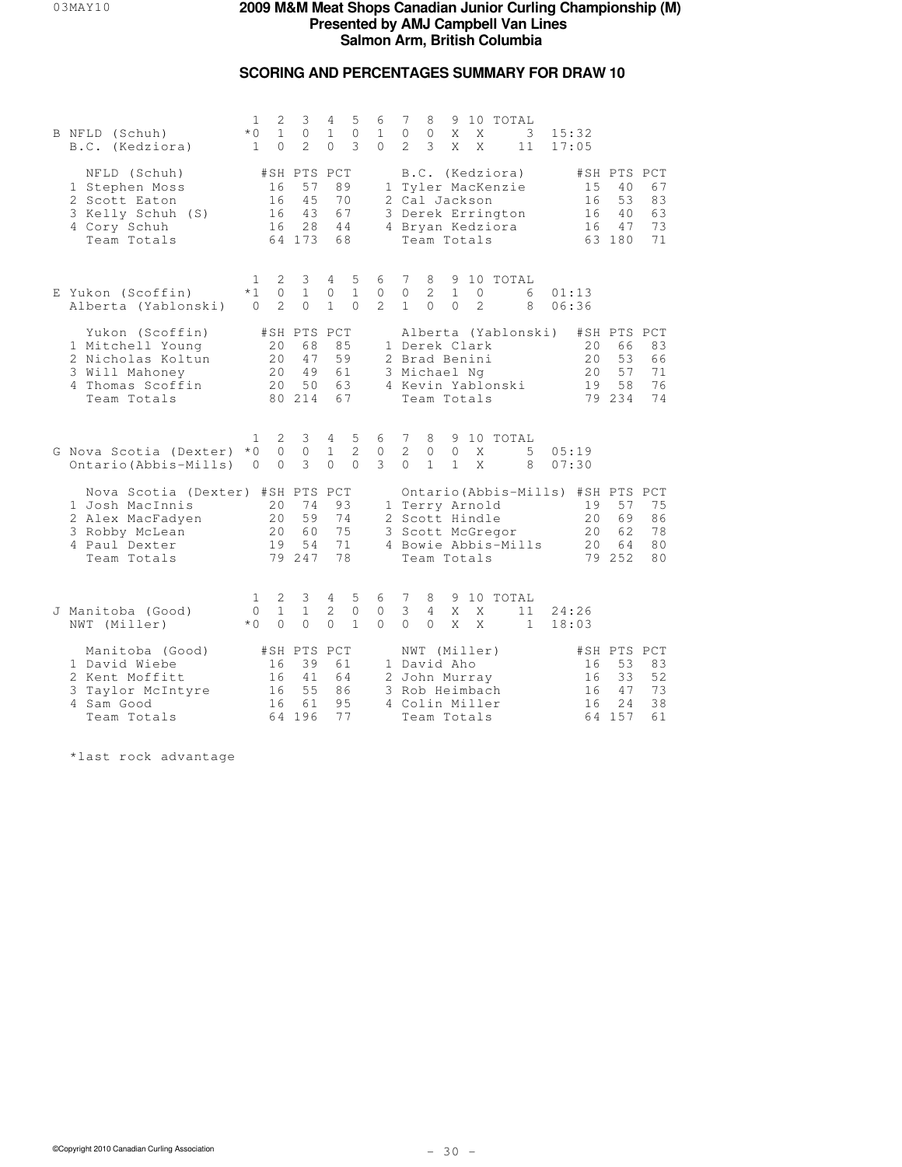# **SCORING AND PERCENTAGES SUMMARY FOR DRAW 10**

|  | B NFLD (Schuh)<br>B.C. (Kedziora)                                                                                         | 1<br>$*$ 0<br>$\mathbf{1}$             | 2<br>$\mathbf{1}$<br>$\Omega$  | 3<br>$\circ$<br>$\mathfrak{D}$                | 4<br>$\mathbf{1}$<br>$\Omega$ | 5<br>$\mathbf{0}$<br>3            | 6<br>$\mathbf{1}$<br>$\Omega$ | 7<br>$\mathbf{0}$<br>$\mathcal{L}$ | 8<br>0<br>3                                                                                                   | X<br>X                        | X<br>X                        | 9 10 TOTAL | 3<br>11                          | 15:32<br>17:05                                             |                                               |                                        |
|--|---------------------------------------------------------------------------------------------------------------------------|----------------------------------------|--------------------------------|-----------------------------------------------|-------------------------------|-----------------------------------|-------------------------------|------------------------------------|---------------------------------------------------------------------------------------------------------------|-------------------------------|-------------------------------|------------|----------------------------------|------------------------------------------------------------|-----------------------------------------------|----------------------------------------|
|  | NFLD (Schuh)<br>1 Stephen Moss<br>2 Scott Eaton<br>3 Kelly Schuh (S)<br>4 Cory Schuh<br>Team Totals                       |                                        | 16<br>16<br>16<br>16           | #SH PTS PCT<br>57<br>45<br>43<br>28<br>64 173 | 89<br>70<br>67<br>44<br>68    |                                   |                               |                                    | B.C. (Kedziora)<br>1 Tyler MacKenzie<br>2 Cal Jackson<br>3 Derek Errington<br>4 Bryan Kedziora<br>Team Totals |                               |                               |            |                                  | 15<br>16<br>16<br>16                                       | #SH PTS PCT<br>40<br>53<br>40<br>47<br>63 180 | 67<br>83<br>63<br>73<br>71             |
|  | E Yukon (Scoffin)<br>Alberta (Yablonski)                                                                                  | 1.<br>$*1$<br>$\Omega$                 | 2<br>$\circ$<br>$\overline{2}$ | 3<br>$\mathbf{1}$<br>$\Omega$                 | 4<br>$\circ$<br>$\mathbf{1}$  | 5<br>$\mathbf{1}$<br>$\Omega$     | 6<br>$\circ$<br>$2^{1}$       | 7<br>$\circ$<br>$\mathbf{1}$       | 8<br>$\mathbf{2}^{\prime}$<br>$\Omega$                                                                        | 9<br>$\mathbf{1}$<br>$\Omega$ | $\mathbb O$<br>$\overline{2}$ |            | 10 TOTAL<br>6<br>8               | 01:13<br>06:36                                             |                                               |                                        |
|  | Yukon (Scoffin)<br>1 Mitchell Young<br>2 Nicholas Koltun<br>3 Will Mahoney<br>4 Thomas Scoffin<br>Team Totals             |                                        | 20<br>20<br>20<br>20           | #SH PTS PCT<br>68<br>47<br>49<br>50<br>80 214 | 85<br>59<br>61<br>63<br>67    |                                   |                               |                                    | 1 Derek Clark<br>2 Brad Benini<br>3 Michael Ng<br>4 Kevin Yablonski<br>Team Totals                            |                               |                               |            | Alberta (Yablonski)              | 20<br>20<br>20<br>19                                       | #SH PTS PCT<br>66<br>53<br>57<br>58<br>79 234 | 83<br>66<br>71<br>76<br>74             |
|  | G Nova Scotia (Dexter)<br>Ontario (Abbis-Mills)                                                                           | 1.<br>$*$ 0<br>$\overline{0}$          | 2<br>$\circ$<br>$\Omega$       | 3<br>$\circ$<br>3                             | 4<br>1<br>$\Omega$            | 5<br>2<br>$\Omega$                | 6<br>$\mathbf{0}$<br>3        | 7<br>2<br>$\bigcap$                | 8<br>$\circ$<br>$\mathbf{1}$                                                                                  | $\circ$<br>$\mathbf{1}$       | X<br>X                        |            | 9 10 TOTAL<br>5<br>8             | 05:19<br>07:30                                             |                                               |                                        |
|  | Nova Scotia (Dexter) #SH PTS PCT<br>1 Josh MacInnis<br>2 Alex MacFadyen<br>3 Robby McLean<br>4 Paul Dexter<br>Team Totals |                                        | 20<br>20<br>20<br>19           | 74<br>59<br>60<br>54<br>79 247                | 93<br>74<br>75<br>71<br>78    |                                   |                               |                                    | 1 Terry Arnold<br>2 Scott Hindle<br>3 Scott McGregor<br>Team Totals                                           |                               |                               |            | 4 Bowie Abbis-Mills              | Ontario (Abbis-Mills) #SH PTS PCT<br>19<br>20<br>2.0<br>20 | 57<br>69<br>62<br>64<br>79 252                | 75<br>86<br>78<br>8 <sub>0</sub><br>80 |
|  | J Manitoba (Good)<br>NWT (Miller)                                                                                         | $\mathbf{1}$<br>$\Omega$<br>$*$ $\cap$ | 2<br>$\mathbf{1}$<br>$\Omega$  | 3<br>$\mathbf{1}$<br>$\Omega$                 | 4<br>2<br>$\Omega$            | 5<br>$\mathbf{0}$<br>$\mathbf{1}$ | 6<br>$\circ$<br>$\cap$        | 7<br>3<br>$\Omega$                 | 8<br>4<br>$\Omega$                                                                                            | X<br>X                        | X<br>X                        |            | 9 10 TOTAL<br>11<br>$\mathbf{1}$ | 24:26<br>18:03                                             |                                               |                                        |
|  | Manitoba (Good)<br>1 David Wiebe<br>2 Kent Moffitt<br>3 Taylor McIntyre<br>4 Sam Good<br>Team Totals                      |                                        | 16<br>16<br>16<br>16           | #SH PTS PCT<br>39<br>41<br>55<br>61<br>64 196 | 61<br>64<br>86<br>95<br>77    |                                   |                               |                                    | NWT (Miller)<br>1 David Aho<br>2 John Murray<br>3 Rob Heimbach<br>4 Colin Miller<br>Team Totals               |                               |                               |            |                                  | 16<br>16<br>16<br>16<br>64                                 | #SH PTS PCT<br>53<br>33<br>47<br>24<br>157    | 83<br>52<br>73<br>38<br>61             |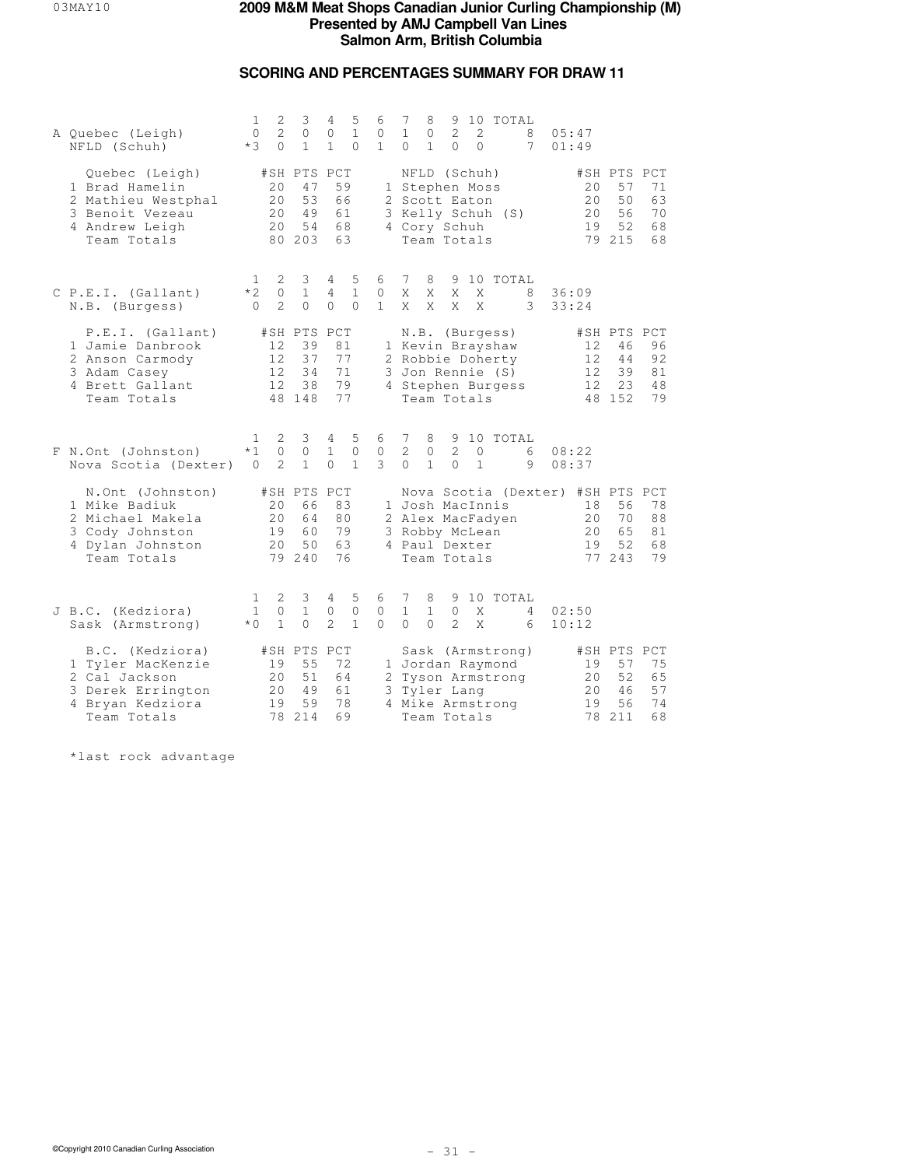# **SCORING AND PERCENTAGES SUMMARY FOR DRAW 11**

| A Quebec (Leigh)<br>NFLD (Schuh)                                                                              | 1<br>$\circ$<br>$*3$            | 2<br>$\overline{2}$<br>$\Omega$ | 3<br>0<br>$\mathbf{1}$                        | 4<br>0<br>$\mathbf{1}$          | 5<br>$\mathbf{1}$<br>$\Omega$     | 6<br>$\circ$<br>$\mathbf{1}$  | 7<br>$\mathbf{1}$<br>$\Omega$ | 8<br>0<br>$\mathbf{1}$        | $\overline{c}$<br>$\Omega$                                                                | 2<br>$\Omega$                | 9 10 TOTAL<br>8<br>7                  |                                  | 05:47<br>01:49             |                                               |                                   |
|---------------------------------------------------------------------------------------------------------------|---------------------------------|---------------------------------|-----------------------------------------------|---------------------------------|-----------------------------------|-------------------------------|-------------------------------|-------------------------------|-------------------------------------------------------------------------------------------|------------------------------|---------------------------------------|----------------------------------|----------------------------|-----------------------------------------------|-----------------------------------|
| Quebec (Leigh)<br>1 Brad Hamelin<br>2 Mathieu Westphal<br>3 Benoit Vezeau<br>4 Andrew Leigh<br>Team Totals    |                                 | 20<br>20<br>20<br>20            | #SH PTS PCT<br>47<br>53<br>49<br>54<br>80 203 | 59<br>66<br>61<br>68<br>63      |                                   |                               |                               |                               | NFLD (Schuh)<br>1 Stephen Moss<br>2 Scott Eaton<br>4 Cory Schuh<br>Team Totals            |                              | 3 Kelly Schuh (S)                     |                                  | 20<br>20<br>20<br>19       | #SH PTS PCT<br>57<br>50<br>56<br>52<br>79 215 | 71<br>63<br>70<br>68<br>68        |
| C P.E.I. (Gallant)<br>N.B. (Burgess)                                                                          | 1<br>$*2$<br>$\Omega$           | 2<br>$\circ$<br>$\overline{2}$  | 3<br>$\mathbf{1}$<br>$\Omega$                 | 4<br>$\overline{4}$<br>$\Omega$ | 5<br>$\mathbf{1}$<br>$\Omega$     | 6<br>0<br>$\mathbf{1}$        | 7<br>X<br>X                   | 8<br>X<br>X                   | 9<br>X<br>X                                                                               | X<br>X                       | 10 TOTAL<br>8<br>3                    |                                  | 36:09<br>33:24             |                                               |                                   |
| P.E.I. (Gallant)<br>1 Jamie Danbrook<br>2 Anson Carmody<br>3 Adam Casey<br>4 Brett Gallant<br>Team Totals     |                                 | 12<br>12<br>12<br>12            | #SH PTS PCT<br>39<br>37<br>34<br>38<br>48 148 | 81<br>77<br>71<br>79            | 77                                |                               |                               |                               | N.B. (Burgess)<br>1 Kevin Brayshaw<br>2 Robbie Doherty<br>3 Jon Rennie (S)<br>Team Totals |                              | 4 Stephen Burgess                     |                                  | 12<br>12<br>12<br>12       | #SH PTS<br>46<br>44<br>39<br>23<br>48 152     | PCT<br>96<br>92<br>81<br>48<br>79 |
| F N.Ont (Johnston)<br>Nova Scotia (Dexter)                                                                    | 1.<br>$*1$<br>$\mathbf{0}$      | 2<br>$\circ$<br>2               | 3<br>0<br>$\mathbf{1}$                        | 4<br>$\mathbf{1}$<br>$\Omega$   | 5<br>$\mathbf{0}$<br>$\mathbf{1}$ | 6<br>$\mathbf{0}$<br>3        | 7<br>2<br>$\Omega$            | 8<br>$\circ$<br>$\mathbf{1}$  | $\overline{2}$<br>$\Omega$                                                                | $\mathbf{0}$<br>$\mathbf{1}$ | 9 10 TOTAL<br>6<br>9                  |                                  | 08:22<br>08:37             |                                               |                                   |
| N.Ont (Johnston)<br>1 Mike Badiuk<br>2 Michael Makela<br>3 Cody Johnston<br>4 Dylan Johnston<br>Team Totals   |                                 | 20<br>20<br>19<br>20            | #SH PTS PCT<br>66<br>64<br>60<br>50<br>79 240 | 83<br>80<br>79<br>63<br>76      |                                   |                               |                               |                               | 1 Josh MacInnis<br>2 Alex MacFadyen<br>3 Robby McLean<br>4 Paul Dexter<br>Team Totals     |                              |                                       | Nova Scotia (Dexter) #SH PTS PCT | 18<br>20<br>2.0<br>19      | 56<br>70<br>65<br>52<br>77 243                | 78<br>88<br>81<br>68<br>79        |
| J B.C. (Kedziora)<br>Sask (Armstrong)                                                                         | 1<br>$\mathbf{1}$<br>$*$ $\cap$ | 2<br>$\Omega$<br>$\mathbf{1}$   | 3<br>$\mathbf{1}$<br>$\Omega$                 | 4<br>0<br>$\mathcal{L}$         | 5<br>$\circ$<br>$\mathbf{1}$      | 6<br>$\mathbf{0}$<br>$\Omega$ | 7<br>$\mathbf{1}$<br>$\Omega$ | 8<br>$\mathbf{1}$<br>$\Omega$ | 9<br>$\Omega$<br>$\mathcal{L}$                                                            | X<br>X                       | 10 TOTAL<br>4<br>6                    |                                  | 02:50<br>10:12             |                                               |                                   |
| B.C. (Kedziora)<br>1 Tyler MacKenzie<br>2 Cal Jackson<br>3 Derek Errington<br>4 Bryan Kedziora<br>Team Totals |                                 | 19<br>20<br>20<br>19<br>78      | #SH PTS PCT<br>55<br>51<br>49<br>59<br>214    | 64<br>61<br>78<br>69            | 72                                | 3                             |                               |                               | 1 Jordan Raymond<br>Tyler Lang<br>4 Mike Armstrong<br>Team Totals                         |                              | Sask (Armstrong)<br>2 Tyson Armstrong |                                  | 19<br>20<br>20<br>19<br>78 | #SH PTS PCT<br>57<br>52<br>46<br>56<br>211    | 75<br>65<br>57<br>74<br>68        |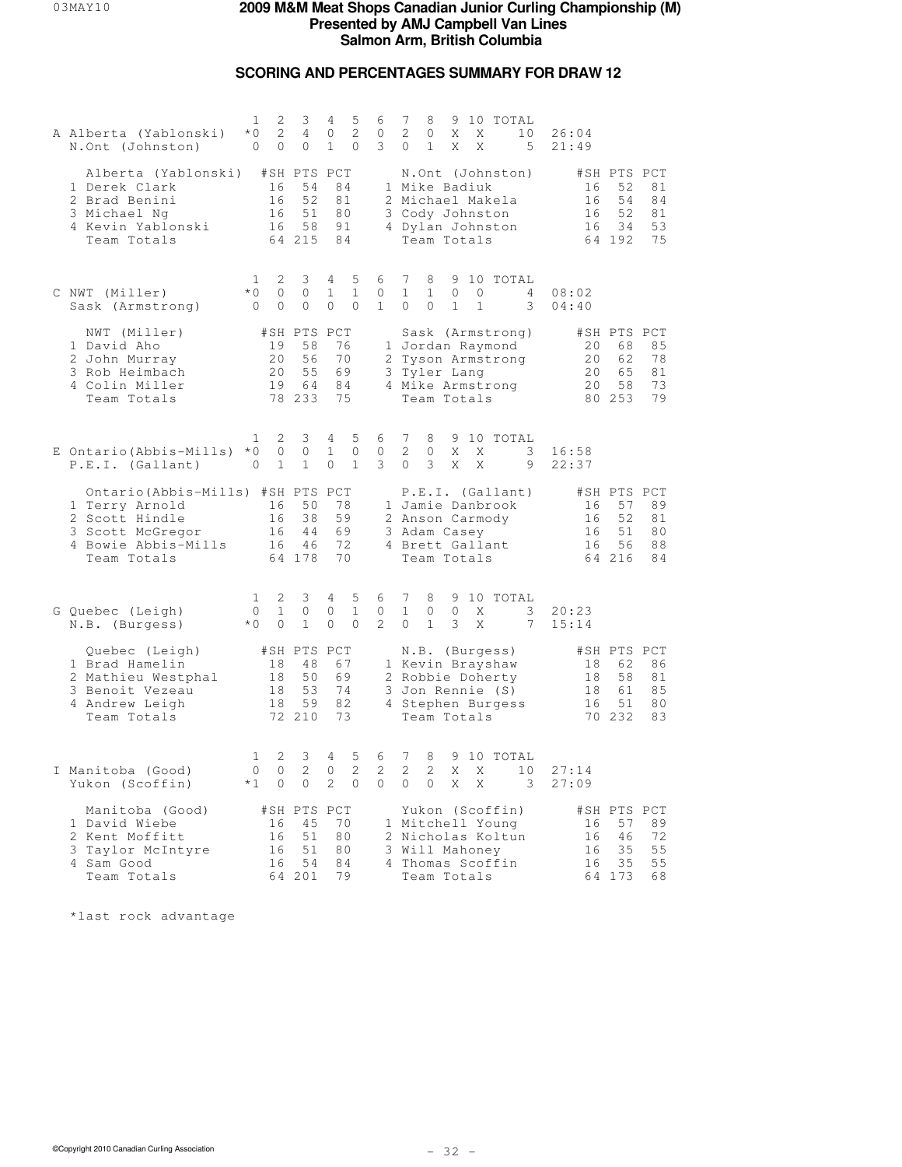# **SCORING AND PERCENTAGES SUMMARY FOR DRAW 12**

| A Alberta (Yablonski)<br>N.Ont (Johnston)                                                                                       | 2<br>1<br>2<br>$*$ 0<br>$\circ$<br>0     | 3<br>$\overline{4}$<br>0                      | 4<br>5<br>2<br>$\circ$<br>$\mathbf{1}$<br>0            | 6<br>0<br>3              | 7<br>10 TOTAL<br>8<br>9<br>2<br>$\mathbf{0}$<br>Χ<br>Χ<br>10<br>$\mathbf{1}$<br>X<br>5<br>0<br>Χ                                                    | 26:04<br>21:49                                                                                      |
|---------------------------------------------------------------------------------------------------------------------------------|------------------------------------------|-----------------------------------------------|--------------------------------------------------------|--------------------------|-----------------------------------------------------------------------------------------------------------------------------------------------------|-----------------------------------------------------------------------------------------------------|
| Alberta (Yablonski) #SH PTS PCT<br>1 Derek Clark<br>2 Brad Benini<br>3 Michael Ng<br>4 Kevin Yablonski<br>Team Totals           | 16<br>16<br>16<br>16                     | 54<br>52<br>51<br>58<br>64 215                | 84<br>81<br>80<br>91<br>84                             |                          | N.Ont (Johnston)<br>1 Mike Badiuk<br>2 Michael Makela<br>3 Cody Johnston<br>4 Dylan Johnston<br>Team Totals                                         | #SH PTS PCT<br>81<br>16<br>52<br>16<br>54<br>84<br>52<br>16<br>81<br>34<br>53<br>16<br>64 192<br>75 |
| C NWT (Miller)<br>Sask (Armstrong)                                                                                              | 2<br>1<br>$*0$<br>0<br>$\mathbf{0}$<br>0 | 3<br>0<br>0                                   | 5<br>4<br>$\mathbf{1}$<br>1<br>0<br>$\mathbf{0}$       | 6<br>0<br>$\mathbf{1}$   | 7<br>9 10 TOTAL<br>8<br>$\mathbf{1}$<br>$\mathbf{1}$<br>$\circ$<br>0<br>$\overline{4}$<br>$\Omega$<br>$\Omega$<br>$\mathbf{1}$<br>$\mathbf{1}$<br>3 | 08:02<br>04:40                                                                                      |
| NWT (Miller)<br>1 David Aho<br>2 John Murray<br>3 Rob Heimbach<br>4 Colin Miller<br>Team Totals                                 | 19<br>20<br>20<br>19                     | #SH PTS PCT<br>58<br>56<br>55<br>64<br>78 233 | 76<br>70<br>69<br>84<br>75                             |                          | Sask (Armstrong)<br>1 Jordan Raymond<br>2 Tyson Armstrong<br>3 Tyler Lang<br>4 Mike Armstrong<br>Team Totals                                        | #SH PTS PCT<br>20<br>68<br>85<br>20<br>78<br>62<br>20<br>65<br>81<br>20<br>73<br>58<br>80 253<br>79 |
| E Ontario (Abbis-Mills) *0<br>P.E.I. (Gallant)                                                                                  | 2<br>1<br>0<br>$\mathbf{1}$<br>0         | 3<br>0<br>$\mathbf{1}$                        | 5<br>4<br>$\mathbf{1}$<br>$\circ$<br>$\mathbf{1}$<br>0 | 6<br>$\mathbf{0}$<br>3   | 7<br>8<br>9 10 TOTAL<br>$\overline{2}$<br>X<br>3<br>$\mathbf{0}$<br>X<br>3<br>$\circ$<br>X<br>X<br>9                                                | 16:58<br>22:37                                                                                      |
| Ontario (Abbis-Mills) #SH PTS PCT<br>1 Terry Arnold<br>2 Scott Hindle<br>3 Scott McGregor<br>4 Bowie Abbis-Mills<br>Team Totals | 16<br>16<br>16<br>16                     | 50<br>38<br>44<br>46<br>64 178                | 78<br>59<br>69<br>72<br>70                             |                          | P.E.I. (Gallant)<br>1 Jamie Danbrook<br>2 Anson Carmody<br>3 Adam Casey<br>4 Brett Gallant<br>Team Totals                                           | #SH PTS PCT<br>57<br>89<br>16<br>52<br>16<br>81<br>16<br>51<br>80<br>56<br>88<br>16<br>64 216<br>84 |
| G Quebec (Leigh)<br>N.B. (Burgess)                                                                                              | 2<br>1<br>$\mathbf 1$<br>0<br>$*$ 0<br>0 | 3<br>0<br>$\mathbf{1}$                        | 4<br>5<br>0<br>$\mathbf{1}$<br>$\Omega$<br>$\Omega$    | 6<br>0<br>$\overline{2}$ | 7<br>8<br>9 10 TOTAL<br>$\mathbf{1}$<br>$\circ$<br>$\mathbf{0}$<br>X<br>3<br>$\mathbf{1}$<br>$\Omega$<br>3<br>X<br>7                                | 20:23<br>15:14                                                                                      |
| Quebec (Leigh)<br>1 Brad Hamelin<br>2 Mathieu Westphal<br>3 Benoit Vezeau<br>4 Andrew Leigh<br>Team Totals                      | 18<br>18<br>18<br>18                     | #SH PTS PCT<br>48<br>50<br>53<br>59<br>72 210 | 67<br>69<br>74<br>82<br>73                             |                          | N.B. (Burgess)<br>1 Kevin Brayshaw<br>2 Robbie Doherty<br>3 Jon Rennie (S)<br>4 Stephen Burgess<br>Team Totals                                      | #SH PTS PCT<br>18<br>62<br>86<br>58<br>81<br>18<br>18<br>61<br>85<br>16<br>51<br>80<br>70 232<br>83 |
| I Manitoba (Good)<br>Yukon (Scoffin)                                                                                            | 2<br>1<br>$\Omega$<br>0<br>$*1$<br>0     | 3<br>2<br>0                                   | 5<br>4<br>$\overline{c}$<br>$\Omega$<br>2<br>0         | 6<br>2<br>$\circ$        | 7<br>8<br>9 10 TOTAL<br>$\mathcal{L}$<br>$\mathcal{L}$<br>X<br>Χ<br>10<br>$\circ$<br>$\circ$<br>X<br>X<br>$\overline{\phantom{a}}$                  | 27:14<br>27:09                                                                                      |
| Manitoba (Good)<br>1 David Wiebe<br>2 Kent Moffitt<br>3 Taylor McIntyre<br>4 Sam Good<br>Team Totals                            | 16<br>16<br>16<br>16                     | #SH PTS PCT<br>45<br>51<br>51<br>54<br>64 201 | 70<br>80<br>80<br>84<br>79                             |                          | Yukon (Scoffin)<br>1 Mitchell Young<br>2 Nicholas Koltun<br>3 Will Mahoney<br>4 Thomas Scoffin<br>Team Totals                                       | #SH PTS PCT<br>57<br>89<br>16<br>72<br>46<br>16<br>16<br>35<br>55<br>35<br>55<br>16<br>64 173<br>68 |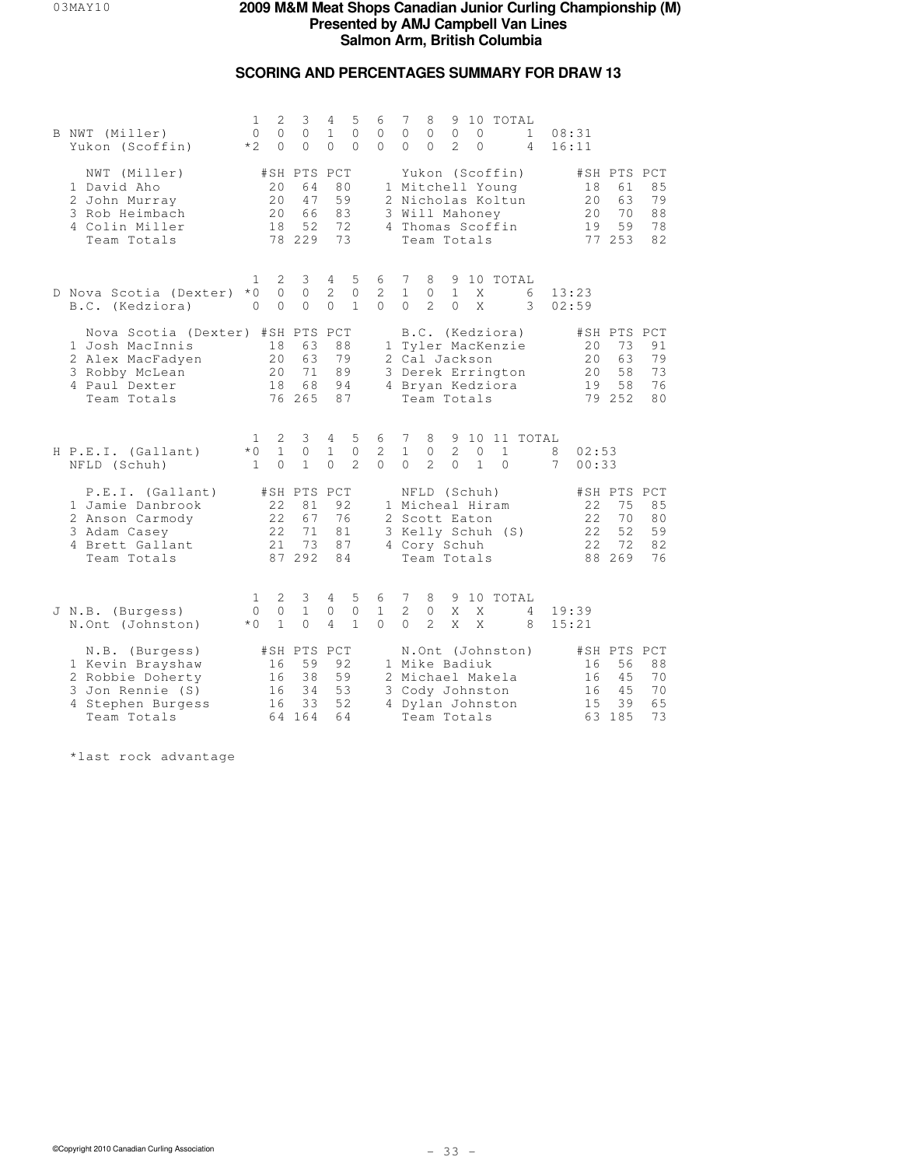# **SCORING AND PERCENTAGES SUMMARY FOR DRAW 13**

| B NWT (Miller)<br>Yukon (Scoffin)                                                                                         | 1<br>$\circ$<br>$*2$                  | $\mathbf{2}$<br>$\circ$<br>$\Omega$ | 3<br>$\circ$<br>$\Omega$                      | 4<br>$\mathbf{1}$<br>$\Omega$   | 5<br>$\circ$<br>$\Omega$         | 6<br>$\circ$<br>$\Omega$        | 7<br>$\circ$<br>$\Omega$                    | 8<br>$\circ$<br>$\Omega$                                                                                      | 9<br>$\mathbb O$<br>$\mathfrak{D}$ | $\circ$<br>$\Omega$     |                          | 10 TOTAL<br>$\mathbf{1}$<br>$\overline{4}$ | 08:31<br>16:11 |                            |                                               |                            |
|---------------------------------------------------------------------------------------------------------------------------|---------------------------------------|-------------------------------------|-----------------------------------------------|---------------------------------|----------------------------------|---------------------------------|---------------------------------------------|---------------------------------------------------------------------------------------------------------------|------------------------------------|-------------------------|--------------------------|--------------------------------------------|----------------|----------------------------|-----------------------------------------------|----------------------------|
| NWT (Miller)<br>1 David Aho<br>2 John Murray<br>3 Rob Heimbach<br>4 Colin Miller<br>Team Totals                           |                                       | 2.0<br>20<br>20<br>18               | #SH PTS PCT<br>64<br>47<br>66<br>52<br>78 229 | 80<br>59<br>83<br>72<br>73      |                                  |                                 |                                             | Yukon (Scoffin)<br>1 Mitchell Young<br>2 Nicholas Koltun<br>3 Will Mahoney<br>4 Thomas Scoffin<br>Team Totals |                                    |                         |                          |                                            |                | 18<br>20<br>20<br>19       | #SH PTS PCT<br>61<br>63<br>70<br>59<br>77 253 | 85<br>79<br>88<br>78<br>82 |
| D Nova Scotia (Dexter)<br>B.C. (Kedziora)                                                                                 | $\mathbf{1}$<br>$*$ 0<br>$\Omega$     | 2<br>$\mathbf 0$<br>$\Omega$        | 3<br>$\circ$<br>$\Omega$                      | 4<br>$\overline{2}$<br>$\Omega$ | 5<br>$\mathbb O$<br>$\mathbf{1}$ | 6<br>$\mathbf{2}$<br>$\Omega$   | $7\phantom{.0}$<br>$\mathbf{1}$<br>$\Omega$ | 8<br>$\circ$<br>$\mathcal{L}$                                                                                 | 9<br>$\mathbf{1}$<br>$\Omega$      | Χ<br>X                  |                          | 10 TOTAL<br>6<br>3                         | 13:23<br>02:59 |                            |                                               |                            |
| Nova Scotia (Dexter) #SH PTS PCT<br>1 Josh MacInnis<br>2 Alex MacFadyen<br>3 Robby McLean<br>4 Paul Dexter<br>Team Totals |                                       | 18<br>20<br>20<br>18                | 63<br>63<br>71<br>68<br>76 265                | 88<br>79<br>89<br>94<br>87      |                                  |                                 |                                             | B.C. (Kedziora)<br>1 Tyler MacKenzie<br>2 Cal Jackson<br>3 Derek Errington<br>4 Bryan Kedziora<br>Team Totals |                                    |                         |                          |                                            |                | 20<br>2.0<br>20<br>19      | #SH PTS PCT<br>73<br>63<br>58<br>58<br>79 252 | 91<br>79<br>73<br>76<br>80 |
| H P.E.I. (Gallant)<br>NFLD (Schuh)                                                                                        | $\mathbf{1}$<br>$*$ 0<br>$\mathbf{1}$ | 2<br>$\mathbf{1}$<br>$\Omega$       | 3<br>0<br>$\mathbf{1}$                        | 4<br>$\mathbf{1}$<br>$\Omega$   | 5<br>$\circ$<br>$\mathcal{L}$    | 6<br>$\overline{c}$<br>$\Omega$ | 7<br>$\mathbf{1}$<br>$\Omega$               | 8<br>0<br>$\mathfrak{D}$                                                                                      | 9<br>$\mathbf{2}$<br>$\Omega$      | $\circ$<br>$\mathbf{1}$ | $\mathbf{1}$<br>$\Omega$ | 10 11 TOTAL                                | 8<br>7         | 02:53<br>00:33             |                                               |                            |
| P.E.I. (Gallant)<br>1 Jamie Danbrook<br>2 Anson Carmody<br>3 Adam Casey<br>4 Brett Gallant<br>Team Totals                 |                                       | 2.2.<br>22<br>22<br>21              | #SH PTS PCT<br>81<br>67<br>71<br>73<br>87 292 | 92<br>76<br>81<br>87<br>84      |                                  |                                 |                                             | NFLD (Schuh)<br>1 Micheal Hiram<br>2 Scott Eaton<br>3 Kelly Schuh (S)<br>4 Cory Schuh<br>Team Totals          |                                    |                         |                          |                                            |                | 22<br>22<br>2.2.<br>22     | #SH PTS PCT<br>75<br>70<br>52<br>72<br>88 269 | 85<br>80<br>59<br>82<br>76 |
| J N.B. (Burgess)<br>N.Ont (Johnston)                                                                                      | 1<br>$\circ$<br>$*$ 0                 | 2<br>$\circ$<br>$\mathbf{1}$        | 3<br>$\mathbf{1}$<br>$\Omega$                 | 4<br>0<br>$\overline{4}$        | 5<br>$\circ$<br>$\mathbf{1}$     | 6<br>$\mathbf{1}$<br>$\Omega$   | 7<br>2<br>$\Omega$                          | 8<br>$\circ$<br>$\overline{2}$                                                                                | 9<br>X<br>X                        | X<br>X                  |                          | 10 TOTAL<br>4<br>8                         | 19:39<br>15:21 |                            |                                               |                            |
| N.B. (Burgess)<br>1 Kevin Brayshaw<br>2 Robbie Doherty<br>3 Jon Rennie (S)<br>4 Stephen Burgess<br>Team Totals            |                                       | 16<br>16<br>16<br>16                | #SH PTS PCT<br>59<br>38<br>34<br>33<br>64 164 | 92<br>59<br>53<br>52<br>64      |                                  |                                 |                                             | 1 Mike Badiuk<br>2 Michael Makela<br>3 Cody Johnston<br>4 Dylan Johnston<br>Team Totals                       |                                    |                         |                          | N.Ont (Johnston)                           |                | 16<br>16<br>16<br>15<br>63 | #SH PTS PCT<br>56<br>45<br>45<br>39<br>185    | 88<br>70<br>70<br>65<br>73 |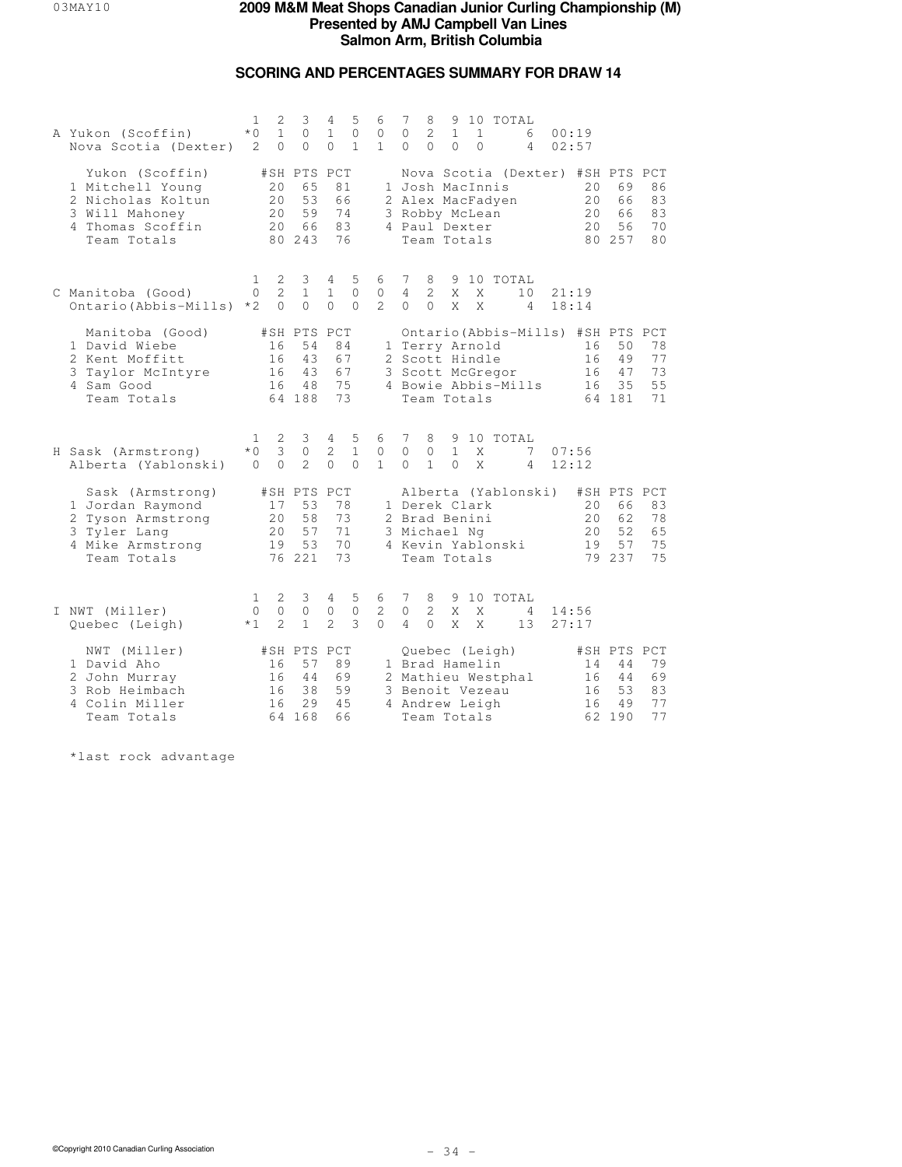## **SCORING AND PERCENTAGES SUMMARY FOR DRAW 14**

| A Yukon (Scoffin)<br>Nova Scotia (Dexter)                                                                     | 1<br>$*$ $\cap$<br>2                   | 2<br>$\mathbf{1}$<br>$\Omega$ | 3<br>$\Omega$<br>$\Omega$                     | 4<br>$\mathbf{1}$<br>$\Omega$  | 5<br>$\Omega$<br>$\mathbf{1}$ | 6<br>$\mathbf{0}$<br>$\mathbf{1}$  | 7<br>$\Omega$<br>$\Omega$                                              | 8<br>$\overline{2}$<br>$\Omega$ | 9<br>$\mathbf{1}$<br>$\Omega$ | $\mathbf{1}$<br>$\Omega$      | 10 TOTAL<br>6<br>$\overline{4}$                          | 00:19<br>02:57 |                       |                                               |                            |
|---------------------------------------------------------------------------------------------------------------|----------------------------------------|-------------------------------|-----------------------------------------------|--------------------------------|-------------------------------|------------------------------------|------------------------------------------------------------------------|---------------------------------|-------------------------------|-------------------------------|----------------------------------------------------------|----------------|-----------------------|-----------------------------------------------|----------------------------|
| Yukon (Scoffin)<br>1 Mitchell Young<br>2 Nicholas Koltun<br>3 Will Mahoney<br>4 Thomas Scoffin<br>Team Totals |                                        | 20<br>20<br>20<br>20          | #SH PTS PCT<br>65<br>53<br>59<br>66<br>80 243 | 66<br>74<br>83                 | 81<br>76                      |                                    | 1 Josh MacInnis<br>2 Alex MacFadyen<br>3 Robby McLean<br>4 Paul Dexter |                                 |                               | Team Totals                   | Nova Scotia (Dexter) #SH PTS PCT                         |                | 20<br>20<br>20<br>20  | 69<br>66<br>66<br>56<br>80 257                | 86<br>83<br>83<br>70<br>80 |
| C Manitoba (Good)<br>Ontario (Abbis-Mills)                                                                    | $\mathbf{1}$<br>$\Omega$<br>$*2$       | 2<br>2<br>$\mathbf 0$         | 3<br>$\mathbf{1}$<br>$\circ$                  | 4<br>$\mathbf{1}$<br>$\Omega$  | 5<br>$\Omega$<br>$\Omega$     | 6<br>$\mathbf{0}$<br>$\mathcal{L}$ | 7<br>$\overline{4}$<br>$\Omega$                                        | 8<br>$\mathcal{L}$<br>$\Omega$  | 9<br>X<br>X                   | X<br>X                        | 10 TOTAL<br>10<br>4                                      | 21:19<br>18:14 |                       |                                               |                            |
| Manitoba (Good)<br>1 David Wiebe<br>2 Kent Moffitt<br>Taylor McIntyre<br>3<br>4 Sam Good<br>Team Totals       |                                        | 16<br>16<br>16<br>16          | #SH PTS PCT<br>54<br>43<br>43<br>48<br>64 188 | 84<br>67<br>73                 | 67<br>75                      | 3                                  | 1 Terry Arnold<br>2 Scott Hindle                                       |                                 |                               | Scott McGregor<br>Team Totals | Ontario (Abbis-Mills) #SH PTS PCT<br>4 Bowie Abbis-Mills |                | 16<br>16<br>16<br>16  | 50<br>49<br>47<br>35<br>64 181                | 78<br>77<br>73<br>55<br>71 |
| H Sask (Armstrong)<br>Alberta (Yablonski)                                                                     | $\mathbf{1}$<br>$*$ $\cap$<br>$\Omega$ | 2<br>3<br>$\Omega$            | 3<br>$\circ$<br>$\overline{2}$                | $4 -$<br>2<br>$\Omega$         | 5<br>$\mathbf{1}$<br>$\Omega$ | 6<br>$\mathbf{0}$<br>$\mathbf{1}$  | 7<br>$\Omega$<br>$\Omega$                                              | 8<br>$\Omega$<br>$\mathbf{1}$   | 9<br>$\mathbf{1}$<br>$\Omega$ | X<br>X                        | 10 TOTAL<br>7<br>4                                       | 07:56<br>12:12 |                       |                                               |                            |
| Sask (Armstrong)<br>1 Jordan Raymond<br>2 Tyson Armstrong<br>3 Tyler Lang<br>4 Mike Armstrong<br>Team Totals  |                                        | 17<br>20<br>2.0<br>19         | #SH PTS<br>53<br>58<br>57<br>53<br>76 221     | PCT<br>78<br>73<br>71<br>73    | 70                            |                                    | 1 Derek Clark<br>2 Brad Benini<br>3 Michael Ng<br>4 Kevin Yablonski    |                                 |                               | Team Totals                   | Alberta (Yablonski)                                      |                | 20<br>2.0<br>20<br>19 | #SH PTS PCT<br>66<br>62<br>52<br>57<br>79 237 | 83<br>78<br>65<br>75<br>75 |
| I NWT (Miller)<br>Quebec (Leigh)                                                                              | 1<br>$\Omega$<br>$*1$                  | 2<br>0<br>$\overline{2}$      | 3<br>$\circ$<br>$\mathbf{1}$                  | 4<br>$\circ$<br>$\overline{2}$ | 5<br>$\mathbf{0}$<br>3        | 6<br>2<br>$\Omega$                 | 7<br>$\circ$<br>4                                                      | 8<br>$\overline{2}$<br>$\Omega$ | 9<br>X<br>X                   | X<br>X                        | 10 TOTAL<br>4<br>13                                      | 14:56          | 27:17                 |                                               |                            |
| NWT (Miller)<br>1 David Aho<br>2 John Murray<br>3 Rob Heimbach<br>4 Colin Miller<br>Team Totals               |                                        | 16<br>16<br>16<br>16          | #SH PTS<br>57<br>44<br>38<br>29<br>64 168     | PCT<br>69<br>45<br>66          | 89<br>59                      |                                    | 1 Brad Hamelin<br>3 Benoit Vezeau<br>4 Andrew Leigh                    |                                 |                               | Quebec (Leigh)<br>Team Totals | 2 Mathieu Westphal                                       |                | 14<br>16<br>16<br>16  | #SH PTS PCT<br>44<br>44<br>53<br>49<br>62 190 | 79<br>69<br>83<br>77<br>77 |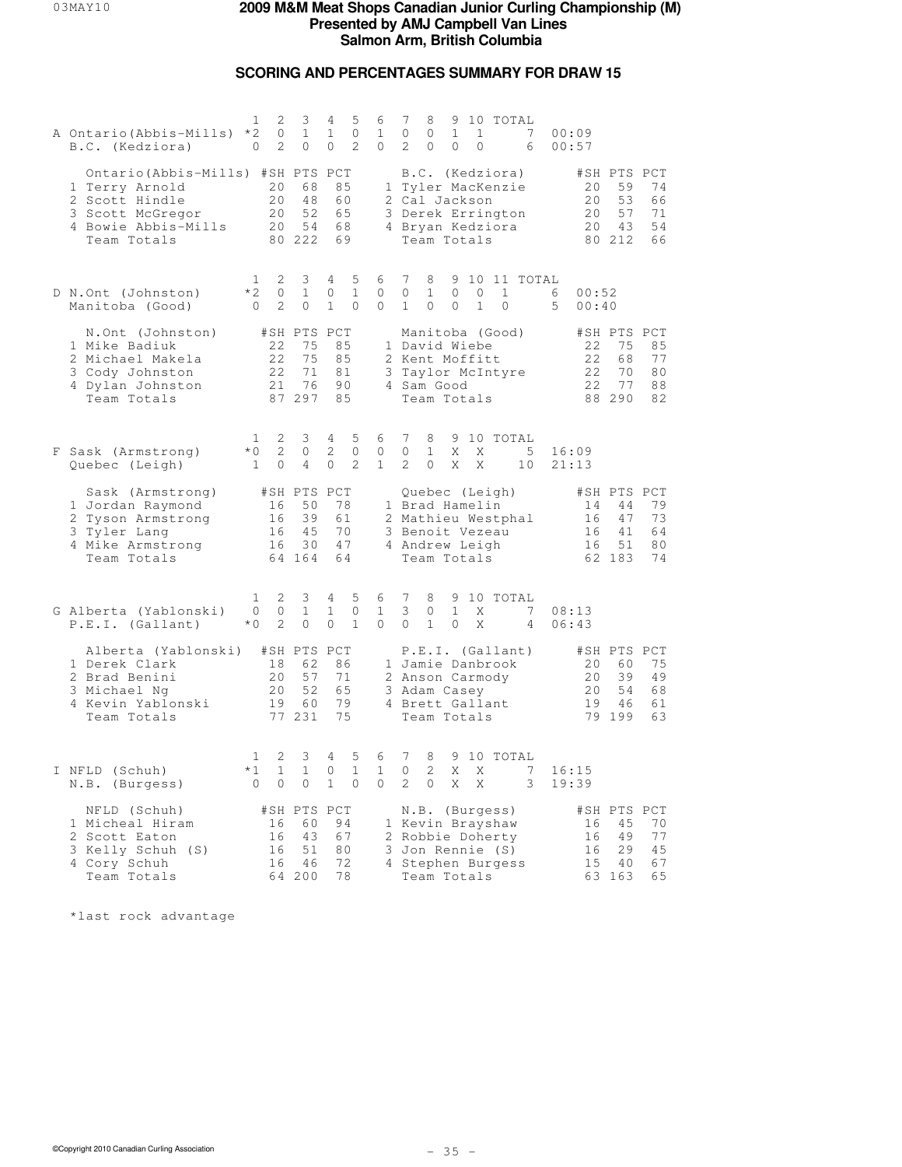### **SCORING AND PERCENTAGES SUMMARY FOR DRAW 15**

| A Ontario (Abbis-Mills) *2<br>B.C. (Kedziora)                                                                                   | 2<br>1<br>0<br>2<br>0                                                  | 3<br>$\mathbf{1}$<br>$\circ$                  | 4<br>5<br>0<br>$\mathbf{1}$<br>2<br>0                         | 6<br>$\mathbf{1}$<br>0 | 7<br>8<br>9 10 TOTAL<br>7<br>0<br>0<br>$\mathbf{1}$<br>$\mathbf{1}$<br>00:09<br>2<br>0<br>$\circ$<br>$\circ$<br>00:57<br>6                                                                                            |
|---------------------------------------------------------------------------------------------------------------------------------|------------------------------------------------------------------------|-----------------------------------------------|---------------------------------------------------------------|------------------------|-----------------------------------------------------------------------------------------------------------------------------------------------------------------------------------------------------------------------|
| Ontario (Abbis-Mills) #SH PTS PCT<br>1 Terry Arnold<br>2 Scott Hindle<br>3 Scott McGregor<br>4 Bowie Abbis-Mills<br>Team Totals | 20<br>20<br>20<br>20                                                   | 68<br>48<br>52<br>54<br>80 222                | 85<br>60<br>65<br>68<br>69                                    |                        | B.C. (Kedziora)<br>#SH PTS PCT<br>20<br>59<br>74<br>1 Tyler MacKenzie<br>2 Cal Jackson<br>20<br>53<br>66<br>57<br>3 Derek Errington<br>20<br>71<br>4 Bryan Kedziora<br>20<br>43<br>54<br>Team Totals<br>80 212<br>66  |
| D N.Ont (Johnston)<br>Manitoba (Good)                                                                                           | 1<br>2<br>$*2$<br>0<br>$\overline{2}$<br>$\Omega$                      | 3<br>$\mathbf{1}$<br>$\Omega$                 | 4<br>5<br>$\mathbf{1}$<br>0<br>$\mathbf{1}$<br>$\Omega$       | 6<br>0<br>0            | 7<br>9 10 11 TOTAL<br>8<br>0<br>$\mathbf{1}$<br>$\circ$<br>$\circ$<br>1<br>00:52<br>6<br>$\Omega$<br>$5 -$<br>00:40<br>1<br>$\Omega$<br>1<br>$\Omega$                                                                 |
| N.Ont (Johnston)<br>1 Mike Badiuk<br>2 Michael Makela<br>3 Cody Johnston<br>4 Dylan Johnston<br>Team Totals                     | 22<br>22<br>22<br>21                                                   | #SH PTS PCT<br>75<br>75<br>71<br>76<br>87 297 | 85<br>85<br>81<br>90<br>85                                    |                        | Manitoba (Good)<br>#SH PTS PCT<br>1 David Wiebe<br>75<br>85<br>22<br>22<br>77<br>2 Kent Moffitt<br>68<br>3 Taylor McIntyre<br>22<br>70<br>80<br>77<br>4 Sam Good<br>22<br>88<br>Team Totals<br>88 290<br>82           |
| F Sask (Armstrong)<br>Quebec (Leigh)                                                                                            | 1<br>2<br>$*0$<br>2<br>$\mathbf{1}$<br>$\circ$                         | 3<br>$\circ$<br>$\overline{4}$                | 5<br>4<br>2<br>$\mathbf{0}$<br>2<br>$\Omega$                  | 6<br>0<br>$\mathbf{1}$ | 7<br>8<br>9 10 TOTAL<br>0<br>$\mathbf{1}$<br>X<br>$-5$<br>X<br>16:09<br>2<br>$\Omega$<br>X<br>X<br>10<br>21:13                                                                                                        |
| Sask (Armstrong)<br>1 Jordan Raymond<br>2 Tyson Armstrong<br>3 Tyler Lang<br>4 Mike Armstrong<br>Team Totals                    | 16<br>16<br>16<br>16                                                   | #SH PTS PCT<br>50<br>39<br>45<br>30<br>64 164 | 78<br>61<br>70<br>47<br>64                                    |                        | #SH PTS PCT<br>Quebec (Leigh)<br>1 Brad Hamelin<br>14<br>44<br>79<br>2 Mathieu Westphal<br>47<br>73<br>16<br>41<br>64<br>3 Benoit Vezeau<br>16<br>4 Andrew Leigh<br>16<br>51<br>80<br>62 183<br>74<br>Team Totals     |
| G Alberta (Yablonski)<br>P.E.I. (Gallant)                                                                                       | 2<br>$\mathbf{1}$<br>0<br>0<br>2<br>$*0$                               | 3<br>$\mathbf{1}$<br>$\circ$                  | 5<br>$\overline{4}$<br>1<br>$\mathbf{0}$<br>0<br>$\mathbf{1}$ | 6<br>$\mathbf{1}$<br>0 | $7\phantom{.0}$<br>9 10 TOTAL<br>8<br>3<br>$\mathbf{1}$<br>7<br>0<br>Χ<br>08:13<br>$\circ$<br>$\mathbf{1}$<br>$\circ$<br>X<br>$\overline{4}$<br>06:43                                                                 |
| Alberta (Yablonski)<br>1 Derek Clark<br>2 Brad Benini<br>3 Michael Ng<br>4 Kevin Yablonski<br>Team Totals                       | 18<br>20<br>20<br>19                                                   | #SH PTS PCT<br>62<br>57<br>52<br>60<br>77 231 | 86<br>71<br>65<br>79<br>75                                    |                        | P.E.I. (Gallant)<br>#SH PTS PCT<br>1 Jamie Danbrook<br>20<br>60<br>75<br>20<br>39<br>49<br>2 Anson Carmody<br>68<br>3 Adam Casey<br>20<br>54<br>4 Brett Gallant<br>19<br>46<br>61<br>Team Totals<br>79 199<br>63      |
| I NFLD (Schuh)<br>N.B. (Burgess)                                                                                                | 2<br>$\mathbf{1}$<br>$\mathbf{1}$<br>$*1$<br>$\overline{0}$<br>$\circ$ | 3<br>$\mathbf{1}$<br>$\circ$                  | 4<br>5<br>0<br>$\mathbf{1}$<br>$\mathbf{1}$<br>$\mathbf{0}$   | 6<br>$\mathbf{1}$<br>0 | 7<br>8<br>9 10 TOTAL<br>$\overline{2}$<br>0<br>X<br>X<br>7<br>16:15<br>2<br>$\circ$<br>X<br>X<br>3<br>19:39                                                                                                           |
| NFLD (Schuh)<br>1 Micheal Hiram<br>2 Scott Eaton<br>3 Kelly Schuh (S)<br>4 Cory Schuh<br>Team Totals                            | #SH PTS<br>16<br>16<br>16<br>16                                        | 60<br>43<br>51<br>46<br>64 200                | PCT<br>94<br>67<br>80<br>72<br>78                             |                        | #SH PTS PCT<br>N.B. (Burgess)<br>70<br>1 Kevin Brayshaw<br>16<br>45<br>77<br>2 Robbie Doherty<br>49<br>16<br>3 Jon Rennie (S)<br>16<br>29<br>45<br>4 Stephen Burgess<br>15<br>40<br>67<br>63 163<br>Team Totals<br>65 |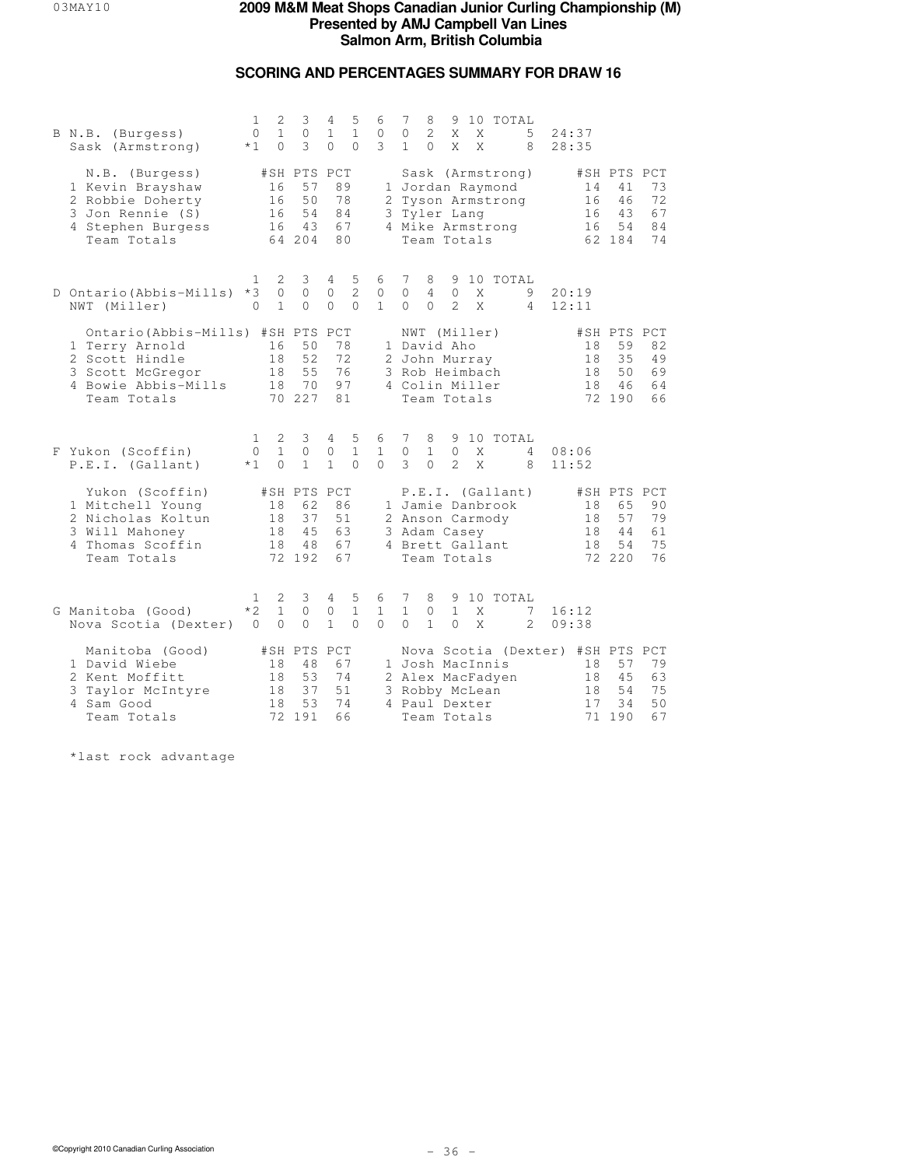# **SCORING AND PERCENTAGES SUMMARY FOR DRAW 16**

|  | B N.B. (Burgess)<br>Sask (Armstrong)                                                                                        | 1<br>$\circ$<br>$*1$             | 2<br>$\mathbf{1}$<br>$\Omega$ | 3<br>$\circ$<br>3                             | 4<br>$\mathbf 1$<br>$\Omega$          | 5<br>$\mathbf{1}$<br>$\Omega$   | 6<br>0<br>3                   | 7<br>$\circ$<br>$\mathbf{1}$                                     | 8<br>2<br>$\Omega$              | X<br>X                        | X<br>X | 9 10 TOTAL                                                                    | 5<br>8             | 24:37<br>28:35                                                 |                                               |                            |
|--|-----------------------------------------------------------------------------------------------------------------------------|----------------------------------|-------------------------------|-----------------------------------------------|---------------------------------------|---------------------------------|-------------------------------|------------------------------------------------------------------|---------------------------------|-------------------------------|--------|-------------------------------------------------------------------------------|--------------------|----------------------------------------------------------------|-----------------------------------------------|----------------------------|
|  | N.B. (Burgess)<br>1 Kevin Brayshaw<br>2 Robbie Doherty<br>3 Jon Rennie (S)<br>4 Stephen Burgess<br>Team Totals              |                                  | 16<br>16<br>16<br>16          | #SH PTS PCT<br>57<br>50<br>54<br>43<br>64 204 | 89<br>78<br>84<br>67<br>80            |                                 |                               | 3 Tyler Lang                                                     | Team Totals                     |                               |        | Sask (Armstrong)<br>1 Jordan Raymond<br>2 Tyson Armstrong<br>4 Mike Armstrong |                    | 14<br>16<br>16<br>16                                           | #SH PTS PCT<br>41<br>46<br>43<br>54<br>62 184 | 73<br>72<br>67<br>84<br>74 |
|  | D Ontario (Abbis-Mills)<br>NWT (Miller)                                                                                     | 1<br>$*3$<br>$\Omega$            | 2<br>$\circ$<br>$\mathbf{1}$  | 3<br>$\circ$<br>$\Omega$                      | $4\phantom{0}$<br>$\circ$<br>$\Omega$ | 5<br>$\overline{c}$<br>$\Omega$ | 6<br>$\circ$<br>$\mathbf{1}$  | 7<br>$\circ$<br>$\Omega$                                         | 8<br>$\overline{4}$<br>$\Omega$ | $\circ$<br>$\mathcal{L}$      | X<br>X | 9 10 TOTAL                                                                    | 9<br>4             | 20:19<br>12:11                                                 |                                               |                            |
|  | Ontario (Abbis-Mills) #SH PTS<br>1 Terry Arnold<br>2 Scott Hindle<br>3 Scott McGregor<br>4 Bowie Abbis-Mills<br>Team Totals |                                  | 16<br>18<br>18<br>18          | 50<br>52<br>55<br>70<br>70 227                | PCT<br>78<br>72<br>76<br>97<br>81     |                                 |                               | 1 David Aho<br>2 John Murray<br>3 Rob Heimbach<br>4 Colin Miller | NWT (Miller)<br>Team Totals     |                               |        |                                                                               |                    | 18<br>18<br>18<br>18                                           | #SH PTS PCT<br>59<br>35<br>50<br>46<br>72 190 | 82<br>49<br>69<br>64<br>66 |
|  | F Yukon (Scoffin)<br>P.E.I. (Gallant)                                                                                       | $\mathbf{1}$<br>$\Omega$<br>$*1$ | 2<br>$\mathbf{1}$<br>$\Omega$ | 3<br>$\Omega$<br>$\mathbf{1}$                 | 4<br>0<br>$\mathbf{1}$                | 5<br>$\mathbf{1}$<br>$\Omega$   | 6<br>$\mathbf{1}$<br>$\Omega$ | 7<br>$\circ$<br>3                                                | 8<br>$\mathbf{1}$<br>$\cap$     | $\circ$<br>2.                 | X<br>X | 9 10 TOTAL                                                                    | 4<br>8             | 08:06<br>11:52                                                 |                                               |                            |
|  | Yukon (Scoffin)<br>1 Mitchell Young<br>2 Nicholas Koltun<br>3 Will Mahoney<br>4 Thomas Scoffin<br>Team Totals               |                                  | 18<br>18<br>18<br>18          | #SH PTS PCT<br>62<br>37<br>45<br>48<br>72 192 | 86<br>51<br>63<br>67<br>67            |                                 |                               | 3 Adam Casey<br>4 Brett Gallant                                  | Team Totals                     |                               |        | P.E.I. (Gallant)<br>1 Jamie Danbrook<br>2 Anson Carmody                       |                    | 18<br>18<br>18<br>18                                           | #SH PTS PCT<br>65<br>57<br>44<br>54<br>72 220 | 90<br>79<br>61<br>75<br>76 |
|  | G Manitoba (Good)<br>Nova Scotia (Dexter)                                                                                   | 1<br>$*2$<br>$\Omega$            | 2<br>$\mathbf{1}$<br>$\Omega$ | 3<br>$\circ$<br>$\Omega$                      | 4<br>0<br>$\mathbf{1}$                | 5<br>$\mathbf{1}$<br>$\Omega$   | 6<br>$\mathbf{1}$<br>$\Omega$ | 7<br>$\mathbf{1}$<br>$\Omega$                                    | 8<br>$\circ$<br>$\mathbf{1}$    | 9<br>$\mathbf{1}$<br>$\Omega$ | X<br>X | 10 TOTAL                                                                      | 7<br>$\mathcal{L}$ | 16:12<br>09:38                                                 |                                               |                            |
|  | Manitoba (Good)<br>1 David Wiebe<br>2 Kent Moffitt<br>3 Taylor McIntyre<br>4 Sam Good<br>Team Totals                        |                                  | 18<br>18<br>18<br>18          | #SH PTS PCT<br>48<br>53<br>37<br>53<br>72 191 | 67<br>74<br>51<br>74<br>66            |                                 |                               | 1 Josh MacInnis<br>3 Robby McLean<br>4 Paul Dexter               | Team Totals                     |                               |        | 2 Alex MacFadyen                                                              |                    | Nova Scotia (Dexter) #SH PTS PCT<br>18<br>18<br>18<br>17<br>71 | 57<br>45<br>54<br>34<br>190                   | 79<br>63<br>75<br>50<br>67 |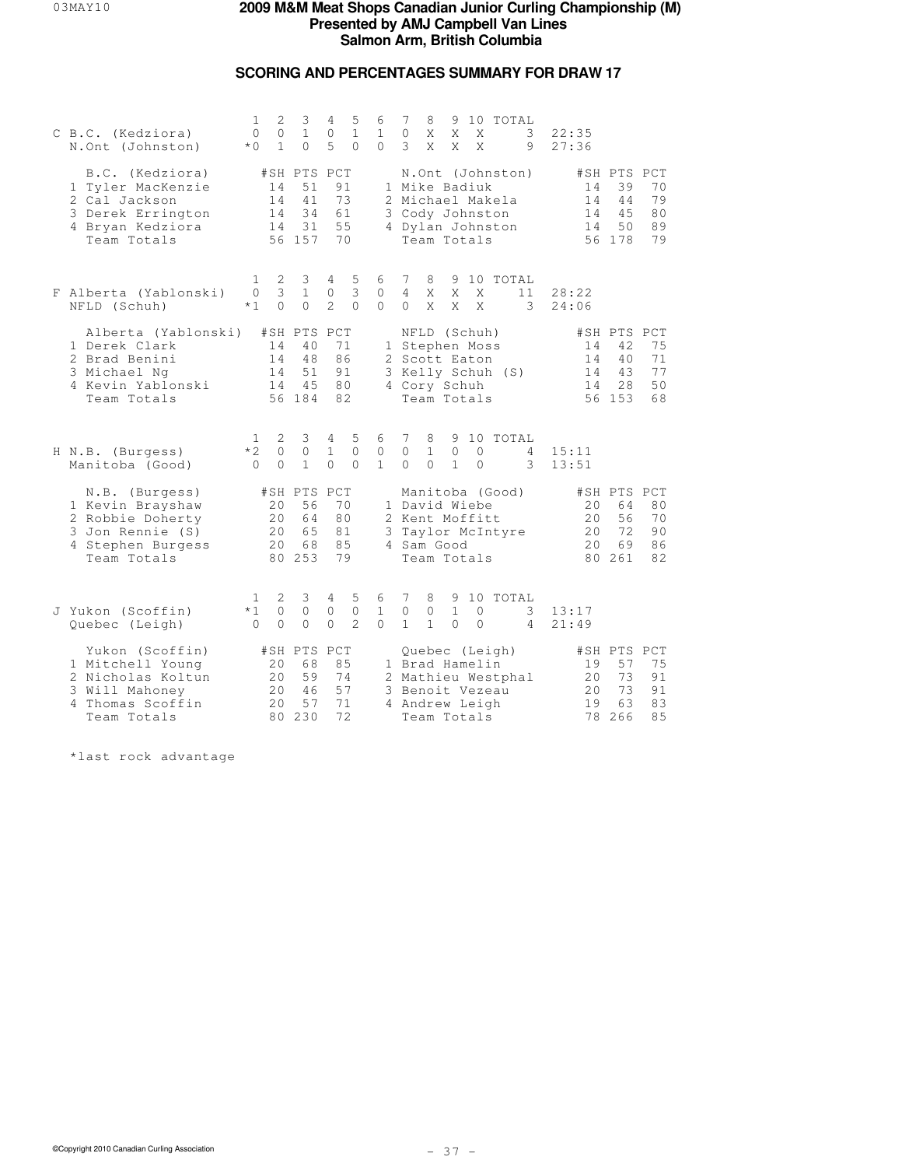# **SCORING AND PERCENTAGES SUMMARY FOR DRAW 17**

| C B.C. (Kedziora)<br>N.Ont (Johnston)                                                                          | 2<br>1<br>$\circ$<br>$\circ$<br>$\mathbf{1}$<br>$*$ 0        | 3<br>$\mathbf{1}$<br>$\Omega$                 | 5<br>4<br>$\circ$<br>$\mathbf{1}$<br>5<br>$\Omega$             | 6<br>$\mathbf{1}$<br>$\Omega$    | 7<br>9 10 TOTAL<br>8<br>$\circ$<br>X<br>X<br>X<br>3<br>3<br>X<br>X<br>X<br>9                                                                               | 22:35<br>27:36              |                                                                             |
|----------------------------------------------------------------------------------------------------------------|--------------------------------------------------------------|-----------------------------------------------|----------------------------------------------------------------|----------------------------------|------------------------------------------------------------------------------------------------------------------------------------------------------------|-----------------------------|-----------------------------------------------------------------------------|
| B.C. (Kedziora)<br>1 Tyler MacKenzie<br>2 Cal Jackson<br>3 Derek Errington<br>4 Bryan Kedziora<br>Team Totals  | 14<br>14<br>14<br>14                                         | #SH PTS PCT<br>51<br>41<br>34<br>31<br>56 157 | 91<br>73<br>61<br>55<br>70                                     |                                  | N.Ont (Johnston)<br>1 Mike Badiuk<br>2 Michael Makela<br>3 Cody Johnston<br>4 Dylan Johnston<br>Team Totals                                                | 14<br>14<br>14<br>14        | #SH PTS PCT<br>39<br>70<br>44<br>79<br>45<br>80<br>89<br>50<br>79<br>56 178 |
| F Alberta (Yablonski)<br>NFLD (Schuh)                                                                          | 2<br>1<br>3<br>$\circ$<br>$*1$<br>$\Omega$                   | 3<br>$\mathbf{1}$<br>$\Omega$                 | 5<br>4<br>3<br>$\circ$<br>$\mathcal{L}$<br>$\Omega$            | 6<br>$\circ$<br>$\cap$           | 7<br>8<br>9 10 TOTAL<br>$\overline{4}$<br>X<br>X<br>X<br>11<br>$\Omega$<br>X<br>X<br>X<br>3                                                                | 28:22<br>24:06              |                                                                             |
| Alberta (Yablonski)<br>1 Derek Clark<br>2 Brad Benini<br>3 Michael Ng<br>4 Kevin Yablonski<br>Team Totals      | 14<br>14<br>14<br>14                                         | #SH PTS PCT<br>40<br>48<br>51<br>45<br>56 184 | 71<br>86<br>91<br>80<br>82                                     |                                  | NFLD (Schuh)<br>1 Stephen Moss<br>2 Scott Eaton<br>3 Kelly Schuh (S)<br>4 Cory Schuh<br>Team Totals                                                        | 14<br>14<br>14<br>14        | #SH PTS PCT<br>75<br>42<br>40<br>71<br>77<br>43<br>50<br>28<br>56 153<br>68 |
| H N.B. (Burgess)<br>Manitoba (Good)                                                                            | 2<br>$\mathbf{1}$<br>$*2$<br>$\circ$<br>$\Omega$<br>$\Omega$ | 3<br>$\circ$<br>$\mathbf{1}$                  | 5<br>4<br>$\mathbf{1}$<br>$\mathbf{0}$<br>$\Omega$<br>$\Omega$ | 6<br>$\mathbb O$<br>$\mathbf{1}$ | 7<br>10 TOTAL<br>8<br>9<br>$\circ$<br>$\mathbf{1}$<br>$\circ$<br>$\circ$<br>4<br>$\Omega$<br>$\mathbf{1}$<br>$\Omega$<br>$\circ$<br>3                      | 15:11<br>13:51              |                                                                             |
| N.B. (Burgess)<br>1 Kevin Brayshaw<br>2 Robbie Doherty<br>3 Jon Rennie (S)<br>4 Stephen Burgess<br>Team Totals | 20<br>20<br>2.0<br>20                                        | #SH PTS PCT<br>56<br>64<br>65<br>68<br>80 253 | 70<br>80<br>81<br>85<br>79                                     |                                  | Manitoba (Good)<br>1 David Wiebe<br>2 Kent Moffitt<br>3 Taylor McIntyre<br>4 Sam Good<br>Team Totals                                                       | 20<br>20<br>2.0<br>20<br>80 | #SH PTS PCT<br>64<br>80<br>56<br>70<br>90<br>72<br>69<br>86<br>261<br>82    |
| J Yukon (Scoffin)<br>Quebec (Leigh)                                                                            | 2<br>$\mathbf{1}$<br>$*1$<br>$\circ$<br>$\Omega$<br>$\Omega$ | 3<br>$\circ$<br>0                             | 5<br>4<br>$\circ$<br>$\circ$<br>$\overline{c}$<br>$\Omega$     | 6<br>$\mathbf{1}$<br>$\Omega$    | 7<br>10 TOTAL<br>8<br>9<br>$\circ$<br>$\mathbf{1}$<br>$\mathbf{0}$<br>0<br>3<br>$\mathbf{1}$<br>$\mathbf{1}$<br>$\mathbf{0}$<br>$\Omega$<br>$\overline{4}$ | 13:17<br>21:49              |                                                                             |
| Yukon (Scoffin)<br>1 Mitchell Young<br>2 Nicholas Koltun<br>3 Will Mahoney<br>4 Thomas Scoffin<br>Team Totals  | 20<br>20<br>20<br>20                                         | #SH PTS PCT<br>68<br>59<br>46<br>57<br>80 230 | 85<br>74<br>57<br>71<br>72                                     |                                  | Quebec (Leigh)<br>1 Brad Hamelin<br>2 Mathieu Westphal<br>3 Benoit Vezeau<br>4 Andrew Leigh<br>Team Totals                                                 | 19<br>20<br>20<br>19        | #SH PTS PCT<br>75<br>57<br>91<br>73<br>73<br>91<br>83<br>63<br>78 266<br>85 |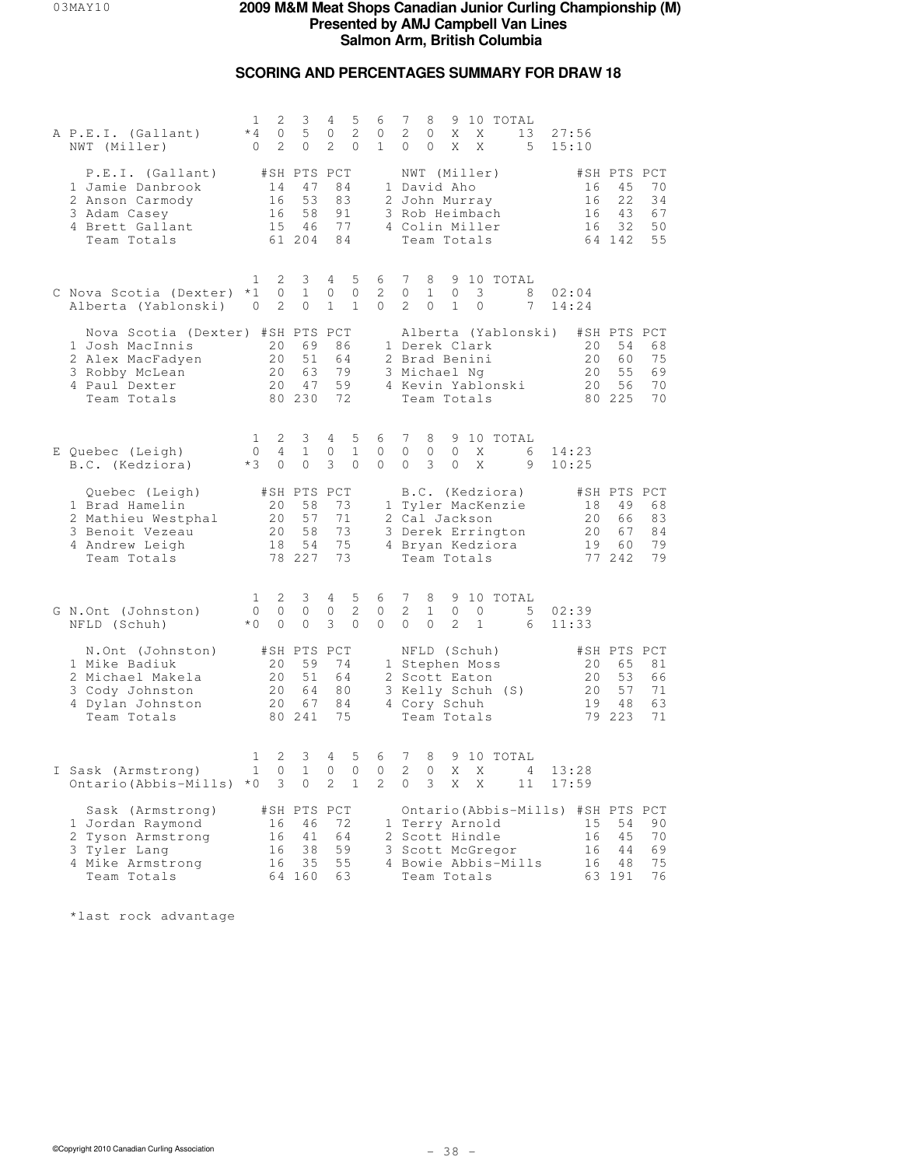## **SCORING AND PERCENTAGES SUMMARY FOR DRAW 18**

| A P.E.I. (Gallant)<br>NWT (Miller)                                                                                        | 2<br>1<br>$*4$<br>0<br>2<br>$\Omega$                  | 3<br>5<br>0                                               | 5<br>4<br>2<br>0<br>2<br>$\mathbf{0}$                       | 6<br>0<br>$\mathbf{1}$          | 7<br>9 10 TOTAL<br>8<br>2<br>0<br>X<br>Χ<br>13<br>27:56<br>$\Omega$<br>0<br>X<br>X<br>5 <sup>5</sup><br>15:10                                                                                                           |
|---------------------------------------------------------------------------------------------------------------------------|-------------------------------------------------------|-----------------------------------------------------------|-------------------------------------------------------------|---------------------------------|-------------------------------------------------------------------------------------------------------------------------------------------------------------------------------------------------------------------------|
| P.E.I. (Gallant)<br>1 Jamie Danbrook<br>2 Anson Carmody<br>3 Adam Casey<br>4 Brett Gallant<br>Team Totals                 | 14<br>16<br>16                                        | #SH PTS PCT<br>47<br>53<br>58<br>15 46<br>61 204          | 84<br>83<br>91<br>77<br>84                                  |                                 | NWT (Miller)<br>#SH PTS PCT<br>1 David Aho<br>45<br>70<br>16<br>2 John Murray<br>16<br>22<br>34<br>3 Rob Heimbach<br>16<br>43<br>67<br>32<br>50<br>4 Colin Miller<br>16<br>Team Totals<br>64 142<br>55                  |
| C Nova Scotia (Dexter) *1<br>Alberta (Yablonski)                                                                          | 2<br>1<br>0<br>2<br>0                                 | 3<br>$\mathbf{1}$<br>0                                    | 5<br>4<br>$\mathbf{0}$<br>0<br>$\mathbf{1}$<br>$\mathbf{1}$ | 6<br>2<br>0                     | 7<br>9 10 TOTAL<br>8<br>$\circ$<br>3<br>$\circ$<br>$\mathbf{1}$<br>8<br>02:04<br>$\overline{2}$<br>0<br>$\mathbf{1}$<br>7<br>14:24<br>0                                                                                 |
| Nova Scotia (Dexter) #SH PTS PCT<br>1 Josh MacInnis<br>2 Alex MacFadyen<br>3 Robby McLean<br>4 Paul Dexter<br>Team Totals | 20<br>20<br>20                                        | 69<br>51<br>63<br>20<br>47<br>80 230                      | 86<br>64<br>79<br>59<br>72                                  |                                 | Alberta (Yablonski)<br>#SH PTS PCT<br>1 Derek Clark<br>20<br>54<br>68<br>20<br>75<br>2 Brad Benini<br>60<br>3 Michael Ng<br>20<br>55<br>69<br>20<br>4 Kevin Yablonski<br>56<br>70<br>Team Totals<br>80 225<br>70        |
| E Quebec (Leigh)<br>B.C. (Kedziora)                                                                                       | 2<br>1<br>$\circ$<br>4<br>$*3$<br>$\circ$             | 3<br>$\mathbf{1}$<br>$\circ$                              | 5<br>4<br>$\mathbf{1}$<br>0<br>3<br>$\circ$                 | 6<br>0<br>$\circ$               | 7<br>9 10 TOTAL<br>8<br>$\circ$<br>0<br>0<br>X<br>6<br>14:23<br>3<br>9<br>0<br>$\mathbf{0}$<br>X<br>10:25                                                                                                               |
| Quebec (Leigh)<br>1 Brad Hamelin<br>2 Mathieu Westphal<br>3 Benoit Vezeau<br>4 Andrew Leigh<br>Team Totals                | 20<br>20<br>20<br>18                                  | #SH PTS PCT<br>58<br>57<br>58<br>54<br>78 227             | 73<br>71<br>73<br>75<br>73                                  |                                 | B.C. (Kedziora)<br>#SH PTS PCT<br>1 Tyler MacKenzie<br>18<br>49<br>68<br>2 Cal Jackson<br>20<br>83<br>66<br>84<br>3 Derek Errington<br>20<br>67<br>79<br>4 Bryan Kedziora<br>19<br>60<br>Team Totals<br>77 242<br>79    |
| G N.Ont (Johnston)<br>NFLD (Schuh)                                                                                        | $\mathbf{1}$<br>2<br>$\circ$<br>0<br>$*$ 0<br>$\circ$ | 3<br>0<br>0                                               | 5<br>4<br>$\mathbf{2}$<br>0<br>3<br>$\mathbf{0}$            | 6<br>0<br>0                     | 7<br>8<br>9 10 TOTAL<br>$\mathbf{2}$<br>$\mathbf{1}$<br>$\circ$<br>$\circ$<br>5<br>02:39<br>2<br>$\circ$<br>0<br>$\mathbf{1}$<br>11:33<br>6                                                                             |
| N.Ont (Johnston)<br>1 Mike Badiuk<br>2 Michael Makela<br>3 Cody Johnston<br>4 Dylan Johnston<br>Team Totals               | 20<br>20                                              | #SH PTS PCT<br>59<br>51<br>20<br>64<br>20<br>67<br>80 241 | 74<br>64<br>80<br>84<br>75                                  |                                 | NFLD (Schuh)<br>#SH PTS PCT<br>1 Stephen Moss<br>20<br>65<br>81<br>53<br>2 Scott Eaton<br>20<br>66<br>3 Kelly Schuh (S)<br>20<br>57<br>71<br>19<br>63<br>4 Cory Schuh<br>48<br>79 223<br>71<br>Team Totals              |
| I Sask (Armstrong)<br>Ontario (Abbis-Mills) *0                                                                            | 2<br>1<br>$\mathbf{1}$<br>0<br>3                      | 3<br>$\mathbf{1}$<br>0                                    | 5<br>4<br>$\mathbf{0}$<br>0<br>2<br>$\mathbf{1}$            | 6<br>0<br>$\mathbf{2}^{\prime}$ | 7<br>8<br>9 10 TOTAL<br>2<br>0<br>Χ<br>X<br>$\frac{4}{3}$<br>13:28<br>$\circ$<br>3<br>X<br>X<br>17:59<br>11                                                                                                             |
| Sask (Armstrong)<br>1 Jordan Raymond<br>2 Tyson Armstrong<br>3 Tyler Lang<br>4 Mike Armstrong<br>Team Totals              | 16<br>16<br>16<br>16                                  | #SH PTS PCT<br>46<br>41<br>38<br>35<br>64 160             | 72<br>64<br>59<br>55<br>63                                  |                                 | Ontario (Abbis-Mills) #SH PTS PCT<br>90<br>1 Terry Arnold<br>15<br>54<br>2 Scott Hindle<br>16<br>45<br>70<br>69<br>3 Scott McGregor<br>16<br>44<br>4 Bowie Abbis-Mills<br>16<br>48<br>75<br>63 191<br>76<br>Team Totals |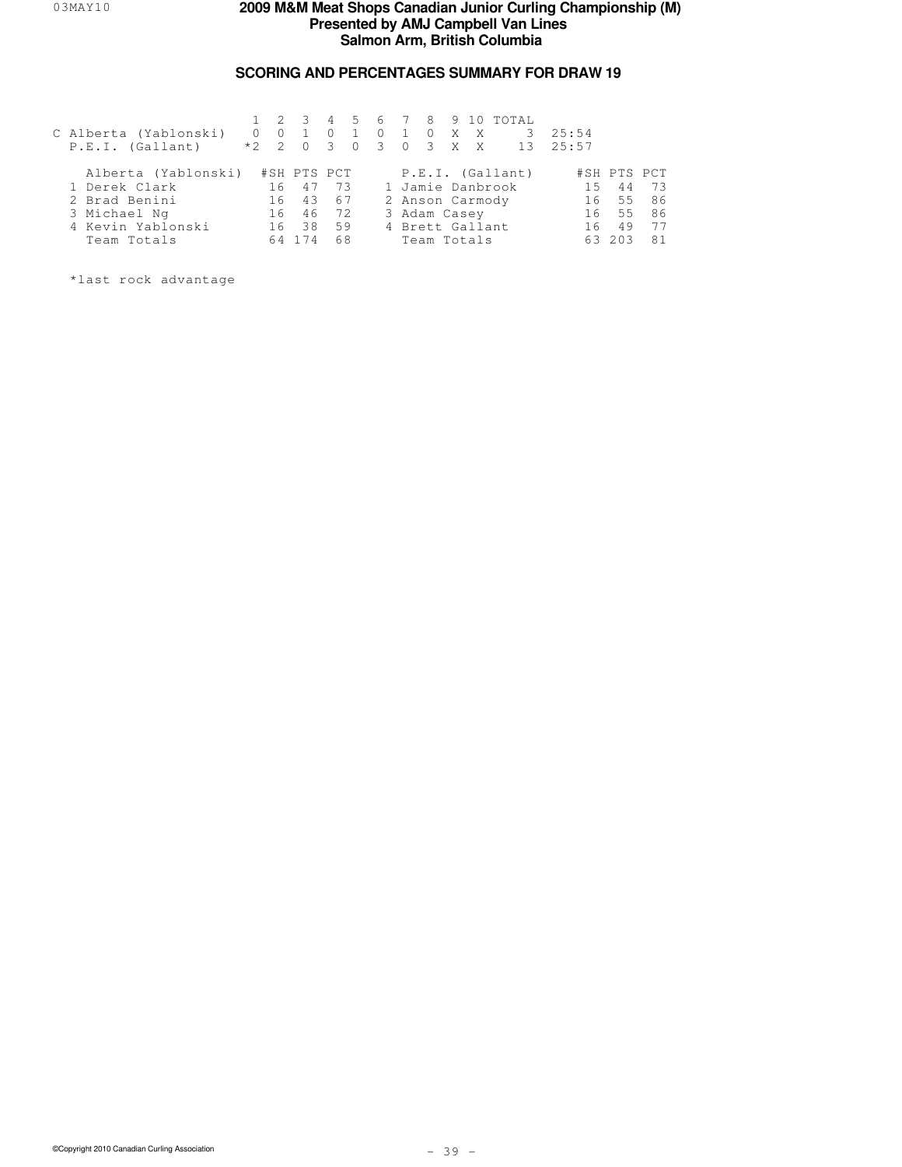# **SCORING AND PERCENTAGES SUMMARY FOR DRAW 19**

| C Alberta (Yablonski)<br>P.E.I. (Gallant) | $0\quad 0$<br>$*2 \t2 \t0$ | $1 \t2 \t3$ | $\Omega$<br>$\mathcal{A}$ | $\bigcirc$ | $\sim$ 1 |  | 0 X X        | 45678910TOTAL<br>0 3 0 3 X X 13 25:57 | 3, 25:54 |             |    |
|-------------------------------------------|----------------------------|-------------|---------------------------|------------|----------|--|--------------|---------------------------------------|----------|-------------|----|
| Alberta (Yablonski)                       |                            | #SH PTS PCT |                           |            |          |  |              | P.E.I. (Gallant)                      |          | #SH PTS PCT |    |
| 1 Derek Clark                             |                            | 16 47       | 73                        |            |          |  |              | 1 Jamie Danbrook                      | 15       | 44          | 73 |
| 2 Brad Benini                             |                            | 16 43 67    |                           |            |          |  |              | 2 Anson Carmody                       | 16       | $55 -$      | 86 |
| 3 Michael Ng                              | 16                         |             | 46 72                     |            |          |  | 3 Adam Casey |                                       | 16       | 55          | 86 |
| 4 Kevin Yablonski                         |                            | 16 38       | 59                        |            |          |  |              | 4 Brett Gallant                       | 16       | 49          | 77 |
| Team Totals                               | 64                         | 174         | 68                        |            |          |  | Team Totals  |                                       | 63       | 203         | 81 |